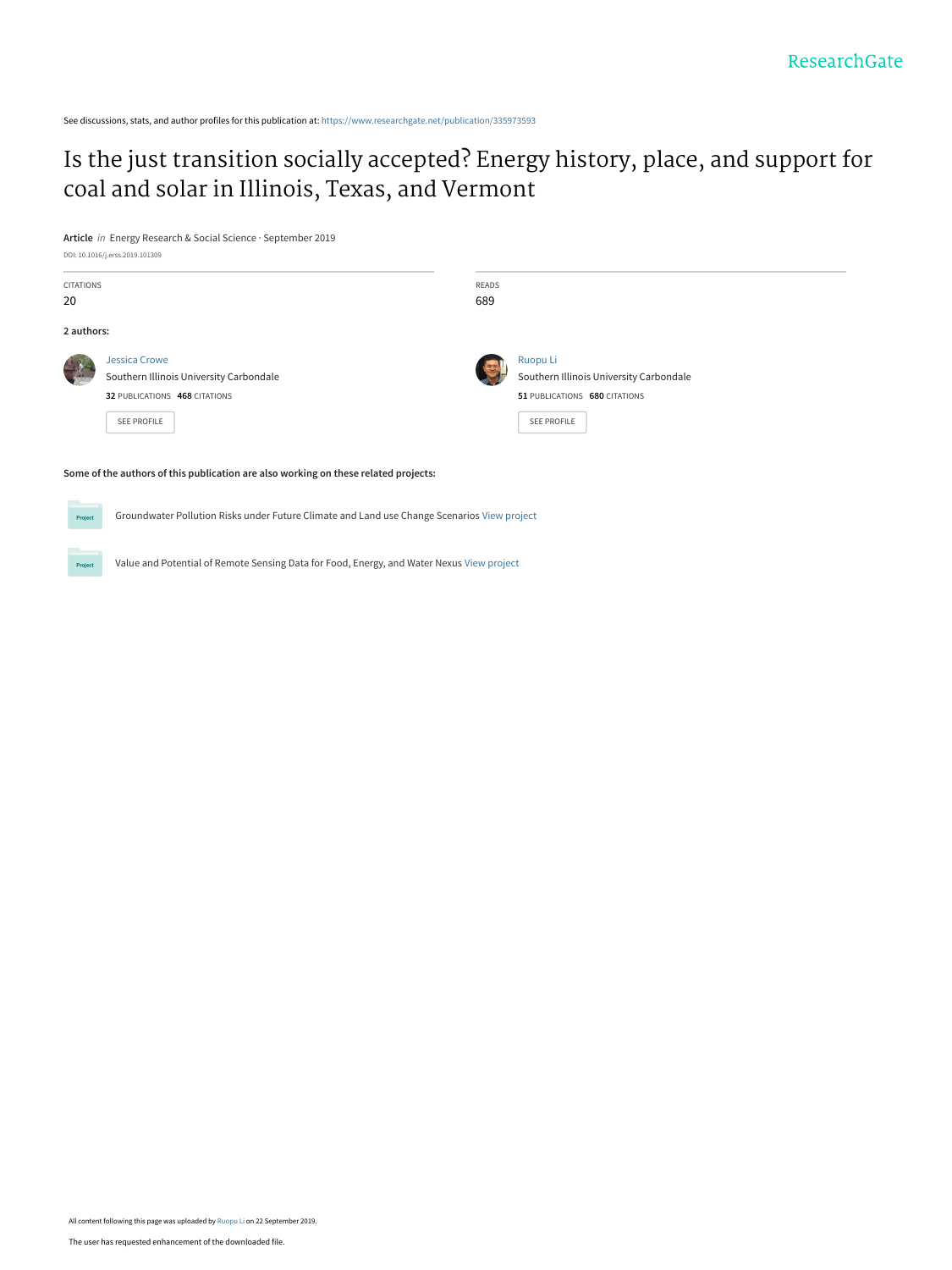See discussions, stats, and author profiles for this publication at: [https://www.researchgate.net/publication/335973593](https://www.researchgate.net/publication/335973593_Is_the_just_transition_socially_accepted_Energy_history_place_and_support_for_coal_and_solar_in_Illinois_Texas_and_Vermont?enrichId=rgreq-8e2a125928110530d95e9f46336b7b69-XXX&enrichSource=Y292ZXJQYWdlOzMzNTk3MzU5MztBUzo4MDYwMDY3NzA2NTUyMzJAMTU2OTE3ODM5NzM2OA%3D%3D&el=1_x_2&_esc=publicationCoverPdf)

[Is the just transition socially accepted? Energy history, place, and support for](https://www.researchgate.net/publication/335973593_Is_the_just_transition_socially_accepted_Energy_history_place_and_support_for_coal_and_solar_in_Illinois_Texas_and_Vermont?enrichId=rgreq-8e2a125928110530d95e9f46336b7b69-XXX&enrichSource=Y292ZXJQYWdlOzMzNTk3MzU5MztBUzo4MDYwMDY3NzA2NTUyMzJAMTU2OTE3ODM5NzM2OA%3D%3D&el=1_x_3&_esc=publicationCoverPdf) coal and solar in Illinois, Texas, and Vermont

**Article** in Energy Research & Social Science · September 2019

.<br>Proj

|                        | DOI: 10.1016/j.erss.2019.101309                                                                                        |              |                                                                                                            |
|------------------------|------------------------------------------------------------------------------------------------------------------------|--------------|------------------------------------------------------------------------------------------------------------|
| <b>CITATIONS</b><br>20 |                                                                                                                        | READS<br>689 |                                                                                                            |
| 2 authors:             |                                                                                                                        |              |                                                                                                            |
|                        | <b>Jessica Crowe</b><br>Southern Illinois University Carbondale<br>32 PUBLICATIONS 468 CITATIONS<br><b>SEE PROFILE</b> |              | Ruopu Li<br>Southern Illinois University Carbondale<br>51 PUBLICATIONS 680 CITATIONS<br><b>SEE PROFILE</b> |

#### **Some of the authors of this publication are also working on these related projects:**

Groundwater Pollution Risks under Future Climate and Land use Change Scenarios [View project](https://www.researchgate.net/project/Groundwater-Pollution-Risks-under-Future-Climate-and-Land-use-Change-Scenarios?enrichId=rgreq-8e2a125928110530d95e9f46336b7b69-XXX&enrichSource=Y292ZXJQYWdlOzMzNTk3MzU5MztBUzo4MDYwMDY3NzA2NTUyMzJAMTU2OTE3ODM5NzM2OA%3D%3D&el=1_x_9&_esc=publicationCoverPdf)

Value and Potential of Remote Sensing Data for Food, Energy, and Water Nexus [View project](https://www.researchgate.net/project/Value-and-Potential-of-Remote-Sensing-Data-for-Food-Energy-and-Water-Nexus?enrichId=rgreq-8e2a125928110530d95e9f46336b7b69-XXX&enrichSource=Y292ZXJQYWdlOzMzNTk3MzU5MztBUzo4MDYwMDY3NzA2NTUyMzJAMTU2OTE3ODM5NzM2OA%3D%3D&el=1_x_9&_esc=publicationCoverPdf)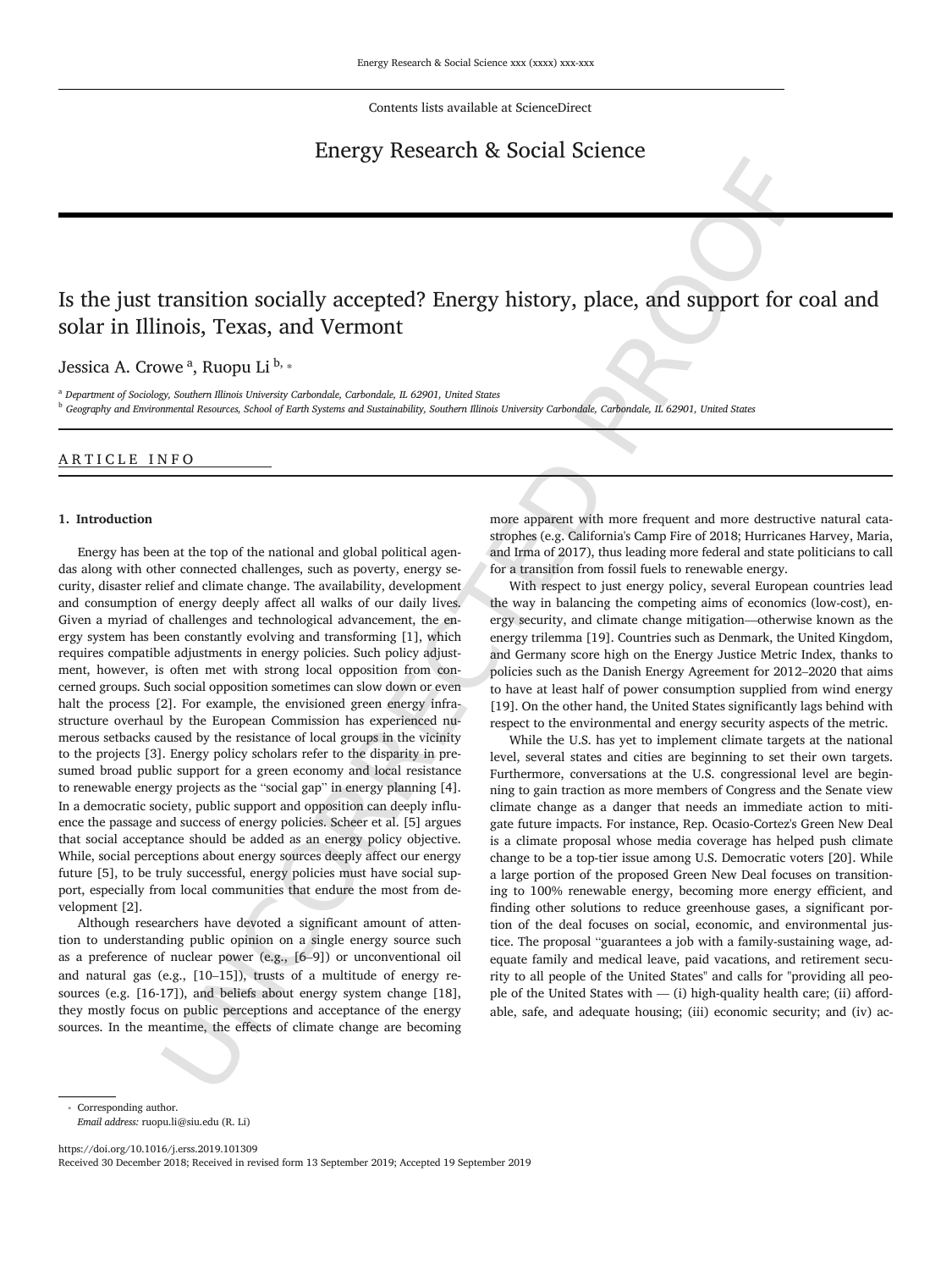Contents lists available at ScienceDirect

## Energy Research & Social Science

# Is the just transition socially accepted? Energy history, place, and support for coal and solar in Illinois, Texas, and Vermont

Jessica A. Crowe <sup>a</sup>, Ruopu Li <sup>b,</sup> \*

<sup>a</sup> *Department of Sociology, Southern Illinois University Carbondale, Carbondale, IL 62901, United States*

<sup>b</sup> *Geography and Environmental Resources, School of Earth Systems and Sustainability, Southern Illinois University Carbondale, Carbondale, IL 62901, United States*

## ARTICLE INFO

#### **1. Introduction**

Transition socially accepted? Energy history, place, and support for coasing a specific properties and very also a support for coasing a specific properties and very denote the measurement of the system in the system in t Energy has been at the top of the national and global political agendas along with other connected challenges, such as poverty, energy security, disaster relief and climate change. The availability, development and consumption of energy deeply affect all walks of our daily lives. Given a myriad of challenges and technological advancement, the energy system has been constantly evolving and transforming [1], which requires compatible adjustments in energy policies. Such policy adjustment, however, is often met with strong local opposition from concerned groups. Such social opposition sometimes can slow down or even halt the process [2]. For example, the envisioned green energy infrastructure overhaul by the European Commission has experienced numerous setbacks caused by the resistance of local groups in the vicinity to the projects [3]. Energy policy scholars refer to the disparity in presumed broad public support for a green economy and local resistance to renewable energy projects as the "social gap" in energy planning [4]. In a democratic society, public support and opposition can deeply influence the passage and success of energy policies. Scheer et al. [5] argues that social acceptance should be added as an energy policy objective. While, social perceptions about energy sources deeply affect our energy future [5], to be truly successful, energy policies must have social support, especially from local communities that endure the most from development [2].

Although researchers have devoted a significant amount of attention to understanding public opinion on a single energy source such as a preference of nuclear power (e.g., [6–9]) or unconventional oil and natural gas (e.g., [10–15]), trusts of a multitude of energy resources (e.g. [16-17]), and beliefs about energy system change [18], they mostly focus on public perceptions and acceptance of the energy sources. In the meantime, the effects of climate change are becoming

more apparent with more frequent and more destructive natural catastrophes (e.g. California's Camp Fire of 2018; Hurricanes Harvey, Maria, and Irma of 2017), thus leading more federal and state politicians to call for a transition from fossil fuels to renewable energy.

With respect to just energy policy, several European countries lead the way in balancing the competing aims of economics (low-cost), energy security, and climate change mitigation—otherwise known as the energy trilemma [19]. Countries such as Denmark, the United Kingdom, and Germany score high on the Energy Justice Metric Index, thanks to policies such as the Danish Energy Agreement for 2012–2020 that aims to have at least half of power consumption supplied from wind energy [19]. On the other hand, the United States significantly lags behind with respect to the environmental and energy security aspects of the metric.

While the U.S. has yet to implement climate targets at the national level, several states and cities are beginning to set their own targets. Furthermore, conversations at the U.S. congressional level are beginning to gain traction as more members of Congress and the Senate view climate change as a danger that needs an immediate action to mitigate future impacts. For instance, Rep. Ocasio-Cortez's Green New Deal is a climate proposal whose media coverage has helped push climate change to be a top-tier issue among U.S. Democratic voters [20]. While a large portion of the proposed Green New Deal focuses on transitioning to 100% renewable energy, becoming more energy efficient, and finding other solutions to reduce greenhouse gases, a significant portion of the deal focuses on social, economic, and environmental justice. The proposal "guarantees a job with a family-sustaining wage, adequate family and medical leave, paid vacations, and retirement security to all people of the United States" and calls for "providing all people of the United States with  $-$  (i) high-quality health care; (ii) affordable, safe, and adequate housing; (iii) economic security; and (iv) ac

https://doi.org/10.1016/j.erss.2019.101309 Received 30 December 2018; Received in revised form 13 September 2019; Accepted 19 September 2019

Corresponding author.

*Email address:* ruopu.li@siu.edu (R. Li)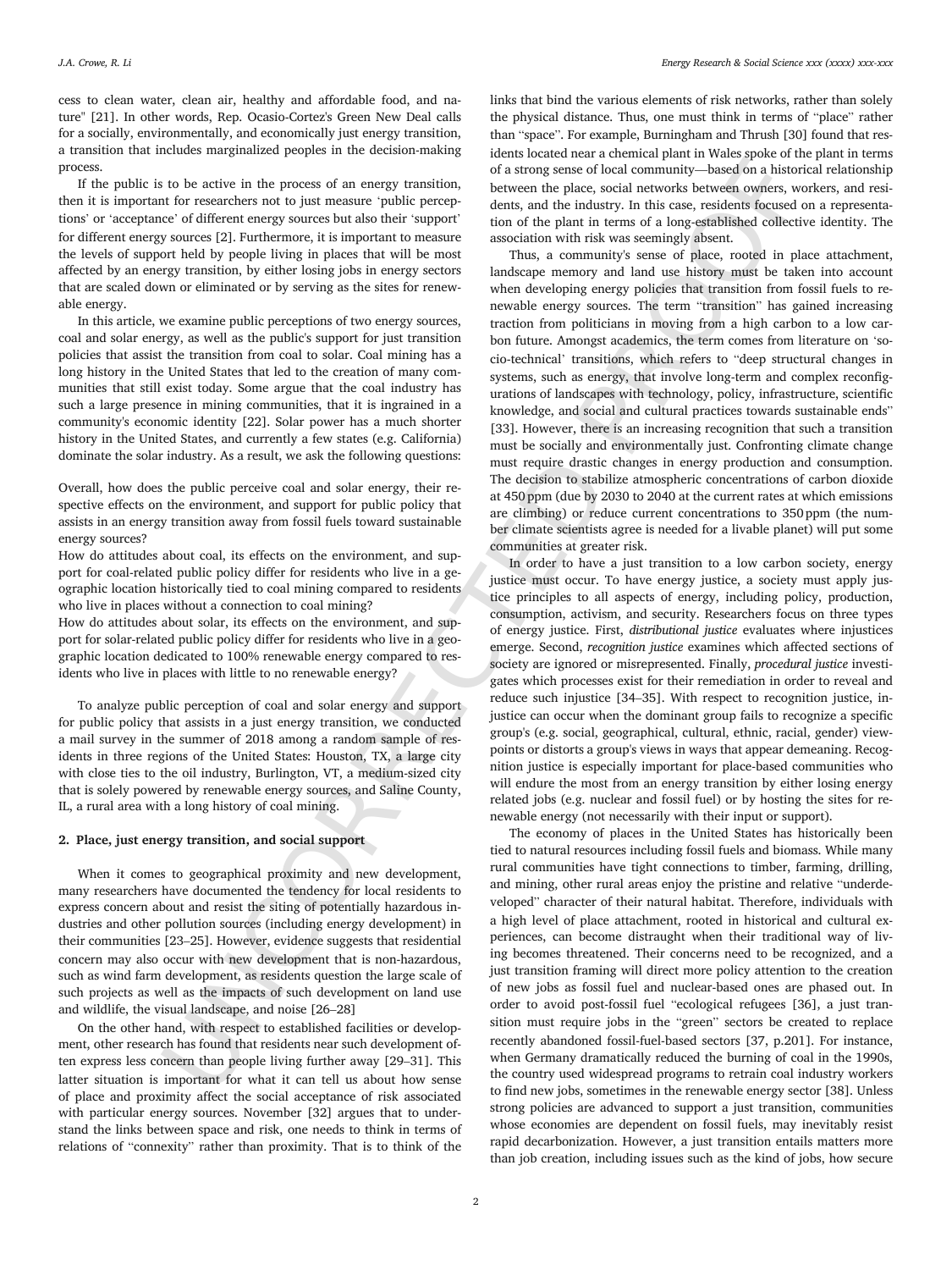cess to clean water, clean air, healthy and affordable food, and nature" [21]. In other words, Rep. Ocasio-Cortez's Green New Deal calls for a socially, environmentally, and economically just energy transition, a transition that includes marginalized peoples in the decision-making process.

If the public is to be active in the process of an energy transition, then it is important for researchers not to just measure 'public perceptions' or 'acceptance' of different energy sources but also their 'support' for different energy sources [2]. Furthermore, it is important to measure the levels of support held by people living in places that will be most affected by an energy transition, by either losing jobs in energy sectors that are scaled down or eliminated or by serving as the sites for renewable energy.

In this article, we examine public perceptions of two energy sources, coal and solar energy, as well as the public's support for just transition policies that assist the transition from coal to solar. Coal mining has a long history in the United States that led to the creation of many communities that still exist today. Some argue that the coal industry has such a large presence in mining communities, that it is ingrained in a community's economic identity [22]. Solar power has a much shorter history in the United States, and currently a few states (e.g. California) dominate the solar industry. As a result, we ask the following questions:

Overall, how does the public perceive coal and solar energy, their respective effects on the environment, and support for public policy that assists in an energy transition away from fossil fuels toward sustainable energy sources?

How do attitudes about coal, its effects on the environment, and support for coal-related public policy differ for residents who live in a geographic location historically tied to coal mining compared to residents who live in places without a connection to coal mining?

How do attitudes about solar, its effects on the environment, and support for solar-related public policy differ for residents who live in a geographic location dedicated to 100% renewable energy compared to residents who live in places with little to no renewable energy?

To analyze public perception of coal and solar energy and support for public policy that assists in a just energy transition, we conducted a mail survey in the summer of 2018 among a random sample of residents in three regions of the United States: Houston, TX, a large city with close ties to the oil industry, Burlington, VT, a medium-sized city that is solely powered by renewable energy sources, and Saline County, IL, a rural area with a long history of coal mining.

#### **2. Place, just energy transition, and social support**

When it comes to geographical proximity and new development, many researchers have documented the tendency for local residents to express concern about and resist the siting of potentially hazardous industries and other pollution sources (including energy development) in their communities [23–25]. However, evidence suggests that residential concern may also occur with new development that is non-hazardous, such as wind farm development, as residents question the large scale of such projects as well as the impacts of such development on land use and wildlife, the visual landscape, and noise [26–28]

On the other hand, with respect to established facilities or development, other research has found that residents near such development often express less concern than people living further away [29–31]. This latter situation is important for what it can tell us about how sense of place and proximity affect the social acceptance of risk associated with particular energy sources. November [32] argues that to understand the links between space and risk, one needs to think in terms of relations of "connexity" rather than proximity. That is to think of the

links that bind the various elements of risk networks, rather than solely the physical distance. Thus, one must think in terms of "place" rather than "space". For example, Burningham and Thrush [30] found that residents located near a chemical plant in Wales spoke of the plant in terms of a strong sense of local community—based on a historical relationship between the place, social networks between owners, workers, and residents, and the industry. In this case, residents focused on a representation of the plant in terms of a long-established collective identity. The association with risk was seemingly absent.

To be active in the process of an energy transition.<br>
The strong strong of a strong term of a consent of the consent of the consent of the consent of the consent of the consent of the consent of the consent of the consent Thus, a community's sense of place, rooted in place attachment, landscape memory and land use history must be taken into account when developing energy policies that transition from fossil fuels to renewable energy sources. The term "transition" has gained increasing traction from politicians in moving from a high carbon to a low carbon future. Amongst academics, the term comes from literature on 'socio-technical' transitions, which refers to "deep structural changes in systems, such as energy, that involve long-term and complex reconfigurations of landscapes with technology, policy, infrastructure, scientific knowledge, and social and cultural practices towards sustainable ends" [33]. However, there is an increasing recognition that such a transition must be socially and environmentally just. Confronting climate change must require drastic changes in energy production and consumption. The decision to stabilize atmospheric concentrations of carbon dioxide at 450 ppm (due by 2030 to 2040 at the current rates at which emissions are climbing) or reduce current concentrations to 350 ppm (the number climate scientists agree is needed for a livable planet) will put some communities at greater risk.

In order to have a just transition to a low carbon society, energy justice must occur. To have energy justice, a society must apply justice principles to all aspects of energy, including policy, production, consumption, activism, and security. Researchers focus on three types of energy justice. First, *distributional justice* evaluates where injustices emerge. Second, *recognition justice* examines which affected sections of society are ignored or misrepresented. Finally, *procedural justice* investigates which processes exist for their remediation in order to reveal and reduce such injustice [34–35]. With respect to recognition justice, injustice can occur when the dominant group fails to recognize a specific group's (e.g. social, geographical, cultural, ethnic, racial, gender) viewpoints or distorts a group's views in ways that appear demeaning. Recognition justice is especially important for place-based communities who will endure the most from an energy transition by either losing energy related jobs (e.g. nuclear and fossil fuel) or by hosting the sites for renewable energy (not necessarily with their input or support).

The economy of places in the United States has historically been tied to natural resources including fossil fuels and biomass. While many rural communities have tight connections to timber, farming, drilling, and mining, other rural areas enjoy the pristine and relative "underdeveloped" character of their natural habitat. Therefore, individuals with a high level of place attachment, rooted in historical and cultural experiences, can become distraught when their traditional way of living becomes threatened. Their concerns need to be recognized, and a just transition framing will direct more policy attention to the creation of new jobs as fossil fuel and nuclear-based ones are phased out. In order to avoid post-fossil fuel "ecological refugees [36], a just transition must require jobs in the "green" sectors be created to replace recently abandoned fossil-fuel-based sectors [37, p.201]. For instance, when Germany dramatically reduced the burning of coal in the 1990s, the country used widespread programs to retrain coal industry workers to find new jobs, sometimes in the renewable energy sector [38]. Unless strong policies are advanced to support a just transition, communities whose economies are dependent on fossil fuels, may inevitably resist rapid decarbonization. However, a just transition entails matters more than job creation, including issues such as the kind of jobs, how secure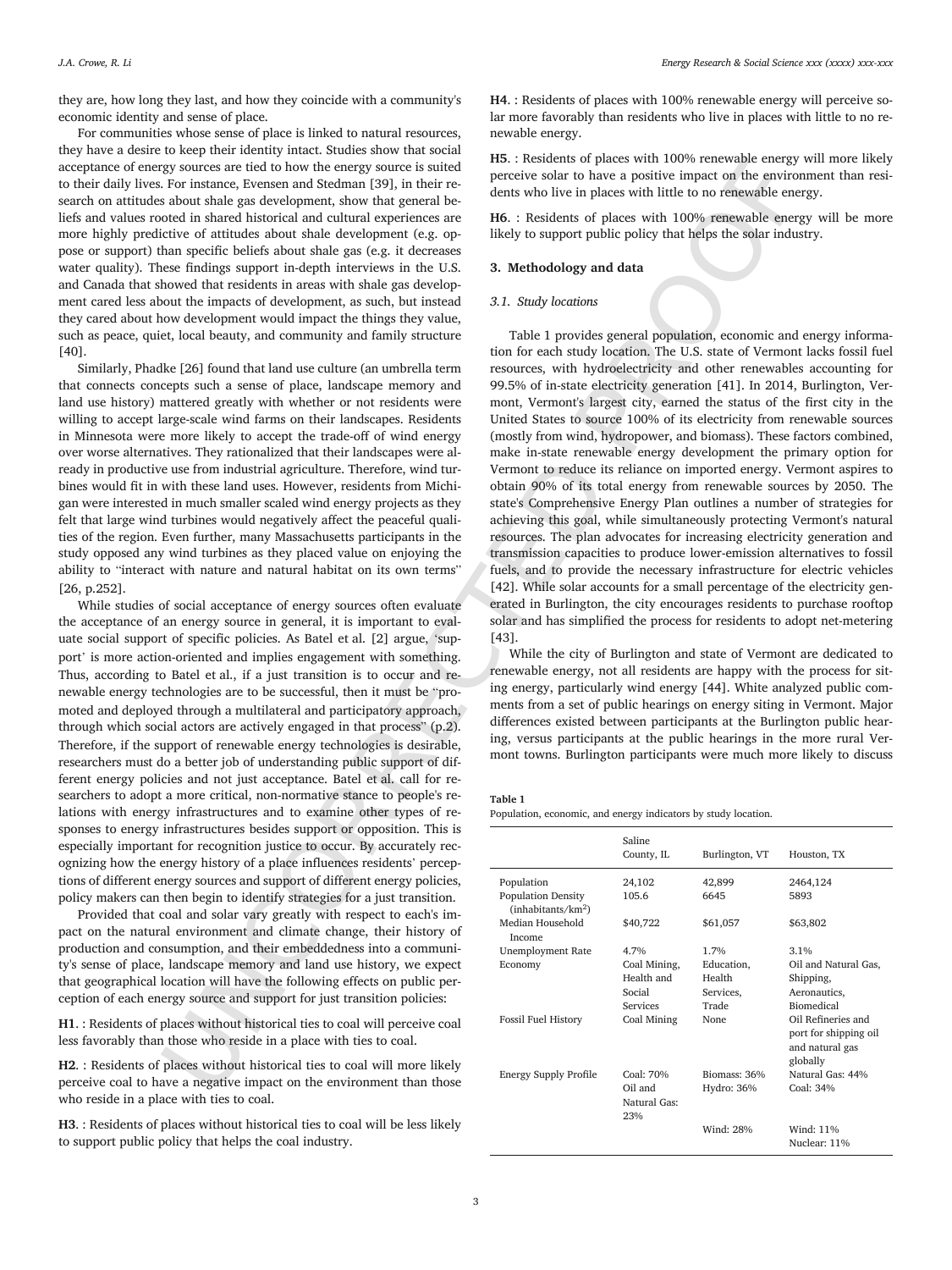they are, how long they last, and how they coincide with a community's economic identity and sense of place.

For communities whose sense of place is linked to natural resources, they have a desire to keep their identity intact. Studies show that social acceptance of energy sources are tied to how the energy source is suited to their daily lives. For instance, Evensen and Stedman [39], in their research on attitudes about shale gas development, show that general beliefs and values rooted in shared historical and cultural experiences are more highly predictive of attitudes about shale development (e.g. oppose or support) than specific beliefs about shale gas (e.g. it decreases water quality). These findings support in-depth interviews in the U.S. and Canada that showed that residents in areas with shale gas development cared less about the impacts of development, as such, but instead they cared about how development would impact the things they value, such as peace, quiet, local beauty, and community and family structure [40].

Similarly, Phadke [26] found that land use culture (an umbrella term that connects concepts such a sense of place, landscape memory and land use history) mattered greatly with whether or not residents were willing to accept large-scale wind farms on their landscapes. Residents in Minnesota were more likely to accept the trade-off of wind energy over worse alternatives. They rationalized that their landscapes were already in productive use from industrial agriculture. Therefore, wind turbines would fit in with these land uses. However, residents from Michigan were interested in much smaller scaled wind energy projects as they felt that large wind turbines would negatively affect the peaceful qualities of the region. Even further, many Massachusetts participants in the study opposed any wind turbines as they placed value on enjoying the ability to "interact with nature and natural habitat on its own terms" [26, p.252].

While studies of social acceptance of energy sources often evaluate the acceptance of an energy source in general, it is important to evaluate social support of specific policies. As Batel et al. [2] argue, 'support' is more action-oriented and implies engagement with something. Thus, according to Batel et al., if a just transition is to occur and renewable energy technologies are to be successful, then it must be "promoted and deployed through a multilateral and participatory approach, through which social actors are actively engaged in that process" (p.2). Therefore, if the support of renewable energy technologies is desirable, researchers must do a better job of understanding public support of different energy policies and not just acceptance. Batel et al. call for researchers to adopt a more critical, non-normative stance to people's relations with energy infrastructures and to examine other types of responses to energy infrastructures besides support or opposition. This is especially important for recognition justice to occur. By accurately recognizing how the energy history of a place influences residents' perceptions of different energy sources and support of different energy policies, policy makers can then begin to identify strategies for a just transition.

Provided that coal and solar vary greatly with respect to each's impact on the natural environment and climate change, their history of production and consumption, and their embeddedness into a community's sense of place, landscape memory and land use history, we expect that geographical location will have the following effects on public perception of each energy source and support for just transition policies:

**H1**. : Residents of places without historical ties to coal will perceive coal less favorably than those who reside in a place with ties to coal.

**H2**. : Residents of places without historical ties to coal will more likely perceive coal to have a negative impact on the environment than those who reside in a place with ties to coal.

**H3**. : Residents of places without historical ties to coal will be less likely to support public policy that helps the coal industry.

**H4**. : Residents of places with 100% renewable energy will perceive solar more favorably than residents who live in places with little to no renewable energy.

**H5**. : Residents of places with 100% renewable energy will more likely perceive solar to have a positive impact on the environment than residents who live in places with little to no renewable energy.

**H6**. : Residents of places with 100% renewable energy will be more likely to support public policy that helps the solar industry.

## **3. Methodology and data**

#### *3.1. Study locations*

grassmore rised to how the energy sources is unitable to possible use a set with the space of the space of the space of the space of the space of the space of the space of the space of the space of the space of the space Table 1 provides general population, economic and energy information for each study location. The U.S. state of Vermont lacks fossil fuel resources, with hydroelectricity and other renewables accounting for 99.5% of in-state electricity generation [41]. In 2014, Burlington, Vermont, Vermont's largest city, earned the status of the first city in the United States to source 100% of its electricity from renewable sources (mostly from wind, hydropower, and biomass). These factors combined, make in-state renewable energy development the primary option for Vermont to reduce its reliance on imported energy. Vermont aspires to obtain 90% of its total energy from renewable sources by 2050. The state's Comprehensive Energy Plan outlines a number of strategies for achieving this goal, while simultaneously protecting Vermont's natural resources. The plan advocates for increasing electricity generation and transmission capacities to produce lower-emission alternatives to fossil fuels, and to provide the necessary infrastructure for electric vehicles [42]. While solar accounts for a small percentage of the electricity generated in Burlington, the city encourages residents to purchase rooftop solar and has simplified the process for residents to adopt net-metering [43].

While the city of Burlington and state of Vermont are dedicated to renewable energy, not all residents are happy with the process for siting energy, particularly wind energy [44]. White analyzed public comments from a set of public hearings on energy siting in Vermont. Major differences existed between participants at the Burlington public hearing, versus participants at the public hearings in the more rural Vermont towns. Burlington participants were much more likely to discuss

#### **Table 1**

Population, economic, and energy indicators by study location.

|                                                             | Saline<br>County, IL           | Burlington, VT | Houston, TX                                                                |
|-------------------------------------------------------------|--------------------------------|----------------|----------------------------------------------------------------------------|
| Population                                                  | 24,102                         | 42,899         | 2464,124                                                                   |
| <b>Population Density</b><br>(inhabitants/km <sup>2</sup> ) | 105.6                          | 6645           | 5893                                                                       |
| Median Household<br>Income                                  | \$40,722                       | \$61,057       | \$63,802                                                                   |
| <b>Unemployment Rate</b>                                    | 4.7%                           | 1.7%           | 3.1%                                                                       |
| Economy                                                     | Coal Mining,                   | Education,     | Oil and Natural Gas,                                                       |
|                                                             | Health and                     | Health         | Shipping,                                                                  |
|                                                             | Social                         | Services,      | Aeronautics,                                                               |
|                                                             | Services                       | Trade          | <b>Biomedical</b>                                                          |
| <b>Fossil Fuel History</b>                                  | Coal Mining                    | <b>None</b>    | Oil Refineries and<br>port for shipping oil<br>and natural gas<br>globally |
| <b>Energy Supply Profile</b>                                | Coal: 70%                      | Biomass: 36%   | Natural Gas: 44%                                                           |
|                                                             | Oil and<br>Natural Gas:<br>23% | Hydro: 36%     | Coal: 34%                                                                  |
|                                                             |                                | Wind: 28%      | Wind: 11%                                                                  |
|                                                             |                                |                | Nuclear: 11%                                                               |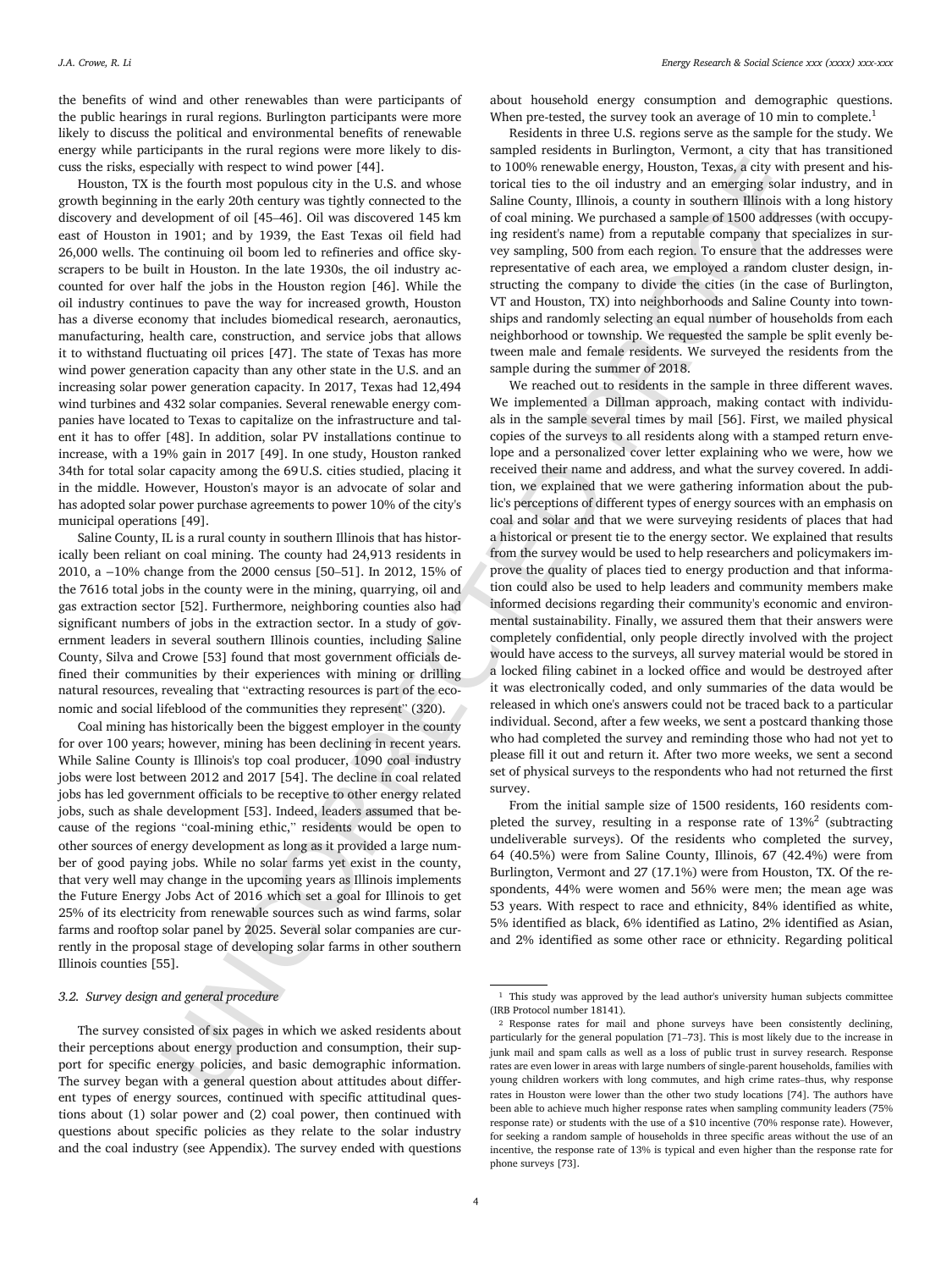the benefits of wind and other renewables than were participants of the public hearings in rural regions. Burlington participants were more likely to discuss the political and environmental benefits of renewable energy while participants in the rural regions were more likely to discuss the risks, especially with respect to wind power [44].

Houston, TX is the fourth most populous city in the U.S. and whose growth beginning in the early 20th century was tightly connected to the discovery and development of oil [45–46]. Oil was discovered 145 km east of Houston in 1901; and by 1939, the East Texas oil field had 26,000 wells. The continuing oil boom led to refineries and office skyscrapers to be built in Houston. In the late 1930s, the oil industry accounted for over half the jobs in the Houston region [46]. While the oil industry continues to pave the way for increased growth, Houston has a diverse economy that includes biomedical research, aeronautics, manufacturing, health care, construction, and service jobs that allows it to withstand fluctuating oil prices [47]. The state of Texas has more wind power generation capacity than any other state in the U.S. and an increasing solar power generation capacity. In 2017, Texas had 12,494 wind turbines and 432 solar companies. Several renewable energy companies have located to Texas to capitalize on the infrastructure and talent it has to offer [48]. In addition, solar PV installations continue to increase, with a 19% gain in 2017 [49]. In one study, Houston ranked 34th for total solar capacity among the 69U.S. cities studied, placing it in the middle. However, Houston's mayor is an advocate of solar and has adopted solar power purchase agreements to power 10% of the city's municipal operations [49].

Saline County, IL is a rural county in southern Illinois that has historically been reliant on coal mining. The county had 24,913 residents in 2010, a −10% change from the 2000 census [50–51]. In 2012, 15% of the 7616 total jobs in the county were in the mining, quarrying, oil and gas extraction sector [52]. Furthermore, neighboring counties also had significant numbers of jobs in the extraction sector. In a study of government leaders in several southern Illinois counties, including Saline County, Silva and Crowe [53] found that most government officials defined their communities by their experiences with mining or drilling natural resources, revealing that "extracting resources is part of the economic and social lifeblood of the communities they represent" (320).

Coal mining has historically been the biggest employer in the county for over 100 years; however, mining has been declining in recent years. While Saline County is Illinois's top coal producer, 1090 coal industry jobs were lost between 2012 and 2017 [54]. The decline in coal related jobs has led government officials to be receptive to other energy related jobs, such as shale development [53]. Indeed, leaders assumed that because of the regions "coal-mining ethic," residents would be open to other sources of energy development as long as it provided a large number of good paying jobs. While no solar farms yet exist in the county, that very well may change in the upcoming years as Illinois implements the Future Energy Jobs Act of 2016 which set a goal for Illinois to get 25% of its electricity from renewable sources such as wind farms, solar farms and rooftop solar panel by 2025. Several solar companies are currently in the proposal stage of developing solar farms in other southern Illinois counties [55].

#### *3.2. Survey design and general procedure*

The survey consisted of six pages in which we asked residents about their perceptions about energy production and consumption, their support for specific energy policies, and basic demographic information. The survey began with a general question about attitudes about different types of energy sources, continued with specific attitudinal questions about (1) solar power and (2) coal power, then continued with questions about specific policies as they relate to the solar industry and the coal industry (see Appendix). The survey ended with questions

about household energy consumption and demographic questions. When pre-tested, the survey took an average of 10 min to complete.<sup>1</sup>

Residents in three U.S. regions serve as the sample for the study. We sampled residents in Burlington, Vermont, a city that has transitioned to 100% renewable energy, Houston, Texas, a city with present and historical ties to the oil industry and an emerging solar industry, and in Saline County, Illinois, a county in southern Illinois with a long history of coal mining. We purchased a sample of 1500 addresses (with occupying resident's name) from a reputable company that specializes in survey sampling, 500 from each region. To ensure that the addresses were representative of each area, we employed a random cluster design, instructing the company to divide the cities (in the case of Burlington, VT and Houston, TX) into neighborhoods and Saline County into townships and randomly selecting an equal number of households from each neighborhood or township. We requested the sample be split evenly between male and female residents. We surveyed the residents from the sample during the summer of 2018.

exist) with seperate to wind power letter. The model with respect the extend in the set of the set of the set of the set of the set of the set of the set of the set of the set of the set of the set of the set of the set o We reached out to residents in the sample in three different waves. We implemented a Dillman approach, making contact with individuals in the sample several times by mail [56]. First, we mailed physical copies of the surveys to all residents along with a stamped return envelope and a personalized cover letter explaining who we were, how we received their name and address, and what the survey covered. In addition, we explained that we were gathering information about the public's perceptions of different types of energy sources with an emphasis on coal and solar and that we were surveying residents of places that had a historical or present tie to the energy sector. We explained that results from the survey would be used to help researchers and policymakers improve the quality of places tied to energy production and that information could also be used to help leaders and community members make informed decisions regarding their community's economic and environmental sustainability. Finally, we assured them that their answers were completely confidential, only people directly involved with the project would have access to the surveys, all survey material would be stored in a locked filing cabinet in a locked office and would be destroyed after it was electronically coded, and only summaries of the data would be released in which one's answers could not be traced back to a particular individual. Second, after a few weeks, we sent a postcard thanking those who had completed the survey and reminding those who had not yet to please fill it out and return it. After two more weeks, we sent a second set of physical surveys to the respondents who had not returned the first survey.

From the initial sample size of 1500 residents, 160 residents completed the survey, resulting in a response rate of 13%<sup>2</sup> (subtracting undeliverable surveys). Of the residents who completed the survey, 64 (40.5%) were from Saline County, Illinois, 67 (42.4%) were from Burlington, Vermont and 27 (17.1%) were from Houston, TX. Of the respondents, 44% were women and 56% were men; the mean age was 53 years. With respect to race and ethnicity, 84% identified as white, 5% identified as black, 6% identified as Latino, 2% identified as Asian, and 2% identified as some other race or ethnicity. Regarding political

<sup>&</sup>lt;sup>1</sup> This study was approved by the lead author's university human subjects committee (IRB Protocol number 18141).

<sup>2</sup> Response rates for mail and phone surveys have been consistently declining, particularly for the general population [71–73]. This is most likely due to the increase in junk mail and spam calls as well as a loss of public trust in survey research. Response rates are even lower in areas with large numbers of single-parent households, families with young children workers with long commutes, and high crime rates–thus, why response rates in Houston were lower than the other two study locations [74]. The authors have been able to achieve much higher response rates when sampling community leaders (75% response rate) or students with the use of a \$10 incentive (70% response rate). However, for seeking a random sample of households in three specific areas without the use of an incentive, the response rate of 13% is typical and even higher than the response rate for phone surveys [73].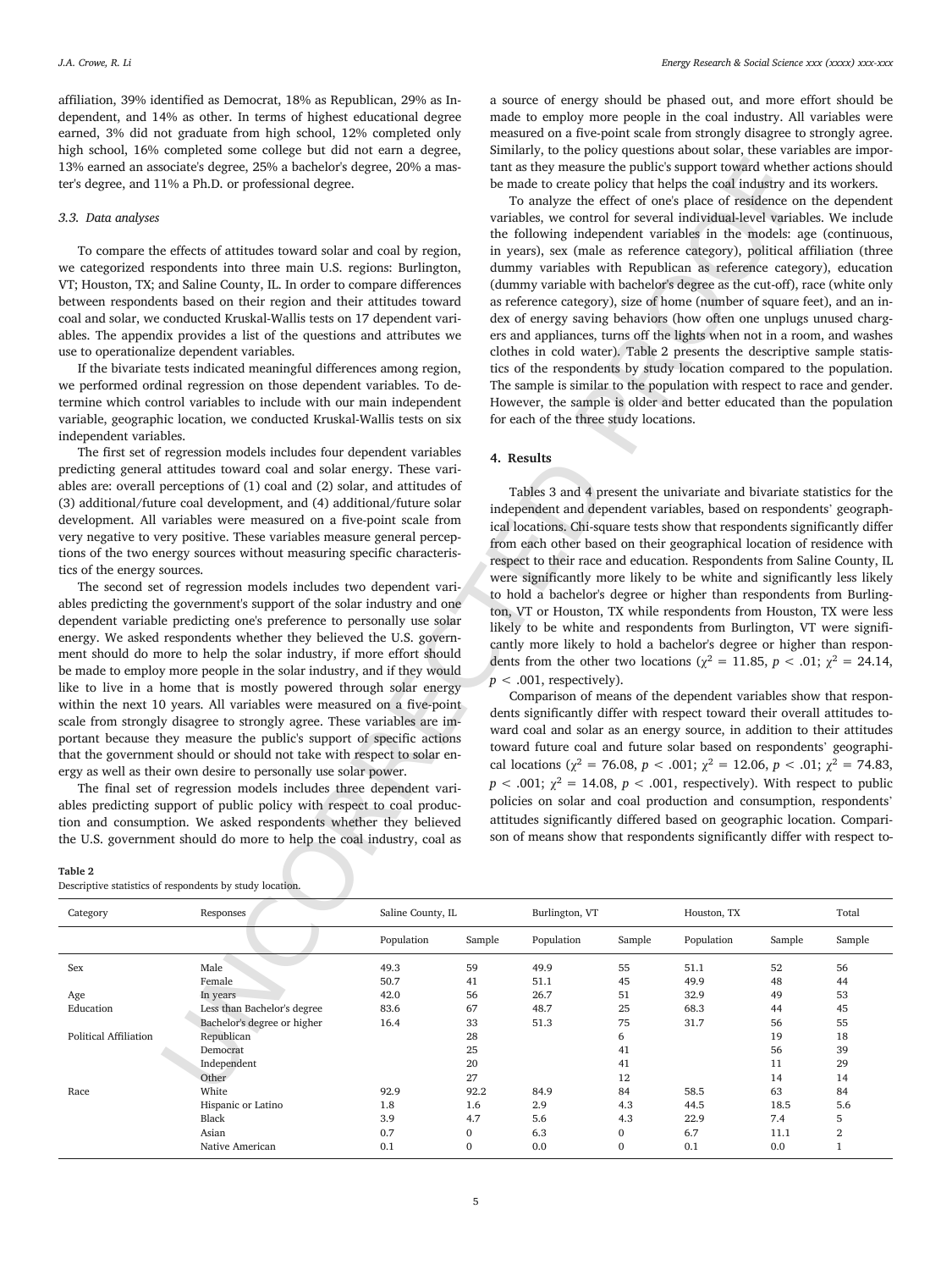affiliation, 39% identified as Democrat, 18% as Republican, 29% as Independent, and 14% as other. In terms of highest educational degree earned, 3% did not graduate from high school, 12% completed only high school, 16% completed some college but did not earn a degree, 13% earned an associate's degree, 25% a bachelor's degree, 20% a master's degree, and 11% a Ph.D. or professional degree.

#### *3.3. Data analyses*

#### **Table 2**

a source of energy should be phased out, and more effort should be made to employ more people in the coal industry. All variables were measured on a five-point scale from strongly disagree to strongly agree. Similarly, to the policy questions about solar, these variables are important as they measure the public's support toward whether actions should be made to create policy that helps the coal industry and its workers.

## **4. Results**

| ter's degree, and 11% a Ph.D. or professional degree.<br>3.3. Data analyses<br>use to operationalize dependent variables.<br>independent variables.<br>tics of the energy sources. | To compare the effects of attitudes toward solar and coal by region,<br>we categorized respondents into three main U.S. regions: Burlington,<br>VT; Houston, TX; and Saline County, IL. In order to compare differences<br>between respondents based on their region and their attitudes toward<br>coal and solar, we conducted Kruskal-Wallis tests on 17 dependent vari-<br>ables. The appendix provides a list of the questions and attributes we<br>If the bivariate tests indicated meaningful differences among region,<br>we performed ordinal regression on those dependent variables. To de-<br>termine which control variables to include with our main independent<br>variable, geographic location, we conducted Kruskal-Wallis tests on six<br>The first set of regression models includes four dependent variables<br>predicting general attitudes toward coal and solar energy. These vari-<br>ables are: overall perceptions of (1) coal and (2) solar, and attitudes of<br>(3) additional/future coal development, and (4) additional/future solar<br>development. All variables were measured on a five-point scale from<br>very negative to very positive. These variables measure general percep-<br>tions of the two energy sources without measuring specific characteris-<br>The second set of regression models includes two dependent vari-<br>ables predicting the government's support of the solar industry and one<br>dependent variable predicting one's preference to personally use solar<br>energy. We asked respondents whether they believed the U.S. govern-<br>ment should do more to help the solar industry, if more effort should<br>be made to employ more people in the solar industry, and if they would<br>like to live in a home that is mostly powered through solar energy<br>within the next 10 years. All variables were measured on a five-point<br>scale from strongly disagree to strongly agree. These variables are im-<br>portant because they measure the public's support of specific actions<br>that the government should or should not take with respect to solar en-<br>ergy as well as their own desire to personally use solar power.<br>The final set of regression models includes three dependent vari-<br>ables predicting support of public policy with respect to coal produc- |                   | 4. Results       | To analyze the effect of one's place of residence on the dependent<br>variables, we control for several individual-level variables. We include<br>the following independent variables in the models: age (continuous,<br>in years), sex (male as reference category), political affiliation (three<br>dummy variables with Republican as reference category), education<br>(dummy variable with bachelor's degree as the cut-off), race (white only<br>as reference category), size of home (number of square feet), and an in-<br>dex of energy saving behaviors (how often one unplugs unused charg-<br>ers and appliances, turns off the lights when not in a room, and washes<br>clothes in cold water). Table 2 presents the descriptive sample statis-<br>tics of the respondents by study location compared to the population.<br>The sample is similar to the population with respect to race and gender.<br>However, the sample is older and better educated than the population<br>for each of the three study locations.<br>Tables 3 and 4 present the univariate and bivariate statistics for the<br>independent and dependent variables, based on respondents' geograph-<br>ical locations. Chi-square tests show that respondents significantly differ<br>from each other based on their geographical location of residence with<br>respect to their race and education. Respondents from Saline County, IL<br>were significantly more likely to be white and significantly less likely<br>to hold a bachelor's degree or higher than respondents from Burling-<br>ton, VT or Houston, TX while respondents from Houston, TX were less<br>likely to be white and respondents from Burlington, VT were signifi-<br>cantly more likely to hold a bachelor's degree or higher than respon-<br>dents from the other two locations ( $\chi^2$ = 11.85, p < .01; $\chi^2$ = 24.14,<br>$p < .001$ , respectively).<br>Comparison of means of the dependent variables show that respon-<br>dents significantly differ with respect toward their overall attitudes to-<br>ward coal and solar as an energy source, in addition to their attitudes<br>toward future coal and future solar based on respondents' geographi-<br>cal locations ( $\chi^2$ = 76.08, p < .001; $\chi^2$ = 12.06, p < .01; $\chi^2$ = 74.83,<br>$p < .001$ ; $\chi^2 = 14.08$ , $p < .001$ , respectively). With respect to public<br>policies on solar and coal production and consumption, respondents' |                  | be made to create policy that helps the coal industry and its workers. |          |          |
|------------------------------------------------------------------------------------------------------------------------------------------------------------------------------------|-----------------------------------------------------------------------------------------------------------------------------------------------------------------------------------------------------------------------------------------------------------------------------------------------------------------------------------------------------------------------------------------------------------------------------------------------------------------------------------------------------------------------------------------------------------------------------------------------------------------------------------------------------------------------------------------------------------------------------------------------------------------------------------------------------------------------------------------------------------------------------------------------------------------------------------------------------------------------------------------------------------------------------------------------------------------------------------------------------------------------------------------------------------------------------------------------------------------------------------------------------------------------------------------------------------------------------------------------------------------------------------------------------------------------------------------------------------------------------------------------------------------------------------------------------------------------------------------------------------------------------------------------------------------------------------------------------------------------------------------------------------------------------------------------------------------------------------------------------------------------------------------------------------------------------------------------------------------------------------------------------------------------------------------------------------------------------------------------------------------------------------------------------------------------------------------------------------------------------------------------------------------------------------------------------------------------------------------------------|-------------------|------------------|-----------------------------------------------------------------------------------------------------------------------------------------------------------------------------------------------------------------------------------------------------------------------------------------------------------------------------------------------------------------------------------------------------------------------------------------------------------------------------------------------------------------------------------------------------------------------------------------------------------------------------------------------------------------------------------------------------------------------------------------------------------------------------------------------------------------------------------------------------------------------------------------------------------------------------------------------------------------------------------------------------------------------------------------------------------------------------------------------------------------------------------------------------------------------------------------------------------------------------------------------------------------------------------------------------------------------------------------------------------------------------------------------------------------------------------------------------------------------------------------------------------------------------------------------------------------------------------------------------------------------------------------------------------------------------------------------------------------------------------------------------------------------------------------------------------------------------------------------------------------------------------------------------------------------------------------------------------------------------------------------------------------------------------------------------------------------------------------------------------------------------------------------------------------------------------------------------------------------------------------------------------------------------------------------------------------------------------------------------------------------------------------------------------------------------------------------------------------------------------------|------------------|------------------------------------------------------------------------|----------|----------|
| <b>Table 2</b><br>Descriptive statistics of respondents by study location.                                                                                                         | tion and consumption. We asked respondents whether they believed<br>the U.S. government should do more to help the coal industry, coal as                                                                                                                                                                                                                                                                                                                                                                                                                                                                                                                                                                                                                                                                                                                                                                                                                                                                                                                                                                                                                                                                                                                                                                                                                                                                                                                                                                                                                                                                                                                                                                                                                                                                                                                                                                                                                                                                                                                                                                                                                                                                                                                                                                                                           |                   |                  | attitudes significantly differed based on geographic location. Compari-<br>son of means show that respondents significantly differ with respect to-                                                                                                                                                                                                                                                                                                                                                                                                                                                                                                                                                                                                                                                                                                                                                                                                                                                                                                                                                                                                                                                                                                                                                                                                                                                                                                                                                                                                                                                                                                                                                                                                                                                                                                                                                                                                                                                                                                                                                                                                                                                                                                                                                                                                                                                                                                                                     |                  |                                                                        |          |          |
| Category                                                                                                                                                                           | Responses                                                                                                                                                                                                                                                                                                                                                                                                                                                                                                                                                                                                                                                                                                                                                                                                                                                                                                                                                                                                                                                                                                                                                                                                                                                                                                                                                                                                                                                                                                                                                                                                                                                                                                                                                                                                                                                                                                                                                                                                                                                                                                                                                                                                                                                                                                                                           | Saline County, IL |                  | Burlington, VT                                                                                                                                                                                                                                                                                                                                                                                                                                                                                                                                                                                                                                                                                                                                                                                                                                                                                                                                                                                                                                                                                                                                                                                                                                                                                                                                                                                                                                                                                                                                                                                                                                                                                                                                                                                                                                                                                                                                                                                                                                                                                                                                                                                                                                                                                                                                                                                                                                                                          |                  | Houston, TX                                                            |          | Total    |
|                                                                                                                                                                                    |                                                                                                                                                                                                                                                                                                                                                                                                                                                                                                                                                                                                                                                                                                                                                                                                                                                                                                                                                                                                                                                                                                                                                                                                                                                                                                                                                                                                                                                                                                                                                                                                                                                                                                                                                                                                                                                                                                                                                                                                                                                                                                                                                                                                                                                                                                                                                     | Population        | Sample           | Population                                                                                                                                                                                                                                                                                                                                                                                                                                                                                                                                                                                                                                                                                                                                                                                                                                                                                                                                                                                                                                                                                                                                                                                                                                                                                                                                                                                                                                                                                                                                                                                                                                                                                                                                                                                                                                                                                                                                                                                                                                                                                                                                                                                                                                                                                                                                                                                                                                                                              | Sample           | Population                                                             | Sample   | Sample   |
| Sex                                                                                                                                                                                | Male<br>Female                                                                                                                                                                                                                                                                                                                                                                                                                                                                                                                                                                                                                                                                                                                                                                                                                                                                                                                                                                                                                                                                                                                                                                                                                                                                                                                                                                                                                                                                                                                                                                                                                                                                                                                                                                                                                                                                                                                                                                                                                                                                                                                                                                                                                                                                                                                                      | 49.3<br>50.7      | 59<br>41         | 49.9<br>51.1                                                                                                                                                                                                                                                                                                                                                                                                                                                                                                                                                                                                                                                                                                                                                                                                                                                                                                                                                                                                                                                                                                                                                                                                                                                                                                                                                                                                                                                                                                                                                                                                                                                                                                                                                                                                                                                                                                                                                                                                                                                                                                                                                                                                                                                                                                                                                                                                                                                                            | 55<br>45         | 51.1<br>49.9                                                           | 52<br>48 | 56<br>44 |
| Age                                                                                                                                                                                | In years                                                                                                                                                                                                                                                                                                                                                                                                                                                                                                                                                                                                                                                                                                                                                                                                                                                                                                                                                                                                                                                                                                                                                                                                                                                                                                                                                                                                                                                                                                                                                                                                                                                                                                                                                                                                                                                                                                                                                                                                                                                                                                                                                                                                                                                                                                                                            | 42.0              | 56               | 26.7                                                                                                                                                                                                                                                                                                                                                                                                                                                                                                                                                                                                                                                                                                                                                                                                                                                                                                                                                                                                                                                                                                                                                                                                                                                                                                                                                                                                                                                                                                                                                                                                                                                                                                                                                                                                                                                                                                                                                                                                                                                                                                                                                                                                                                                                                                                                                                                                                                                                                    | 51               | 32.9                                                                   | 49       | 53       |
| Education                                                                                                                                                                          | Less than Bachelor's degree                                                                                                                                                                                                                                                                                                                                                                                                                                                                                                                                                                                                                                                                                                                                                                                                                                                                                                                                                                                                                                                                                                                                                                                                                                                                                                                                                                                                                                                                                                                                                                                                                                                                                                                                                                                                                                                                                                                                                                                                                                                                                                                                                                                                                                                                                                                         | 83.6              | 67               | 48.7                                                                                                                                                                                                                                                                                                                                                                                                                                                                                                                                                                                                                                                                                                                                                                                                                                                                                                                                                                                                                                                                                                                                                                                                                                                                                                                                                                                                                                                                                                                                                                                                                                                                                                                                                                                                                                                                                                                                                                                                                                                                                                                                                                                                                                                                                                                                                                                                                                                                                    | 25               | 68.3                                                                   | 44       | 45       |
|                                                                                                                                                                                    | Bachelor's degree or higher                                                                                                                                                                                                                                                                                                                                                                                                                                                                                                                                                                                                                                                                                                                                                                                                                                                                                                                                                                                                                                                                                                                                                                                                                                                                                                                                                                                                                                                                                                                                                                                                                                                                                                                                                                                                                                                                                                                                                                                                                                                                                                                                                                                                                                                                                                                         | 16.4              | 33               | 51.3                                                                                                                                                                                                                                                                                                                                                                                                                                                                                                                                                                                                                                                                                                                                                                                                                                                                                                                                                                                                                                                                                                                                                                                                                                                                                                                                                                                                                                                                                                                                                                                                                                                                                                                                                                                                                                                                                                                                                                                                                                                                                                                                                                                                                                                                                                                                                                                                                                                                                    | 75               | 31.7                                                                   | 56       | 55       |
| <b>Political Affiliation</b>                                                                                                                                                       | Republican                                                                                                                                                                                                                                                                                                                                                                                                                                                                                                                                                                                                                                                                                                                                                                                                                                                                                                                                                                                                                                                                                                                                                                                                                                                                                                                                                                                                                                                                                                                                                                                                                                                                                                                                                                                                                                                                                                                                                                                                                                                                                                                                                                                                                                                                                                                                          |                   | 28               |                                                                                                                                                                                                                                                                                                                                                                                                                                                                                                                                                                                                                                                                                                                                                                                                                                                                                                                                                                                                                                                                                                                                                                                                                                                                                                                                                                                                                                                                                                                                                                                                                                                                                                                                                                                                                                                                                                                                                                                                                                                                                                                                                                                                                                                                                                                                                                                                                                                                                         | 6                |                                                                        | 19       | 18       |
|                                                                                                                                                                                    | Democrat                                                                                                                                                                                                                                                                                                                                                                                                                                                                                                                                                                                                                                                                                                                                                                                                                                                                                                                                                                                                                                                                                                                                                                                                                                                                                                                                                                                                                                                                                                                                                                                                                                                                                                                                                                                                                                                                                                                                                                                                                                                                                                                                                                                                                                                                                                                                            |                   | 25               |                                                                                                                                                                                                                                                                                                                                                                                                                                                                                                                                                                                                                                                                                                                                                                                                                                                                                                                                                                                                                                                                                                                                                                                                                                                                                                                                                                                                                                                                                                                                                                                                                                                                                                                                                                                                                                                                                                                                                                                                                                                                                                                                                                                                                                                                                                                                                                                                                                                                                         | 41               |                                                                        | 56       | 39       |
|                                                                                                                                                                                    | Independent                                                                                                                                                                                                                                                                                                                                                                                                                                                                                                                                                                                                                                                                                                                                                                                                                                                                                                                                                                                                                                                                                                                                                                                                                                                                                                                                                                                                                                                                                                                                                                                                                                                                                                                                                                                                                                                                                                                                                                                                                                                                                                                                                                                                                                                                                                                                         |                   | 20               |                                                                                                                                                                                                                                                                                                                                                                                                                                                                                                                                                                                                                                                                                                                                                                                                                                                                                                                                                                                                                                                                                                                                                                                                                                                                                                                                                                                                                                                                                                                                                                                                                                                                                                                                                                                                                                                                                                                                                                                                                                                                                                                                                                                                                                                                                                                                                                                                                                                                                         | 41               |                                                                        | 11       | 29       |
|                                                                                                                                                                                    | Other                                                                                                                                                                                                                                                                                                                                                                                                                                                                                                                                                                                                                                                                                                                                                                                                                                                                                                                                                                                                                                                                                                                                                                                                                                                                                                                                                                                                                                                                                                                                                                                                                                                                                                                                                                                                                                                                                                                                                                                                                                                                                                                                                                                                                                                                                                                                               |                   | 27               |                                                                                                                                                                                                                                                                                                                                                                                                                                                                                                                                                                                                                                                                                                                                                                                                                                                                                                                                                                                                                                                                                                                                                                                                                                                                                                                                                                                                                                                                                                                                                                                                                                                                                                                                                                                                                                                                                                                                                                                                                                                                                                                                                                                                                                                                                                                                                                                                                                                                                         | 12               |                                                                        | 14       | 14       |
| Race                                                                                                                                                                               | White                                                                                                                                                                                                                                                                                                                                                                                                                                                                                                                                                                                                                                                                                                                                                                                                                                                                                                                                                                                                                                                                                                                                                                                                                                                                                                                                                                                                                                                                                                                                                                                                                                                                                                                                                                                                                                                                                                                                                                                                                                                                                                                                                                                                                                                                                                                                               | 92.9              | 92.2             | 84.9                                                                                                                                                                                                                                                                                                                                                                                                                                                                                                                                                                                                                                                                                                                                                                                                                                                                                                                                                                                                                                                                                                                                                                                                                                                                                                                                                                                                                                                                                                                                                                                                                                                                                                                                                                                                                                                                                                                                                                                                                                                                                                                                                                                                                                                                                                                                                                                                                                                                                    | 84               | 58.5                                                                   | 63       | 84       |
|                                                                                                                                                                                    | Hispanic or Latino                                                                                                                                                                                                                                                                                                                                                                                                                                                                                                                                                                                                                                                                                                                                                                                                                                                                                                                                                                                                                                                                                                                                                                                                                                                                                                                                                                                                                                                                                                                                                                                                                                                                                                                                                                                                                                                                                                                                                                                                                                                                                                                                                                                                                                                                                                                                  | 1.8               | 1.6              | 2.9                                                                                                                                                                                                                                                                                                                                                                                                                                                                                                                                                                                                                                                                                                                                                                                                                                                                                                                                                                                                                                                                                                                                                                                                                                                                                                                                                                                                                                                                                                                                                                                                                                                                                                                                                                                                                                                                                                                                                                                                                                                                                                                                                                                                                                                                                                                                                                                                                                                                                     | 4.3              | 44.5                                                                   | 18.5     | 5.6      |
|                                                                                                                                                                                    | Black                                                                                                                                                                                                                                                                                                                                                                                                                                                                                                                                                                                                                                                                                                                                                                                                                                                                                                                                                                                                                                                                                                                                                                                                                                                                                                                                                                                                                                                                                                                                                                                                                                                                                                                                                                                                                                                                                                                                                                                                                                                                                                                                                                                                                                                                                                                                               | 3.9               | 4.7              | 5.6                                                                                                                                                                                                                                                                                                                                                                                                                                                                                                                                                                                                                                                                                                                                                                                                                                                                                                                                                                                                                                                                                                                                                                                                                                                                                                                                                                                                                                                                                                                                                                                                                                                                                                                                                                                                                                                                                                                                                                                                                                                                                                                                                                                                                                                                                                                                                                                                                                                                                     | 4.3              | 22.9                                                                   | 7.4      | 5        |
|                                                                                                                                                                                    | Asian                                                                                                                                                                                                                                                                                                                                                                                                                                                                                                                                                                                                                                                                                                                                                                                                                                                                                                                                                                                                                                                                                                                                                                                                                                                                                                                                                                                                                                                                                                                                                                                                                                                                                                                                                                                                                                                                                                                                                                                                                                                                                                                                                                                                                                                                                                                                               | 0.7               | $\boldsymbol{0}$ | 6.3                                                                                                                                                                                                                                                                                                                                                                                                                                                                                                                                                                                                                                                                                                                                                                                                                                                                                                                                                                                                                                                                                                                                                                                                                                                                                                                                                                                                                                                                                                                                                                                                                                                                                                                                                                                                                                                                                                                                                                                                                                                                                                                                                                                                                                                                                                                                                                                                                                                                                     | 0                | 6.7                                                                    | 11.1     | $\,2$    |
|                                                                                                                                                                                    | Native American                                                                                                                                                                                                                                                                                                                                                                                                                                                                                                                                                                                                                                                                                                                                                                                                                                                                                                                                                                                                                                                                                                                                                                                                                                                                                                                                                                                                                                                                                                                                                                                                                                                                                                                                                                                                                                                                                                                                                                                                                                                                                                                                                                                                                                                                                                                                     | 0.1               | $\boldsymbol{0}$ | 0.0                                                                                                                                                                                                                                                                                                                                                                                                                                                                                                                                                                                                                                                                                                                                                                                                                                                                                                                                                                                                                                                                                                                                                                                                                                                                                                                                                                                                                                                                                                                                                                                                                                                                                                                                                                                                                                                                                                                                                                                                                                                                                                                                                                                                                                                                                                                                                                                                                                                                                     | $\boldsymbol{0}$ | 0.1                                                                    | 0.0      | $\,1$    |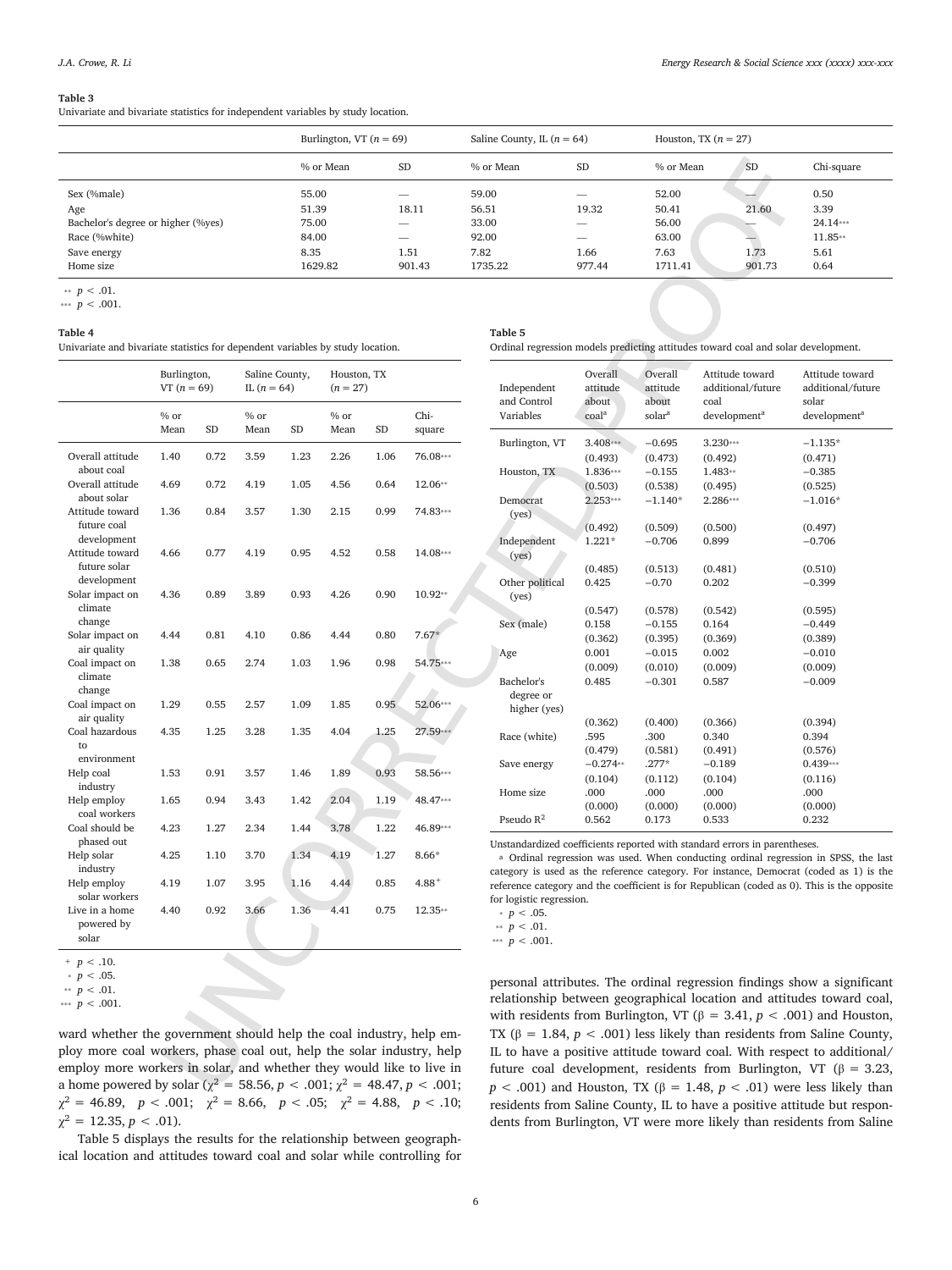#### **Table 3**

Univariate and bivariate statistics for independent variables by study location.

|                                    | Burlington, VT $(n = 69)$ |                          | Saline County, IL $(n = 64)$ |                          | Houston, TX $(n = 27)$ |           |            |
|------------------------------------|---------------------------|--------------------------|------------------------------|--------------------------|------------------------|-----------|------------|
|                                    | % or Mean                 | <b>SD</b>                | % or Mean                    | <b>SD</b>                | % or Mean              | <b>SD</b> | Chi-square |
| Sex (%male)                        | 55.00                     | $\overline{\phantom{a}}$ | 59.00                        | _                        | 52.00                  | _         | 0.50       |
| Age                                | 51.39                     | 18.11                    | 56.51                        | 19.32                    | 50.41                  | 21.60     | 3.39       |
| Bachelor's degree or higher (%yes) | 75.00                     |                          | 33.00                        | $\overline{\phantom{a}}$ | 56.00                  |           | $24.14***$ |
| Race (%white)                      | 84.00                     | $\hspace{0.05cm}$        | 92.00                        | _                        | 63.00                  |           | $11.85**$  |
| Save energy                        | 8.35                      | 1.51                     | 7.82                         | 1.66                     | 7.63                   | 1.73      | 5.61       |
| Home size                          | 1629.82                   | 901.43                   | 1735.22                      | 977.44                   | 1711.41                | 901.73    | 0.64       |

#### **Table 4**

|                                                                                           |               |      |                |       | % or Mean    |      | <b>SD</b>      | % or Mean                    | <b>SD</b>           | % or Mean          | <b>SD</b>                                                                                                                                                 | Chi              |
|-------------------------------------------------------------------------------------------|---------------|------|----------------|-------|--------------|------|----------------|------------------------------|---------------------|--------------------|-----------------------------------------------------------------------------------------------------------------------------------------------------------|------------------|
| Sex (%male)                                                                               |               |      |                | 55.00 |              |      |                | 59.00                        |                     | 52.00              |                                                                                                                                                           | 0.50             |
| Age                                                                                       |               |      |                | 51.39 |              |      | 18.11          | 56.51                        | 19.32               | 50.41              | 21.60                                                                                                                                                     | 3.39             |
| Bachelor's degree or higher (%yes)                                                        |               |      |                | 75.00 |              |      |                | 33.00                        |                     | 56.00              |                                                                                                                                                           | 24.1             |
| Race (%white)                                                                             |               |      |                | 84.00 |              |      |                | 92.00                        |                     | 63.00              |                                                                                                                                                           | 11.3             |
| Save energy                                                                               |               |      |                | 8.35  |              |      | 1.51           | 7.82                         | 1.66                | 7.63               | 1.73                                                                                                                                                      | 5.6              |
| Home size                                                                                 |               |      |                |       | 1629.82      |      | 901.43         | 1735.22                      | 977.44              | 1711.41            | 901.73                                                                                                                                                    | 0.6 <sup>4</sup> |
| <sup>∗</sup> <i>p</i> < .01.<br>*** $p < .001$ .<br>Table 4                               |               |      |                |       |              |      |                | Table 5                      |                     |                    |                                                                                                                                                           |                  |
| Univariate and bivariate statistics for dependent variables by study location.            |               |      |                |       |              |      |                |                              |                     |                    | Ordinal regression models predicting attitudes toward coal and solar develo                                                                               |                  |
|                                                                                           | Burlington,   |      | Saline County, |       | Houston, TX  |      |                |                              | Overall             | Overall            | Attitude toward                                                                                                                                           | Attitu           |
|                                                                                           | $VT (n = 69)$ |      | IL $(n = 64)$  |       | $(n = 27)$   |      |                | Independent                  | attitude            | attitude           | additional/future                                                                                                                                         | additi           |
|                                                                                           |               |      |                |       |              |      |                | and Control                  | about               | about              | coal                                                                                                                                                      | solar            |
|                                                                                           | % or<br>Mean  | SD   | $%$ or<br>Mean | SD    | % or<br>Mean | SD   | Chi-<br>square | Variables                    | coal <sup>a</sup>   | solara             | development <sup>a</sup>                                                                                                                                  | develo           |
|                                                                                           |               |      |                |       |              |      |                | Burlington, VT               | 3.408***            | $-0.695$           | 3.230***                                                                                                                                                  | $-1.13$          |
| Overall attitude                                                                          | 1.40          | 0.72 | 3.59           | 1.23  | 2.26         | 1.06 | 76.08***       |                              | (0.493)             | (0.473)            | (0.492)                                                                                                                                                   | (0.47)           |
| about coal                                                                                |               |      |                |       |              |      |                | Houston, TX                  | 1.836***            | $-0.155$           | 1.483**                                                                                                                                                   | $-0.38$          |
| Overall attitude                                                                          | 4.69          | 0.72 | 4.19           | 1.05  | 4.56         | 0.64 | 12.06**        |                              | (0.503)             | (0.538)            | (0.495)                                                                                                                                                   | (0.525)          |
| about solar<br>Attitude toward                                                            |               |      |                |       |              | 0.99 | 74.83***       | Democrat                     | $2.253***$          | $-1.140*$          | 2.286***                                                                                                                                                  | $-1.01$          |
| future coal                                                                               | 1.36          | 0.84 | 3.57           | 1.30  | 2.15         |      |                | (yes)                        |                     |                    |                                                                                                                                                           |                  |
| development                                                                               |               |      |                |       |              |      |                |                              | (0.492)<br>$1.221*$ | (0.509)            | (0.500)<br>0.899                                                                                                                                          | (0.497)          |
| Attitude toward                                                                           | 4.66          | 0.77 | 4.19           | 0.95  | 4.52         | 0.58 | 14.08***       | Independent<br>(yes)         |                     | $-0.706$           |                                                                                                                                                           | $-0.70$          |
| future solar                                                                              |               |      |                |       |              |      |                |                              | (0.485)             | (0.513)            | (0.481)                                                                                                                                                   | (0.510)          |
| development                                                                               |               |      |                |       |              |      |                | Other political              | 0.425               | $-0.70$            | 0.202                                                                                                                                                     | $-0.39$          |
| Solar impact on                                                                           | 4.36          | 0.89 | 3.89           | 0.93  | 4.26         | 0.90 | 10.92**        | (yes)                        |                     |                    |                                                                                                                                                           |                  |
| climate                                                                                   |               |      |                |       |              |      |                |                              | (0.547)             | (0.578)            | (0.542)                                                                                                                                                   | (0.595)          |
| change                                                                                    |               |      |                |       |              |      |                | Sex (male)                   | 0.158               | $-0.155$           | 0.164                                                                                                                                                     | $-0.44$          |
| Solar impact on                                                                           | 4.44          | 0.81 | 4.10           | 0.86  | 4.44         | 0.80 | $7.67*$        |                              | (0.362)             | (0.395)            | (0.369)                                                                                                                                                   | (0.389)          |
| air quality                                                                               |               |      |                |       |              |      |                | Age                          | 0.001               | $-0.015$           | 0.002                                                                                                                                                     | $-0.01$          |
| Coal impact on                                                                            | 1.38          | 0.65 | 2.74           | 1.03  | 1.96         | 0.98 | 54.75***       |                              | (0.009)             | (0.010)            | (0.009)                                                                                                                                                   | (0.009)          |
| climate                                                                                   |               |      |                |       |              |      |                | Bachelor's                   | 0.485               | $-0.301$           | 0.587                                                                                                                                                     | $-0.00$          |
| change<br>Coal impact on                                                                  | 1.29          | 0.55 | 2.57           | 1.09  | 1.85         | 0.95 | 52.06***       | degree or                    |                     |                    |                                                                                                                                                           |                  |
| air quality                                                                               |               |      |                |       |              |      |                | higher (yes)                 |                     |                    |                                                                                                                                                           |                  |
| Coal hazardous                                                                            | 4.35          | 1.25 | 3.28           | 1.35  | 4.04         | 1.25 | 27.59***       |                              | (0.362)             | (0.400)            | (0.366)                                                                                                                                                   | (0.394)          |
| to                                                                                        |               |      |                |       |              |      |                | Race (white)                 | .595<br>(0.479)     | .300               | 0.340<br>(0.491)                                                                                                                                          | 0.394<br>(0.576) |
| environment                                                                               |               |      |                |       |              |      |                | Save energy                  | $-0.274**$          | (0.581)<br>$.277*$ | $-0.189$                                                                                                                                                  | 0.439            |
| Help coal                                                                                 | 1.53          | 0.91 | 3.57           | 1.46  | 1.89         | 0.93 | 58.56***       |                              | (0.104)             | (0.112)            | (0.104)                                                                                                                                                   | (0.116)          |
| industry                                                                                  |               |      |                |       |              |      |                | Home size                    | .000                | .000               | .000                                                                                                                                                      | .000             |
| Help employ                                                                               | 1.65          | 0.94 | 3.43           | 1.42  | 2.04         | 1.19 | 48.47***       |                              | (0.000)             | (0.000)            | (0.000)                                                                                                                                                   | (0.000)          |
| coal workers                                                                              |               |      |                |       |              |      |                | Pseudo $R^2$                 | 0.562               | 0.173              | 0.533                                                                                                                                                     | 0.232            |
| Coal should be                                                                            | 4.23          | 1.27 | 2.34           | 1.44  | 3.78         | 1.22 | 46.89***       |                              |                     |                    |                                                                                                                                                           |                  |
| phased out<br>Help solar                                                                  | 4.25          | 1.10 | 3.70           | 1.34  | 4.19         | 1.27 | $8.66*$        |                              |                     |                    | Unstandardized coefficients reported with standard errors in parentheses.                                                                                 |                  |
| industry                                                                                  |               |      |                |       |              |      |                |                              |                     |                    | <sup>a</sup> Ordinal regression was used. When conducting ordinal regression in                                                                           |                  |
| Help employ                                                                               | 4.19          | 1.07 | 3.95           | 1.16  | 4.44         | 0.85 | $4.88^{+}$     |                              |                     |                    | category is used as the reference category. For instance, Democrat (code<br>reference category and the coefficient is for Republican (coded as 0). This i |                  |
| solar workers                                                                             |               |      |                |       |              |      |                | for logistic regression.     |                     |                    |                                                                                                                                                           |                  |
| Live in a home                                                                            | 4.40          | 0.92 | 3.66           | 1.36  | 4.41         | 0.75 | 12.35**        | $p < .05$ .                  |                     |                    |                                                                                                                                                           |                  |
| powered by                                                                                |               |      |                |       |              |      |                | <sup>∗</sup> <i>p</i> < .01. |                     |                    |                                                                                                                                                           |                  |
| solar                                                                                     |               |      |                |       |              |      |                | *** $p < .001$ .             |                     |                    |                                                                                                                                                           |                  |
| + $p < .10$ .                                                                             |               |      |                |       |              |      |                |                              |                     |                    |                                                                                                                                                           |                  |
| $p < .05$ .                                                                               |               |      |                |       |              |      |                |                              |                     |                    |                                                                                                                                                           |                  |
| <sup>∗</sup> <i>p</i> < .01.                                                              |               |      |                |       |              |      |                |                              |                     |                    | personal attributes. The ordinal regression findings show a                                                                                               |                  |
| *** $p < .001$ .                                                                          |               |      |                |       |              |      |                |                              |                     |                    | relationship between geographical location and attitudes to                                                                                               |                  |
|                                                                                           |               |      |                |       |              |      |                |                              |                     |                    | with residents from Burlington, VT ( $\beta$ = 3.41, $p$ < .001) an                                                                                       |                  |
| ward whether the government should help the coal industry, help em-                       |               |      |                |       |              |      |                |                              |                     |                    | TX ( $\beta$ = 1.84, $p$ < .001) less likely than residents from Sali                                                                                     |                  |
| ploy more coal workers, phase coal out, help the solar industry, help                     |               |      |                |       |              |      |                |                              |                     |                    | IL to have a positive attitude toward coal. With respect to                                                                                               |                  |
| employ more workers in solar, and whether they would like to live in                      |               |      |                |       |              |      |                |                              |                     |                    |                                                                                                                                                           |                  |
|                                                                                           |               |      |                |       |              |      |                |                              |                     |                    | future coal development, residents from Burlington, VT                                                                                                    |                  |
| a home powered by solar ( $\chi^2 = 58.56$ , $p < .001$ ; $\chi^2 = 48.47$ , $p < .001$ ; |               |      |                |       |              |      |                |                              |                     |                    | $p < .001$ ) and Houston, TX ( $\beta = 1.48$ , $p < .01$ ) were less                                                                                     |                  |

 $+p < .10$ .

ward whether the government should help the coal industry, help employ more coal workers, phase coal out, help the solar industry, help employ more workers in solar, and whether they would like to live in a home powered by solar ( $\chi^2 = 58.56, p < .001; \chi^2 = 48.47, p < .001;$  $\chi^2 = 46.89$ ,  $p < .001$ ;  $\chi^2 = 8.66$ ,  $p < .05$ ;  $\chi^2 = 4.88$ ,  $p < .10$ ;  $\chi^2 = 12.35, p < .01$ ).

Table 5 displays the results for the relationship between geographical location and attitudes toward coal and solar while controlling for

| Independent<br>and Control<br>Variables | Overall<br>attitude<br>about<br>coal <sup>a</sup> | Overall<br>attitude<br>about<br>solarª | Attitude toward<br>additional/future<br>coal<br>development <sup>a</sup> | Attitude toward<br>additional/future<br>solar<br>development <sup>a</sup> |
|-----------------------------------------|---------------------------------------------------|----------------------------------------|--------------------------------------------------------------------------|---------------------------------------------------------------------------|
| Burlington, VT                          | 3.408***                                          | $-0.695$                               | 3.230***                                                                 | $-1.135*$                                                                 |
|                                         | (0.493)                                           | (0.473)                                | (0.492)                                                                  | (0.471)                                                                   |
| Houston, TX                             | 1.836***                                          | $-0.155$                               | 1.483**                                                                  | $-0.385$                                                                  |
|                                         | (0.503)                                           | (0.538)                                | (0.495)                                                                  | (0.525)                                                                   |
| Democrat<br>(yes)                       | 2.253***                                          | $-1.140*$                              | 2.286***                                                                 | $-1.016*$                                                                 |
|                                         | (0.492)                                           | (0.509)                                | (0.500)                                                                  | (0.497)                                                                   |
| Independent<br>( <b>ves</b> )           | $1.221*$                                          | $-0.706$                               | 0.899                                                                    | $-0.706$                                                                  |
|                                         | (0.485)                                           | (0.513)                                | (0.481)                                                                  | (0.510)                                                                   |
| Other political<br>(yes)                | 0.425                                             | $-0.70$                                | 0.202                                                                    | $-0.399$                                                                  |
|                                         | (0.547)                                           | (0.578)                                | (0.542)                                                                  | (0.595)                                                                   |
| Sex (male)                              | 0.158                                             | $-0.155$                               | 0.164                                                                    | $-0.449$                                                                  |
|                                         | (0.362)                                           | (0.395)                                | (0.369)                                                                  | (0.389)                                                                   |
| Age                                     | 0.001                                             | $-0.015$                               | 0.002                                                                    | $-0.010$                                                                  |
|                                         | (0.009)                                           | (0.010)                                | (0.009)                                                                  | (0.009)                                                                   |
| Bachelor's<br>degree or<br>higher (yes) | 0.485                                             | $-0.301$                               | 0.587                                                                    | $-0.009$                                                                  |
|                                         | (0.362)                                           | (0.400)                                | (0.366)                                                                  | (0.394)                                                                   |
| Race (white)                            | .595                                              | .300                                   | 0.340                                                                    | 0.394                                                                     |
|                                         | (0.479)                                           | (0.581)                                | (0.491)                                                                  | (0.576)                                                                   |
| Save energy                             | $-0.274**$                                        | $.277*$                                | $-0.189$                                                                 | $0.439***$                                                                |
|                                         | (0.104)                                           | (0.112)                                | (0.104)                                                                  | (0.116)                                                                   |
| Home size                               | .000                                              | .000                                   | .000                                                                     | .000                                                                      |
|                                         | (0.000)                                           | (0.000)                                | (0.000)                                                                  | (0.000)                                                                   |
| Pseudo $R^2$                            | 0.562                                             | 0.173                                  | 0.533                                                                    | 0.232                                                                     |

Ordinal regression models predicting attitudes toward coal and solar development.

<sup>a</sup> Ordinal regression was used. When conducting ordinal regression in SPSS, the last category is used as the reference category. For instance, Democrat (coded as 1) is the reference category and the coefficient is for Republican (coded as 0). This is the opposite for logistic regression.

personal attributes. The ordinal regression findings show a significant relationship between geographical location and attitudes toward coal, with residents from Burlington, VT ( $β = 3.41, p < .001$ ) and Houston, TX ( $\beta$  = 1.84,  $p < .001$ ) less likely than residents from Saline County, IL to have a positive attitude toward coal. With respect to additional/ future coal development, residents from Burlington, VT (β = 3.23, *p* < .001) and Houston, TX (β = 1.48, *p* < .01) were less likely than residents from Saline County, IL to have a positive attitude but respondents from Burlington, VT were more likely than residents from Saline

 $p < .05$ .

<sup>&</sup>lt;sup>∗</sup> *p* < .01.

<sup>\*\*\*</sup>  $p < .001$ .

 $p < .05$ .

<sup>&</sup>lt;sup>∗</sup>*∗ p* < .01.

<sup>\*\*\*</sup>  $p < .001$ .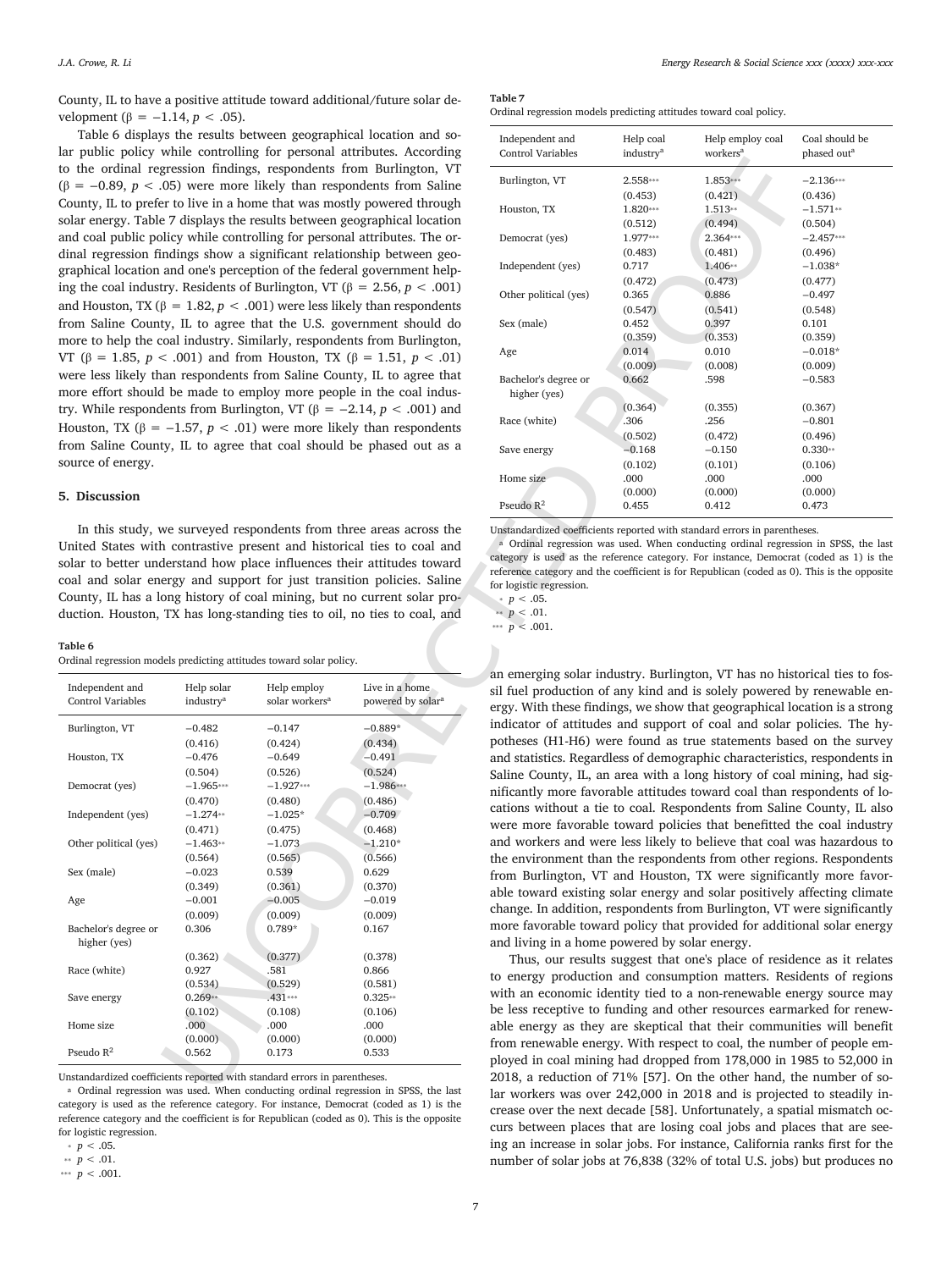County, IL to have a positive attitude toward additional/future solar development (β = -1.14, *p* < .05).

Table 6 displays the results between geographical location and solar public policy while controlling for personal attributes. According to the ordinal regression findings, respondents from Burlington, VT ( $\beta$  = −0.89, *p* < .05) were more likely than respondents from Saline County, IL to prefer to live in a home that was mostly powered through solar energy. Table 7 displays the results between geographical location and coal public policy while controlling for personal attributes. The ordinal regression findings show a significant relationship between geographical location and one's perception of the federal government helping the coal industry. Residents of Burlington, VT ( $\beta$  = 2.56, *p* < .001) and Houston, TX ( $β = 1.82, p < .001$ ) were less likely than respondents from Saline County, IL to agree that the U.S. government should do more to help the coal industry. Similarly, respondents from Burlington, VT (β = 1.85, *p* < .001) and from Houston, TX (β = 1.51, *p* < .01) were less likely than respondents from Saline County, IL to agree that more effort should be made to employ more people in the coal industry. While respondents from Burlington, VT ( $β = -2.14, p < .001$ ) and Houston, TX ( $β = -1.57$ ,  $p < .01$ ) were more likely than respondents from Saline County, IL to agree that coal should be phased out as a source of energy.

#### **5. Discussion**

In this study, we surveyed respondents from three areas across the United States with contrastive present and historical ties to coal and solar to better understand how place influences their attitudes toward coal and solar energy and support for just transition policies. Saline County, IL has a long history of coal mining, but no current solar production. Houston, TX has long-standing ties to oil, no ties to coal, and

|--|--|

| Ordinal regression models predicting attitudes toward solar policy. |  |  |  |  |  |  |
|---------------------------------------------------------------------|--|--|--|--|--|--|
|---------------------------------------------------------------------|--|--|--|--|--|--|

| Independent and<br><b>Control Variables</b> | Help solar<br>industry <sup>a</sup> | Help employ<br>solar workers <sup>a</sup> | Live in a home<br>powered by solar <sup>a</sup> |
|---------------------------------------------|-------------------------------------|-------------------------------------------|-------------------------------------------------|
| Burlington, VT                              | $-0.482$                            | $-0.147$                                  | $-0.889*$                                       |
|                                             | (0.416)                             | (0.424)                                   | (0.434)                                         |
| Houston, TX                                 | $-0.476$                            | $-0.649$                                  | $-0.491$                                        |
|                                             | (0.504)                             | (0.526)                                   | (0.524)                                         |
| Democrat (yes)                              | $-1.965***$                         | $-1.927***$                               | $-1.986***$                                     |
|                                             | (0.470)                             | (0.480)                                   | (0.486)                                         |
| Independent (yes)                           | $-1.274**$                          | $-1.025*$                                 | $-0.709$                                        |
|                                             | (0.471)                             | (0.475)                                   | (0.468)                                         |
| Other political (yes)                       | $-1.463**$                          | $-1.073$                                  | $-1.210*$                                       |
|                                             | (0.564)                             | (0.565)                                   | (0.566)                                         |
| Sex (male)                                  | $-0.023$                            | 0.539                                     | 0.629                                           |
|                                             | (0.349)                             | (0.361)                                   | (0.370)                                         |
| Age                                         | $-0.001$                            | $-0.005$                                  | $-0.019$                                        |
|                                             | (0.009)                             | (0.009)                                   | (0.009)                                         |
| Bachelor's degree or<br>higher (yes)        | 0.306                               | $0.789*$                                  | 0.167                                           |
|                                             | (0.362)                             | (0.377)                                   | (0.378)                                         |
| Race (white)                                | 0.927                               | .581                                      | 0.866                                           |
|                                             | (0.534)                             | (0.529)                                   | (0.581)                                         |
| Save energy                                 | $0.269**$                           | .431***                                   | $0.325**$                                       |
|                                             | (0.102)                             | (0.108)                                   | (0.106)                                         |
| Home size                                   | .000                                | .000                                      | .000                                            |
|                                             | (0.000)                             | (0.000)                                   | (0.000)                                         |
| Pseudo $R^2$                                | 0.562                               | 0.173                                     | 0.533                                           |

Unstandardized coefficients reported with standard errors in parentheses.

a Ordinal regression was used. When conducting ordinal regression in SPSS, the last category is used as the reference category. For instance, Democrat (coded as 1) is the reference category and the coefficient is for Republican (coded as 0). This is the opposite for logistic regression.

**Table 7**

|  |  |  |  | Ordinal regression models predicting attitudes toward coal policy. |  |  |  |  |
|--|--|--|--|--------------------------------------------------------------------|--|--|--|--|
|--|--|--|--|--------------------------------------------------------------------|--|--|--|--|

| gression findings, respondents from Burlington, VT<br>2.558***<br>1.853***<br>$-2.136***$<br>Burlington, VT<br>05) were more likely than respondents from Saline<br>(0.421)<br>(0.453)<br>(0.436)<br>er to live in a home that was mostly powered through<br>1.820***<br>$-1.571**$<br>Houston, TX<br>$1.513**$<br>E 7 displays the results between geographical location<br>(0.512)<br>(0.494)<br>(0.504)<br>licy while controlling for personal attributes. The or-<br>Democrat (yes)<br>1.977***<br>2.364***<br>$-2.457***$<br>(0.481)<br>(0.496)<br>ndings show a significant relationship between geo-<br>(0.483)<br>Independent (yes)<br>0.717<br>1.406**<br>$-1.038*$<br>and one's perception of the federal government help-<br>(0.472)<br>(0.473)<br>(0.477)<br>try. Residents of Burlington, VT ( $\beta$ = 2.56, <i>p</i> < .001)<br>Other political (yes)<br>0.886<br>$-0.497$<br>0.365<br>$\beta = 1.82, p < .001$ ) were less likely than respondents<br>(0.547)<br>(0.541)<br>(0.548)<br>ty, IL to agree that the U.S. government should do<br>0.452<br>0.397<br>0.101<br>Sex (male)<br>(0.359)<br>(0.353)<br>(0.359)<br>coal industry. Similarly, respondents from Burlington,<br>0.010<br>Age<br>0.014<br>$-0.018*$<br>< .001) and from Houston, TX (β = 1.51, $p < .01$ )<br>(0.009)<br>(0.008)<br>(0.009)<br>an respondents from Saline County, IL to agree that<br>Bachelor's degree or<br>0.662<br>.598<br>$-0.583$<br>I be made to employ more people in the coal indus-<br>higher (yes)<br>(0.364)<br>(0.355)<br>(0.367)<br>lents from Burlington, VT ( $\beta$ = -2.14, $p$ < .001) and<br>.306<br>Race (white)<br>.256<br>$-0.801$<br>$-1.57, p < .01$ ) were more likely than respondents<br>(0.502)<br>(0.472)<br>(0.496)<br>ty, IL to agree that coal should be phased out as a<br>Save energy<br>$-0.168$<br>$-0.150$<br>$0.330**$<br>(0.102)<br>(0.101)<br>(0.106)<br>.000<br>.000<br>.000<br>Home size<br>(0.000)<br>(0.000)<br>(0.000)<br>Pseudo $R^2$<br>0.455<br>0.412<br>0.473<br>we surveyed respondents from three areas across the<br>Unstandardized coefficients reported with standard errors in parentheses.<br><sup>a</sup> Ordinal regression was used. When conducting ordinal regression in SPSS, the last<br>n contrastive present and historical ties to coal and<br>category is used as the reference category. For instance, Democrat (coded as 1) is the<br>derstand how place influences their attitudes toward<br>reference category and the coefficient is for Republican (coded as 0). This is the opposite<br>ergy and support for just transition policies. Saline<br>for logistic regression.<br>ong history of coal mining, but no current solar pro-<br>• $p < .05$ .<br>TX has long-standing ties to oil, no ties to coal, and<br>** $p < .01$ .<br>*** $p < .001$ .<br>lels predicting attitudes toward solar policy.<br>an emerging solar industry. Burlington, VT has no historical ties to fos-<br>Live in a home<br>Help solar<br>Help employ<br>sil fuel production of any kind and is solely powered by renewable en-<br>solar workers <sup>a</sup><br>powered by solar <sup>a</sup><br>industry <sup>a</sup><br>ergy. With these findings, we show that geographical location is a strong<br>indicator of attitudes and support of coal and solar policies. The hy-<br>$-0.482$<br>$-0.147$<br>$-0.889*$<br>potheses (H1-H6) were found as true statements based on the survey<br>(0.434)<br>(0.416)<br>(0.424)<br>$-0.476$<br>$-0.649$<br>$-0.491$<br>and statistics. Regardless of demographic characteristics, respondents in<br>(0.504)<br>(0.524)<br>(0.526)<br>Saline County, IL, an area with a long history of coal mining, had sig-<br>$-1.965***$<br>$-1.927***$<br>$-1.986***$<br>nificantly more favorable attitudes toward coal than respondents of lo-<br>(0.470)<br>(0.486)<br>(0.480)<br>cations without a tie to coal. Respondents from Saline County, IL also<br>$-1.274**$<br>$-1.025*$<br>$-0.709$<br>were more favorable toward policies that benefitted the coal industry<br>(0.471)<br>(0.468)<br>(0.475)<br>and workers and were less likely to believe that coal was hazardous to<br>$-1.210*$<br>$-1.463**$<br>$-1.073$<br>the environment than the respondents from other regions. Respondents<br>(0.564)<br>(0.565)<br>(0.566)<br>$-0.023$<br>0.539<br>0.629<br>from Burlington, VT and Houston, TX were significantly more favor-<br>(0.349)<br>(0.370)<br>(0.361)<br>able toward existing solar energy and solar positively affecting climate<br>$-0.005$<br>$-0.001$<br>$-0.019$<br>change. In addition, respondents from Burlington, VT were significantly<br>(0.009)<br>(0.009)<br>(0.009)<br>more favorable toward policy that provided for additional solar energy<br>0.789*<br>0.306<br>0.167<br>and living in a home powered by solar energy.<br>(0.362)<br>(0.377)<br>(0.378)<br>Thus, our results suggest that one's place of residence as it relates<br>0.927<br>.581<br>0.866<br>to energy production and consumption matters. Residents of regions<br>(0.534)<br>(0.529)<br>(0.581)<br>with an economic identity tied to a non-renewable energy source may<br>$0.269**$<br>$.431***$<br>$0.325**$<br>be less receptive to funding and other resources earmarked for renew-<br>(0.102)<br>(0.108)<br>(0.106)<br>.000<br>.000<br>.000<br>able energy as they are skeptical that their communities will benefit<br>(0.000)<br>(0.000)<br>(0.000)<br>from renewable energy. With respect to coal, the number of people em-<br>0.562<br>0.173<br>0.533<br>ployed in coal mining had dropped from 178,000 in 1985 to 52,000 in<br>2018, a reduction of 71% [57]. On the other hand, the number of so-<br>ients reported with standard errors in parentheses.<br>was used. When conducting ordinal regression in SDSS, the last<br>$000 \div$<br>0010 |  | s the results between geographical location and so-<br>while controlling for personal attributes. According | Independent and<br>Control Variables | Help coal<br>industry <sup>a</sup> | Help employ coal<br>workers <sup>a</sup> | Coal should be<br>phased out <sup>a</sup> |
|--------------------------------------------------------------------------------------------------------------------------------------------------------------------------------------------------------------------------------------------------------------------------------------------------------------------------------------------------------------------------------------------------------------------------------------------------------------------------------------------------------------------------------------------------------------------------------------------------------------------------------------------------------------------------------------------------------------------------------------------------------------------------------------------------------------------------------------------------------------------------------------------------------------------------------------------------------------------------------------------------------------------------------------------------------------------------------------------------------------------------------------------------------------------------------------------------------------------------------------------------------------------------------------------------------------------------------------------------------------------------------------------------------------------------------------------------------------------------------------------------------------------------------------------------------------------------------------------------------------------------------------------------------------------------------------------------------------------------------------------------------------------------------------------------------------------------------------------------------------------------------------------------------------------------------------------------------------------------------------------------------------------------------------------------------------------------------------------------------------------------------------------------------------------------------------------------------------------------------------------------------------------------------------------------------------------------------------------------------------------------------------------------------------------------------------------------------------------------------------------------------------------------------------------------------------------------------------------------------------------------------------------------------------------------------------------------------------------------------------------------------------------------------------------------------------------------------------------------------------------------------------------------------------------------------------------------------------------------------------------------------------------------------------------------------------------------------------------------------------------------------------------------------------------------------------------------------------------------------------------------------------------------------------------------------------------------------------------------------------------------------------------------------------------------------------------------------------------------------------------------------------------------------------------------------------------------------------------------------------------------------------------------------------------------------------------------------------------------------------------------------------------------------------------------------------------------------------------------------------------------------------------------------------------------------------------------------------------------------------------------------------------------------------------------------------------------------------------------------------------------------------------------------------------------------------------------------------------------------------------------------------------------------------------------------------------------------------------------------------------------------------------------------------------------------------------------------------------------------------------------------------------------------------------------------------------------------------------------------------------------------------------------------------------------------------------------------------------------------------------------------------------------------------------------------------------------------------------------------------------------------------------------------------------------------------------------------------------------------------------------------------------------------------------------------------------------------------------------------------------------------------------------------------------------------------------------------------------------------------------------------------------------------------------------------------------------------------------------------------------------------------------------------------------------------------------------------------------------------------------------------------------------------------------------------------------------------------------------------------------------------------------------------------------------------------------------------------------------------------------------------------------------------------------------------------------------------------------------------------|--|-------------------------------------------------------------------------------------------------------------|--------------------------------------|------------------------------------|------------------------------------------|-------------------------------------------|
|                                                                                                                                                                                                                                                                                                                                                                                                                                                                                                                                                                                                                                                                                                                                                                                                                                                                                                                                                                                                                                                                                                                                                                                                                                                                                                                                                                                                                                                                                                                                                                                                                                                                                                                                                                                                                                                                                                                                                                                                                                                                                                                                                                                                                                                                                                                                                                                                                                                                                                                                                                                                                                                                                                                                                                                                                                                                                                                                                                                                                                                                                                                                                                                                                                                                                                                                                                                                                                                                                                                                                                                                                                                                                                                                                                                                                                                                                                                                                                                                                                                                                                                                                                                                                                                                                                                                                                                                                                                                                                                                                                                                                                                                                                                                                                                                                                                                                                                                                                                                                                                                                                                                                                                                                                                                                                                                                                                                                                                                                                                                                                                                                                                                                                                                                                                                                                                              |  |                                                                                                             |                                      |                                    |                                          |                                           |
|                                                                                                                                                                                                                                                                                                                                                                                                                                                                                                                                                                                                                                                                                                                                                                                                                                                                                                                                                                                                                                                                                                                                                                                                                                                                                                                                                                                                                                                                                                                                                                                                                                                                                                                                                                                                                                                                                                                                                                                                                                                                                                                                                                                                                                                                                                                                                                                                                                                                                                                                                                                                                                                                                                                                                                                                                                                                                                                                                                                                                                                                                                                                                                                                                                                                                                                                                                                                                                                                                                                                                                                                                                                                                                                                                                                                                                                                                                                                                                                                                                                                                                                                                                                                                                                                                                                                                                                                                                                                                                                                                                                                                                                                                                                                                                                                                                                                                                                                                                                                                                                                                                                                                                                                                                                                                                                                                                                                                                                                                                                                                                                                                                                                                                                                                                                                                                                              |  |                                                                                                             |                                      |                                    |                                          |                                           |
|                                                                                                                                                                                                                                                                                                                                                                                                                                                                                                                                                                                                                                                                                                                                                                                                                                                                                                                                                                                                                                                                                                                                                                                                                                                                                                                                                                                                                                                                                                                                                                                                                                                                                                                                                                                                                                                                                                                                                                                                                                                                                                                                                                                                                                                                                                                                                                                                                                                                                                                                                                                                                                                                                                                                                                                                                                                                                                                                                                                                                                                                                                                                                                                                                                                                                                                                                                                                                                                                                                                                                                                                                                                                                                                                                                                                                                                                                                                                                                                                                                                                                                                                                                                                                                                                                                                                                                                                                                                                                                                                                                                                                                                                                                                                                                                                                                                                                                                                                                                                                                                                                                                                                                                                                                                                                                                                                                                                                                                                                                                                                                                                                                                                                                                                                                                                                                                              |  |                                                                                                             |                                      |                                    |                                          |                                           |
|                                                                                                                                                                                                                                                                                                                                                                                                                                                                                                                                                                                                                                                                                                                                                                                                                                                                                                                                                                                                                                                                                                                                                                                                                                                                                                                                                                                                                                                                                                                                                                                                                                                                                                                                                                                                                                                                                                                                                                                                                                                                                                                                                                                                                                                                                                                                                                                                                                                                                                                                                                                                                                                                                                                                                                                                                                                                                                                                                                                                                                                                                                                                                                                                                                                                                                                                                                                                                                                                                                                                                                                                                                                                                                                                                                                                                                                                                                                                                                                                                                                                                                                                                                                                                                                                                                                                                                                                                                                                                                                                                                                                                                                                                                                                                                                                                                                                                                                                                                                                                                                                                                                                                                                                                                                                                                                                                                                                                                                                                                                                                                                                                                                                                                                                                                                                                                                              |  |                                                                                                             |                                      |                                    |                                          |                                           |
|                                                                                                                                                                                                                                                                                                                                                                                                                                                                                                                                                                                                                                                                                                                                                                                                                                                                                                                                                                                                                                                                                                                                                                                                                                                                                                                                                                                                                                                                                                                                                                                                                                                                                                                                                                                                                                                                                                                                                                                                                                                                                                                                                                                                                                                                                                                                                                                                                                                                                                                                                                                                                                                                                                                                                                                                                                                                                                                                                                                                                                                                                                                                                                                                                                                                                                                                                                                                                                                                                                                                                                                                                                                                                                                                                                                                                                                                                                                                                                                                                                                                                                                                                                                                                                                                                                                                                                                                                                                                                                                                                                                                                                                                                                                                                                                                                                                                                                                                                                                                                                                                                                                                                                                                                                                                                                                                                                                                                                                                                                                                                                                                                                                                                                                                                                                                                                                              |  |                                                                                                             |                                      |                                    |                                          |                                           |
|                                                                                                                                                                                                                                                                                                                                                                                                                                                                                                                                                                                                                                                                                                                                                                                                                                                                                                                                                                                                                                                                                                                                                                                                                                                                                                                                                                                                                                                                                                                                                                                                                                                                                                                                                                                                                                                                                                                                                                                                                                                                                                                                                                                                                                                                                                                                                                                                                                                                                                                                                                                                                                                                                                                                                                                                                                                                                                                                                                                                                                                                                                                                                                                                                                                                                                                                                                                                                                                                                                                                                                                                                                                                                                                                                                                                                                                                                                                                                                                                                                                                                                                                                                                                                                                                                                                                                                                                                                                                                                                                                                                                                                                                                                                                                                                                                                                                                                                                                                                                                                                                                                                                                                                                                                                                                                                                                                                                                                                                                                                                                                                                                                                                                                                                                                                                                                                              |  |                                                                                                             |                                      |                                    |                                          |                                           |
|                                                                                                                                                                                                                                                                                                                                                                                                                                                                                                                                                                                                                                                                                                                                                                                                                                                                                                                                                                                                                                                                                                                                                                                                                                                                                                                                                                                                                                                                                                                                                                                                                                                                                                                                                                                                                                                                                                                                                                                                                                                                                                                                                                                                                                                                                                                                                                                                                                                                                                                                                                                                                                                                                                                                                                                                                                                                                                                                                                                                                                                                                                                                                                                                                                                                                                                                                                                                                                                                                                                                                                                                                                                                                                                                                                                                                                                                                                                                                                                                                                                                                                                                                                                                                                                                                                                                                                                                                                                                                                                                                                                                                                                                                                                                                                                                                                                                                                                                                                                                                                                                                                                                                                                                                                                                                                                                                                                                                                                                                                                                                                                                                                                                                                                                                                                                                                                              |  |                                                                                                             |                                      |                                    |                                          |                                           |
|                                                                                                                                                                                                                                                                                                                                                                                                                                                                                                                                                                                                                                                                                                                                                                                                                                                                                                                                                                                                                                                                                                                                                                                                                                                                                                                                                                                                                                                                                                                                                                                                                                                                                                                                                                                                                                                                                                                                                                                                                                                                                                                                                                                                                                                                                                                                                                                                                                                                                                                                                                                                                                                                                                                                                                                                                                                                                                                                                                                                                                                                                                                                                                                                                                                                                                                                                                                                                                                                                                                                                                                                                                                                                                                                                                                                                                                                                                                                                                                                                                                                                                                                                                                                                                                                                                                                                                                                                                                                                                                                                                                                                                                                                                                                                                                                                                                                                                                                                                                                                                                                                                                                                                                                                                                                                                                                                                                                                                                                                                                                                                                                                                                                                                                                                                                                                                                              |  |                                                                                                             |                                      |                                    |                                          |                                           |
|                                                                                                                                                                                                                                                                                                                                                                                                                                                                                                                                                                                                                                                                                                                                                                                                                                                                                                                                                                                                                                                                                                                                                                                                                                                                                                                                                                                                                                                                                                                                                                                                                                                                                                                                                                                                                                                                                                                                                                                                                                                                                                                                                                                                                                                                                                                                                                                                                                                                                                                                                                                                                                                                                                                                                                                                                                                                                                                                                                                                                                                                                                                                                                                                                                                                                                                                                                                                                                                                                                                                                                                                                                                                                                                                                                                                                                                                                                                                                                                                                                                                                                                                                                                                                                                                                                                                                                                                                                                                                                                                                                                                                                                                                                                                                                                                                                                                                                                                                                                                                                                                                                                                                                                                                                                                                                                                                                                                                                                                                                                                                                                                                                                                                                                                                                                                                                                              |  |                                                                                                             |                                      |                                    |                                          |                                           |
|                                                                                                                                                                                                                                                                                                                                                                                                                                                                                                                                                                                                                                                                                                                                                                                                                                                                                                                                                                                                                                                                                                                                                                                                                                                                                                                                                                                                                                                                                                                                                                                                                                                                                                                                                                                                                                                                                                                                                                                                                                                                                                                                                                                                                                                                                                                                                                                                                                                                                                                                                                                                                                                                                                                                                                                                                                                                                                                                                                                                                                                                                                                                                                                                                                                                                                                                                                                                                                                                                                                                                                                                                                                                                                                                                                                                                                                                                                                                                                                                                                                                                                                                                                                                                                                                                                                                                                                                                                                                                                                                                                                                                                                                                                                                                                                                                                                                                                                                                                                                                                                                                                                                                                                                                                                                                                                                                                                                                                                                                                                                                                                                                                                                                                                                                                                                                                                              |  |                                                                                                             |                                      |                                    |                                          |                                           |
|                                                                                                                                                                                                                                                                                                                                                                                                                                                                                                                                                                                                                                                                                                                                                                                                                                                                                                                                                                                                                                                                                                                                                                                                                                                                                                                                                                                                                                                                                                                                                                                                                                                                                                                                                                                                                                                                                                                                                                                                                                                                                                                                                                                                                                                                                                                                                                                                                                                                                                                                                                                                                                                                                                                                                                                                                                                                                                                                                                                                                                                                                                                                                                                                                                                                                                                                                                                                                                                                                                                                                                                                                                                                                                                                                                                                                                                                                                                                                                                                                                                                                                                                                                                                                                                                                                                                                                                                                                                                                                                                                                                                                                                                                                                                                                                                                                                                                                                                                                                                                                                                                                                                                                                                                                                                                                                                                                                                                                                                                                                                                                                                                                                                                                                                                                                                                                                              |  |                                                                                                             |                                      |                                    |                                          |                                           |
|                                                                                                                                                                                                                                                                                                                                                                                                                                                                                                                                                                                                                                                                                                                                                                                                                                                                                                                                                                                                                                                                                                                                                                                                                                                                                                                                                                                                                                                                                                                                                                                                                                                                                                                                                                                                                                                                                                                                                                                                                                                                                                                                                                                                                                                                                                                                                                                                                                                                                                                                                                                                                                                                                                                                                                                                                                                                                                                                                                                                                                                                                                                                                                                                                                                                                                                                                                                                                                                                                                                                                                                                                                                                                                                                                                                                                                                                                                                                                                                                                                                                                                                                                                                                                                                                                                                                                                                                                                                                                                                                                                                                                                                                                                                                                                                                                                                                                                                                                                                                                                                                                                                                                                                                                                                                                                                                                                                                                                                                                                                                                                                                                                                                                                                                                                                                                                                              |  |                                                                                                             |                                      |                                    |                                          |                                           |
|                                                                                                                                                                                                                                                                                                                                                                                                                                                                                                                                                                                                                                                                                                                                                                                                                                                                                                                                                                                                                                                                                                                                                                                                                                                                                                                                                                                                                                                                                                                                                                                                                                                                                                                                                                                                                                                                                                                                                                                                                                                                                                                                                                                                                                                                                                                                                                                                                                                                                                                                                                                                                                                                                                                                                                                                                                                                                                                                                                                                                                                                                                                                                                                                                                                                                                                                                                                                                                                                                                                                                                                                                                                                                                                                                                                                                                                                                                                                                                                                                                                                                                                                                                                                                                                                                                                                                                                                                                                                                                                                                                                                                                                                                                                                                                                                                                                                                                                                                                                                                                                                                                                                                                                                                                                                                                                                                                                                                                                                                                                                                                                                                                                                                                                                                                                                                                                              |  |                                                                                                             |                                      |                                    |                                          |                                           |
|                                                                                                                                                                                                                                                                                                                                                                                                                                                                                                                                                                                                                                                                                                                                                                                                                                                                                                                                                                                                                                                                                                                                                                                                                                                                                                                                                                                                                                                                                                                                                                                                                                                                                                                                                                                                                                                                                                                                                                                                                                                                                                                                                                                                                                                                                                                                                                                                                                                                                                                                                                                                                                                                                                                                                                                                                                                                                                                                                                                                                                                                                                                                                                                                                                                                                                                                                                                                                                                                                                                                                                                                                                                                                                                                                                                                                                                                                                                                                                                                                                                                                                                                                                                                                                                                                                                                                                                                                                                                                                                                                                                                                                                                                                                                                                                                                                                                                                                                                                                                                                                                                                                                                                                                                                                                                                                                                                                                                                                                                                                                                                                                                                                                                                                                                                                                                                                              |  |                                                                                                             |                                      |                                    |                                          |                                           |
|                                                                                                                                                                                                                                                                                                                                                                                                                                                                                                                                                                                                                                                                                                                                                                                                                                                                                                                                                                                                                                                                                                                                                                                                                                                                                                                                                                                                                                                                                                                                                                                                                                                                                                                                                                                                                                                                                                                                                                                                                                                                                                                                                                                                                                                                                                                                                                                                                                                                                                                                                                                                                                                                                                                                                                                                                                                                                                                                                                                                                                                                                                                                                                                                                                                                                                                                                                                                                                                                                                                                                                                                                                                                                                                                                                                                                                                                                                                                                                                                                                                                                                                                                                                                                                                                                                                                                                                                                                                                                                                                                                                                                                                                                                                                                                                                                                                                                                                                                                                                                                                                                                                                                                                                                                                                                                                                                                                                                                                                                                                                                                                                                                                                                                                                                                                                                                                              |  |                                                                                                             |                                      |                                    |                                          |                                           |
|                                                                                                                                                                                                                                                                                                                                                                                                                                                                                                                                                                                                                                                                                                                                                                                                                                                                                                                                                                                                                                                                                                                                                                                                                                                                                                                                                                                                                                                                                                                                                                                                                                                                                                                                                                                                                                                                                                                                                                                                                                                                                                                                                                                                                                                                                                                                                                                                                                                                                                                                                                                                                                                                                                                                                                                                                                                                                                                                                                                                                                                                                                                                                                                                                                                                                                                                                                                                                                                                                                                                                                                                                                                                                                                                                                                                                                                                                                                                                                                                                                                                                                                                                                                                                                                                                                                                                                                                                                                                                                                                                                                                                                                                                                                                                                                                                                                                                                                                                                                                                                                                                                                                                                                                                                                                                                                                                                                                                                                                                                                                                                                                                                                                                                                                                                                                                                                              |  |                                                                                                             |                                      |                                    |                                          |                                           |
|                                                                                                                                                                                                                                                                                                                                                                                                                                                                                                                                                                                                                                                                                                                                                                                                                                                                                                                                                                                                                                                                                                                                                                                                                                                                                                                                                                                                                                                                                                                                                                                                                                                                                                                                                                                                                                                                                                                                                                                                                                                                                                                                                                                                                                                                                                                                                                                                                                                                                                                                                                                                                                                                                                                                                                                                                                                                                                                                                                                                                                                                                                                                                                                                                                                                                                                                                                                                                                                                                                                                                                                                                                                                                                                                                                                                                                                                                                                                                                                                                                                                                                                                                                                                                                                                                                                                                                                                                                                                                                                                                                                                                                                                                                                                                                                                                                                                                                                                                                                                                                                                                                                                                                                                                                                                                                                                                                                                                                                                                                                                                                                                                                                                                                                                                                                                                                                              |  |                                                                                                             |                                      |                                    |                                          |                                           |
|                                                                                                                                                                                                                                                                                                                                                                                                                                                                                                                                                                                                                                                                                                                                                                                                                                                                                                                                                                                                                                                                                                                                                                                                                                                                                                                                                                                                                                                                                                                                                                                                                                                                                                                                                                                                                                                                                                                                                                                                                                                                                                                                                                                                                                                                                                                                                                                                                                                                                                                                                                                                                                                                                                                                                                                                                                                                                                                                                                                                                                                                                                                                                                                                                                                                                                                                                                                                                                                                                                                                                                                                                                                                                                                                                                                                                                                                                                                                                                                                                                                                                                                                                                                                                                                                                                                                                                                                                                                                                                                                                                                                                                                                                                                                                                                                                                                                                                                                                                                                                                                                                                                                                                                                                                                                                                                                                                                                                                                                                                                                                                                                                                                                                                                                                                                                                                                              |  |                                                                                                             |                                      |                                    |                                          |                                           |
|                                                                                                                                                                                                                                                                                                                                                                                                                                                                                                                                                                                                                                                                                                                                                                                                                                                                                                                                                                                                                                                                                                                                                                                                                                                                                                                                                                                                                                                                                                                                                                                                                                                                                                                                                                                                                                                                                                                                                                                                                                                                                                                                                                                                                                                                                                                                                                                                                                                                                                                                                                                                                                                                                                                                                                                                                                                                                                                                                                                                                                                                                                                                                                                                                                                                                                                                                                                                                                                                                                                                                                                                                                                                                                                                                                                                                                                                                                                                                                                                                                                                                                                                                                                                                                                                                                                                                                                                                                                                                                                                                                                                                                                                                                                                                                                                                                                                                                                                                                                                                                                                                                                                                                                                                                                                                                                                                                                                                                                                                                                                                                                                                                                                                                                                                                                                                                                              |  |                                                                                                             |                                      |                                    |                                          |                                           |
|                                                                                                                                                                                                                                                                                                                                                                                                                                                                                                                                                                                                                                                                                                                                                                                                                                                                                                                                                                                                                                                                                                                                                                                                                                                                                                                                                                                                                                                                                                                                                                                                                                                                                                                                                                                                                                                                                                                                                                                                                                                                                                                                                                                                                                                                                                                                                                                                                                                                                                                                                                                                                                                                                                                                                                                                                                                                                                                                                                                                                                                                                                                                                                                                                                                                                                                                                                                                                                                                                                                                                                                                                                                                                                                                                                                                                                                                                                                                                                                                                                                                                                                                                                                                                                                                                                                                                                                                                                                                                                                                                                                                                                                                                                                                                                                                                                                                                                                                                                                                                                                                                                                                                                                                                                                                                                                                                                                                                                                                                                                                                                                                                                                                                                                                                                                                                                                              |  |                                                                                                             |                                      |                                    |                                          |                                           |
|                                                                                                                                                                                                                                                                                                                                                                                                                                                                                                                                                                                                                                                                                                                                                                                                                                                                                                                                                                                                                                                                                                                                                                                                                                                                                                                                                                                                                                                                                                                                                                                                                                                                                                                                                                                                                                                                                                                                                                                                                                                                                                                                                                                                                                                                                                                                                                                                                                                                                                                                                                                                                                                                                                                                                                                                                                                                                                                                                                                                                                                                                                                                                                                                                                                                                                                                                                                                                                                                                                                                                                                                                                                                                                                                                                                                                                                                                                                                                                                                                                                                                                                                                                                                                                                                                                                                                                                                                                                                                                                                                                                                                                                                                                                                                                                                                                                                                                                                                                                                                                                                                                                                                                                                                                                                                                                                                                                                                                                                                                                                                                                                                                                                                                                                                                                                                                                              |  |                                                                                                             |                                      |                                    |                                          |                                           |
|                                                                                                                                                                                                                                                                                                                                                                                                                                                                                                                                                                                                                                                                                                                                                                                                                                                                                                                                                                                                                                                                                                                                                                                                                                                                                                                                                                                                                                                                                                                                                                                                                                                                                                                                                                                                                                                                                                                                                                                                                                                                                                                                                                                                                                                                                                                                                                                                                                                                                                                                                                                                                                                                                                                                                                                                                                                                                                                                                                                                                                                                                                                                                                                                                                                                                                                                                                                                                                                                                                                                                                                                                                                                                                                                                                                                                                                                                                                                                                                                                                                                                                                                                                                                                                                                                                                                                                                                                                                                                                                                                                                                                                                                                                                                                                                                                                                                                                                                                                                                                                                                                                                                                                                                                                                                                                                                                                                                                                                                                                                                                                                                                                                                                                                                                                                                                                                              |  |                                                                                                             |                                      |                                    |                                          |                                           |
|                                                                                                                                                                                                                                                                                                                                                                                                                                                                                                                                                                                                                                                                                                                                                                                                                                                                                                                                                                                                                                                                                                                                                                                                                                                                                                                                                                                                                                                                                                                                                                                                                                                                                                                                                                                                                                                                                                                                                                                                                                                                                                                                                                                                                                                                                                                                                                                                                                                                                                                                                                                                                                                                                                                                                                                                                                                                                                                                                                                                                                                                                                                                                                                                                                                                                                                                                                                                                                                                                                                                                                                                                                                                                                                                                                                                                                                                                                                                                                                                                                                                                                                                                                                                                                                                                                                                                                                                                                                                                                                                                                                                                                                                                                                                                                                                                                                                                                                                                                                                                                                                                                                                                                                                                                                                                                                                                                                                                                                                                                                                                                                                                                                                                                                                                                                                                                                              |  |                                                                                                             |                                      |                                    |                                          |                                           |
|                                                                                                                                                                                                                                                                                                                                                                                                                                                                                                                                                                                                                                                                                                                                                                                                                                                                                                                                                                                                                                                                                                                                                                                                                                                                                                                                                                                                                                                                                                                                                                                                                                                                                                                                                                                                                                                                                                                                                                                                                                                                                                                                                                                                                                                                                                                                                                                                                                                                                                                                                                                                                                                                                                                                                                                                                                                                                                                                                                                                                                                                                                                                                                                                                                                                                                                                                                                                                                                                                                                                                                                                                                                                                                                                                                                                                                                                                                                                                                                                                                                                                                                                                                                                                                                                                                                                                                                                                                                                                                                                                                                                                                                                                                                                                                                                                                                                                                                                                                                                                                                                                                                                                                                                                                                                                                                                                                                                                                                                                                                                                                                                                                                                                                                                                                                                                                                              |  |                                                                                                             |                                      |                                    |                                          |                                           |
|                                                                                                                                                                                                                                                                                                                                                                                                                                                                                                                                                                                                                                                                                                                                                                                                                                                                                                                                                                                                                                                                                                                                                                                                                                                                                                                                                                                                                                                                                                                                                                                                                                                                                                                                                                                                                                                                                                                                                                                                                                                                                                                                                                                                                                                                                                                                                                                                                                                                                                                                                                                                                                                                                                                                                                                                                                                                                                                                                                                                                                                                                                                                                                                                                                                                                                                                                                                                                                                                                                                                                                                                                                                                                                                                                                                                                                                                                                                                                                                                                                                                                                                                                                                                                                                                                                                                                                                                                                                                                                                                                                                                                                                                                                                                                                                                                                                                                                                                                                                                                                                                                                                                                                                                                                                                                                                                                                                                                                                                                                                                                                                                                                                                                                                                                                                                                                                              |  |                                                                                                             |                                      |                                    |                                          |                                           |
|                                                                                                                                                                                                                                                                                                                                                                                                                                                                                                                                                                                                                                                                                                                                                                                                                                                                                                                                                                                                                                                                                                                                                                                                                                                                                                                                                                                                                                                                                                                                                                                                                                                                                                                                                                                                                                                                                                                                                                                                                                                                                                                                                                                                                                                                                                                                                                                                                                                                                                                                                                                                                                                                                                                                                                                                                                                                                                                                                                                                                                                                                                                                                                                                                                                                                                                                                                                                                                                                                                                                                                                                                                                                                                                                                                                                                                                                                                                                                                                                                                                                                                                                                                                                                                                                                                                                                                                                                                                                                                                                                                                                                                                                                                                                                                                                                                                                                                                                                                                                                                                                                                                                                                                                                                                                                                                                                                                                                                                                                                                                                                                                                                                                                                                                                                                                                                                              |  |                                                                                                             |                                      |                                    |                                          |                                           |
|                                                                                                                                                                                                                                                                                                                                                                                                                                                                                                                                                                                                                                                                                                                                                                                                                                                                                                                                                                                                                                                                                                                                                                                                                                                                                                                                                                                                                                                                                                                                                                                                                                                                                                                                                                                                                                                                                                                                                                                                                                                                                                                                                                                                                                                                                                                                                                                                                                                                                                                                                                                                                                                                                                                                                                                                                                                                                                                                                                                                                                                                                                                                                                                                                                                                                                                                                                                                                                                                                                                                                                                                                                                                                                                                                                                                                                                                                                                                                                                                                                                                                                                                                                                                                                                                                                                                                                                                                                                                                                                                                                                                                                                                                                                                                                                                                                                                                                                                                                                                                                                                                                                                                                                                                                                                                                                                                                                                                                                                                                                                                                                                                                                                                                                                                                                                                                                              |  |                                                                                                             |                                      |                                    |                                          |                                           |
|                                                                                                                                                                                                                                                                                                                                                                                                                                                                                                                                                                                                                                                                                                                                                                                                                                                                                                                                                                                                                                                                                                                                                                                                                                                                                                                                                                                                                                                                                                                                                                                                                                                                                                                                                                                                                                                                                                                                                                                                                                                                                                                                                                                                                                                                                                                                                                                                                                                                                                                                                                                                                                                                                                                                                                                                                                                                                                                                                                                                                                                                                                                                                                                                                                                                                                                                                                                                                                                                                                                                                                                                                                                                                                                                                                                                                                                                                                                                                                                                                                                                                                                                                                                                                                                                                                                                                                                                                                                                                                                                                                                                                                                                                                                                                                                                                                                                                                                                                                                                                                                                                                                                                                                                                                                                                                                                                                                                                                                                                                                                                                                                                                                                                                                                                                                                                                                              |  |                                                                                                             |                                      |                                    |                                          |                                           |
|                                                                                                                                                                                                                                                                                                                                                                                                                                                                                                                                                                                                                                                                                                                                                                                                                                                                                                                                                                                                                                                                                                                                                                                                                                                                                                                                                                                                                                                                                                                                                                                                                                                                                                                                                                                                                                                                                                                                                                                                                                                                                                                                                                                                                                                                                                                                                                                                                                                                                                                                                                                                                                                                                                                                                                                                                                                                                                                                                                                                                                                                                                                                                                                                                                                                                                                                                                                                                                                                                                                                                                                                                                                                                                                                                                                                                                                                                                                                                                                                                                                                                                                                                                                                                                                                                                                                                                                                                                                                                                                                                                                                                                                                                                                                                                                                                                                                                                                                                                                                                                                                                                                                                                                                                                                                                                                                                                                                                                                                                                                                                                                                                                                                                                                                                                                                                                                              |  |                                                                                                             |                                      |                                    |                                          |                                           |
|                                                                                                                                                                                                                                                                                                                                                                                                                                                                                                                                                                                                                                                                                                                                                                                                                                                                                                                                                                                                                                                                                                                                                                                                                                                                                                                                                                                                                                                                                                                                                                                                                                                                                                                                                                                                                                                                                                                                                                                                                                                                                                                                                                                                                                                                                                                                                                                                                                                                                                                                                                                                                                                                                                                                                                                                                                                                                                                                                                                                                                                                                                                                                                                                                                                                                                                                                                                                                                                                                                                                                                                                                                                                                                                                                                                                                                                                                                                                                                                                                                                                                                                                                                                                                                                                                                                                                                                                                                                                                                                                                                                                                                                                                                                                                                                                                                                                                                                                                                                                                                                                                                                                                                                                                                                                                                                                                                                                                                                                                                                                                                                                                                                                                                                                                                                                                                                              |  |                                                                                                             |                                      |                                    |                                          |                                           |
|                                                                                                                                                                                                                                                                                                                                                                                                                                                                                                                                                                                                                                                                                                                                                                                                                                                                                                                                                                                                                                                                                                                                                                                                                                                                                                                                                                                                                                                                                                                                                                                                                                                                                                                                                                                                                                                                                                                                                                                                                                                                                                                                                                                                                                                                                                                                                                                                                                                                                                                                                                                                                                                                                                                                                                                                                                                                                                                                                                                                                                                                                                                                                                                                                                                                                                                                                                                                                                                                                                                                                                                                                                                                                                                                                                                                                                                                                                                                                                                                                                                                                                                                                                                                                                                                                                                                                                                                                                                                                                                                                                                                                                                                                                                                                                                                                                                                                                                                                                                                                                                                                                                                                                                                                                                                                                                                                                                                                                                                                                                                                                                                                                                                                                                                                                                                                                                              |  |                                                                                                             |                                      |                                    |                                          |                                           |
|                                                                                                                                                                                                                                                                                                                                                                                                                                                                                                                                                                                                                                                                                                                                                                                                                                                                                                                                                                                                                                                                                                                                                                                                                                                                                                                                                                                                                                                                                                                                                                                                                                                                                                                                                                                                                                                                                                                                                                                                                                                                                                                                                                                                                                                                                                                                                                                                                                                                                                                                                                                                                                                                                                                                                                                                                                                                                                                                                                                                                                                                                                                                                                                                                                                                                                                                                                                                                                                                                                                                                                                                                                                                                                                                                                                                                                                                                                                                                                                                                                                                                                                                                                                                                                                                                                                                                                                                                                                                                                                                                                                                                                                                                                                                                                                                                                                                                                                                                                                                                                                                                                                                                                                                                                                                                                                                                                                                                                                                                                                                                                                                                                                                                                                                                                                                                                                              |  |                                                                                                             |                                      |                                    |                                          |                                           |
|                                                                                                                                                                                                                                                                                                                                                                                                                                                                                                                                                                                                                                                                                                                                                                                                                                                                                                                                                                                                                                                                                                                                                                                                                                                                                                                                                                                                                                                                                                                                                                                                                                                                                                                                                                                                                                                                                                                                                                                                                                                                                                                                                                                                                                                                                                                                                                                                                                                                                                                                                                                                                                                                                                                                                                                                                                                                                                                                                                                                                                                                                                                                                                                                                                                                                                                                                                                                                                                                                                                                                                                                                                                                                                                                                                                                                                                                                                                                                                                                                                                                                                                                                                                                                                                                                                                                                                                                                                                                                                                                                                                                                                                                                                                                                                                                                                                                                                                                                                                                                                                                                                                                                                                                                                                                                                                                                                                                                                                                                                                                                                                                                                                                                                                                                                                                                                                              |  |                                                                                                             |                                      |                                    |                                          |                                           |
|                                                                                                                                                                                                                                                                                                                                                                                                                                                                                                                                                                                                                                                                                                                                                                                                                                                                                                                                                                                                                                                                                                                                                                                                                                                                                                                                                                                                                                                                                                                                                                                                                                                                                                                                                                                                                                                                                                                                                                                                                                                                                                                                                                                                                                                                                                                                                                                                                                                                                                                                                                                                                                                                                                                                                                                                                                                                                                                                                                                                                                                                                                                                                                                                                                                                                                                                                                                                                                                                                                                                                                                                                                                                                                                                                                                                                                                                                                                                                                                                                                                                                                                                                                                                                                                                                                                                                                                                                                                                                                                                                                                                                                                                                                                                                                                                                                                                                                                                                                                                                                                                                                                                                                                                                                                                                                                                                                                                                                                                                                                                                                                                                                                                                                                                                                                                                                                              |  |                                                                                                             |                                      |                                    |                                          |                                           |
|                                                                                                                                                                                                                                                                                                                                                                                                                                                                                                                                                                                                                                                                                                                                                                                                                                                                                                                                                                                                                                                                                                                                                                                                                                                                                                                                                                                                                                                                                                                                                                                                                                                                                                                                                                                                                                                                                                                                                                                                                                                                                                                                                                                                                                                                                                                                                                                                                                                                                                                                                                                                                                                                                                                                                                                                                                                                                                                                                                                                                                                                                                                                                                                                                                                                                                                                                                                                                                                                                                                                                                                                                                                                                                                                                                                                                                                                                                                                                                                                                                                                                                                                                                                                                                                                                                                                                                                                                                                                                                                                                                                                                                                                                                                                                                                                                                                                                                                                                                                                                                                                                                                                                                                                                                                                                                                                                                                                                                                                                                                                                                                                                                                                                                                                                                                                                                                              |  |                                                                                                             |                                      |                                    |                                          |                                           |
|                                                                                                                                                                                                                                                                                                                                                                                                                                                                                                                                                                                                                                                                                                                                                                                                                                                                                                                                                                                                                                                                                                                                                                                                                                                                                                                                                                                                                                                                                                                                                                                                                                                                                                                                                                                                                                                                                                                                                                                                                                                                                                                                                                                                                                                                                                                                                                                                                                                                                                                                                                                                                                                                                                                                                                                                                                                                                                                                                                                                                                                                                                                                                                                                                                                                                                                                                                                                                                                                                                                                                                                                                                                                                                                                                                                                                                                                                                                                                                                                                                                                                                                                                                                                                                                                                                                                                                                                                                                                                                                                                                                                                                                                                                                                                                                                                                                                                                                                                                                                                                                                                                                                                                                                                                                                                                                                                                                                                                                                                                                                                                                                                                                                                                                                                                                                                                                              |  |                                                                                                             |                                      |                                    |                                          |                                           |
|                                                                                                                                                                                                                                                                                                                                                                                                                                                                                                                                                                                                                                                                                                                                                                                                                                                                                                                                                                                                                                                                                                                                                                                                                                                                                                                                                                                                                                                                                                                                                                                                                                                                                                                                                                                                                                                                                                                                                                                                                                                                                                                                                                                                                                                                                                                                                                                                                                                                                                                                                                                                                                                                                                                                                                                                                                                                                                                                                                                                                                                                                                                                                                                                                                                                                                                                                                                                                                                                                                                                                                                                                                                                                                                                                                                                                                                                                                                                                                                                                                                                                                                                                                                                                                                                                                                                                                                                                                                                                                                                                                                                                                                                                                                                                                                                                                                                                                                                                                                                                                                                                                                                                                                                                                                                                                                                                                                                                                                                                                                                                                                                                                                                                                                                                                                                                                                              |  |                                                                                                             |                                      |                                    |                                          |                                           |
|                                                                                                                                                                                                                                                                                                                                                                                                                                                                                                                                                                                                                                                                                                                                                                                                                                                                                                                                                                                                                                                                                                                                                                                                                                                                                                                                                                                                                                                                                                                                                                                                                                                                                                                                                                                                                                                                                                                                                                                                                                                                                                                                                                                                                                                                                                                                                                                                                                                                                                                                                                                                                                                                                                                                                                                                                                                                                                                                                                                                                                                                                                                                                                                                                                                                                                                                                                                                                                                                                                                                                                                                                                                                                                                                                                                                                                                                                                                                                                                                                                                                                                                                                                                                                                                                                                                                                                                                                                                                                                                                                                                                                                                                                                                                                                                                                                                                                                                                                                                                                                                                                                                                                                                                                                                                                                                                                                                                                                                                                                                                                                                                                                                                                                                                                                                                                                                              |  |                                                                                                             |                                      |                                    |                                          |                                           |
|                                                                                                                                                                                                                                                                                                                                                                                                                                                                                                                                                                                                                                                                                                                                                                                                                                                                                                                                                                                                                                                                                                                                                                                                                                                                                                                                                                                                                                                                                                                                                                                                                                                                                                                                                                                                                                                                                                                                                                                                                                                                                                                                                                                                                                                                                                                                                                                                                                                                                                                                                                                                                                                                                                                                                                                                                                                                                                                                                                                                                                                                                                                                                                                                                                                                                                                                                                                                                                                                                                                                                                                                                                                                                                                                                                                                                                                                                                                                                                                                                                                                                                                                                                                                                                                                                                                                                                                                                                                                                                                                                                                                                                                                                                                                                                                                                                                                                                                                                                                                                                                                                                                                                                                                                                                                                                                                                                                                                                                                                                                                                                                                                                                                                                                                                                                                                                                              |  |                                                                                                             |                                      |                                    |                                          |                                           |
|                                                                                                                                                                                                                                                                                                                                                                                                                                                                                                                                                                                                                                                                                                                                                                                                                                                                                                                                                                                                                                                                                                                                                                                                                                                                                                                                                                                                                                                                                                                                                                                                                                                                                                                                                                                                                                                                                                                                                                                                                                                                                                                                                                                                                                                                                                                                                                                                                                                                                                                                                                                                                                                                                                                                                                                                                                                                                                                                                                                                                                                                                                                                                                                                                                                                                                                                                                                                                                                                                                                                                                                                                                                                                                                                                                                                                                                                                                                                                                                                                                                                                                                                                                                                                                                                                                                                                                                                                                                                                                                                                                                                                                                                                                                                                                                                                                                                                                                                                                                                                                                                                                                                                                                                                                                                                                                                                                                                                                                                                                                                                                                                                                                                                                                                                                                                                                                              |  |                                                                                                             |                                      |                                    |                                          |                                           |
|                                                                                                                                                                                                                                                                                                                                                                                                                                                                                                                                                                                                                                                                                                                                                                                                                                                                                                                                                                                                                                                                                                                                                                                                                                                                                                                                                                                                                                                                                                                                                                                                                                                                                                                                                                                                                                                                                                                                                                                                                                                                                                                                                                                                                                                                                                                                                                                                                                                                                                                                                                                                                                                                                                                                                                                                                                                                                                                                                                                                                                                                                                                                                                                                                                                                                                                                                                                                                                                                                                                                                                                                                                                                                                                                                                                                                                                                                                                                                                                                                                                                                                                                                                                                                                                                                                                                                                                                                                                                                                                                                                                                                                                                                                                                                                                                                                                                                                                                                                                                                                                                                                                                                                                                                                                                                                                                                                                                                                                                                                                                                                                                                                                                                                                                                                                                                                                              |  |                                                                                                             |                                      |                                    |                                          |                                           |
|                                                                                                                                                                                                                                                                                                                                                                                                                                                                                                                                                                                                                                                                                                                                                                                                                                                                                                                                                                                                                                                                                                                                                                                                                                                                                                                                                                                                                                                                                                                                                                                                                                                                                                                                                                                                                                                                                                                                                                                                                                                                                                                                                                                                                                                                                                                                                                                                                                                                                                                                                                                                                                                                                                                                                                                                                                                                                                                                                                                                                                                                                                                                                                                                                                                                                                                                                                                                                                                                                                                                                                                                                                                                                                                                                                                                                                                                                                                                                                                                                                                                                                                                                                                                                                                                                                                                                                                                                                                                                                                                                                                                                                                                                                                                                                                                                                                                                                                                                                                                                                                                                                                                                                                                                                                                                                                                                                                                                                                                                                                                                                                                                                                                                                                                                                                                                                                              |  |                                                                                                             |                                      |                                    |                                          |                                           |
|                                                                                                                                                                                                                                                                                                                                                                                                                                                                                                                                                                                                                                                                                                                                                                                                                                                                                                                                                                                                                                                                                                                                                                                                                                                                                                                                                                                                                                                                                                                                                                                                                                                                                                                                                                                                                                                                                                                                                                                                                                                                                                                                                                                                                                                                                                                                                                                                                                                                                                                                                                                                                                                                                                                                                                                                                                                                                                                                                                                                                                                                                                                                                                                                                                                                                                                                                                                                                                                                                                                                                                                                                                                                                                                                                                                                                                                                                                                                                                                                                                                                                                                                                                                                                                                                                                                                                                                                                                                                                                                                                                                                                                                                                                                                                                                                                                                                                                                                                                                                                                                                                                                                                                                                                                                                                                                                                                                                                                                                                                                                                                                                                                                                                                                                                                                                                                                              |  |                                                                                                             |                                      |                                    |                                          |                                           |
|                                                                                                                                                                                                                                                                                                                                                                                                                                                                                                                                                                                                                                                                                                                                                                                                                                                                                                                                                                                                                                                                                                                                                                                                                                                                                                                                                                                                                                                                                                                                                                                                                                                                                                                                                                                                                                                                                                                                                                                                                                                                                                                                                                                                                                                                                                                                                                                                                                                                                                                                                                                                                                                                                                                                                                                                                                                                                                                                                                                                                                                                                                                                                                                                                                                                                                                                                                                                                                                                                                                                                                                                                                                                                                                                                                                                                                                                                                                                                                                                                                                                                                                                                                                                                                                                                                                                                                                                                                                                                                                                                                                                                                                                                                                                                                                                                                                                                                                                                                                                                                                                                                                                                                                                                                                                                                                                                                                                                                                                                                                                                                                                                                                                                                                                                                                                                                                              |  |                                                                                                             |                                      |                                    |                                          |                                           |
|                                                                                                                                                                                                                                                                                                                                                                                                                                                                                                                                                                                                                                                                                                                                                                                                                                                                                                                                                                                                                                                                                                                                                                                                                                                                                                                                                                                                                                                                                                                                                                                                                                                                                                                                                                                                                                                                                                                                                                                                                                                                                                                                                                                                                                                                                                                                                                                                                                                                                                                                                                                                                                                                                                                                                                                                                                                                                                                                                                                                                                                                                                                                                                                                                                                                                                                                                                                                                                                                                                                                                                                                                                                                                                                                                                                                                                                                                                                                                                                                                                                                                                                                                                                                                                                                                                                                                                                                                                                                                                                                                                                                                                                                                                                                                                                                                                                                                                                                                                                                                                                                                                                                                                                                                                                                                                                                                                                                                                                                                                                                                                                                                                                                                                                                                                                                                                                              |  |                                                                                                             |                                      |                                    |                                          |                                           |
|                                                                                                                                                                                                                                                                                                                                                                                                                                                                                                                                                                                                                                                                                                                                                                                                                                                                                                                                                                                                                                                                                                                                                                                                                                                                                                                                                                                                                                                                                                                                                                                                                                                                                                                                                                                                                                                                                                                                                                                                                                                                                                                                                                                                                                                                                                                                                                                                                                                                                                                                                                                                                                                                                                                                                                                                                                                                                                                                                                                                                                                                                                                                                                                                                                                                                                                                                                                                                                                                                                                                                                                                                                                                                                                                                                                                                                                                                                                                                                                                                                                                                                                                                                                                                                                                                                                                                                                                                                                                                                                                                                                                                                                                                                                                                                                                                                                                                                                                                                                                                                                                                                                                                                                                                                                                                                                                                                                                                                                                                                                                                                                                                                                                                                                                                                                                                                                              |  |                                                                                                             |                                      |                                    |                                          |                                           |
|                                                                                                                                                                                                                                                                                                                                                                                                                                                                                                                                                                                                                                                                                                                                                                                                                                                                                                                                                                                                                                                                                                                                                                                                                                                                                                                                                                                                                                                                                                                                                                                                                                                                                                                                                                                                                                                                                                                                                                                                                                                                                                                                                                                                                                                                                                                                                                                                                                                                                                                                                                                                                                                                                                                                                                                                                                                                                                                                                                                                                                                                                                                                                                                                                                                                                                                                                                                                                                                                                                                                                                                                                                                                                                                                                                                                                                                                                                                                                                                                                                                                                                                                                                                                                                                                                                                                                                                                                                                                                                                                                                                                                                                                                                                                                                                                                                                                                                                                                                                                                                                                                                                                                                                                                                                                                                                                                                                                                                                                                                                                                                                                                                                                                                                                                                                                                                                              |  |                                                                                                             |                                      |                                    |                                          |                                           |
|                                                                                                                                                                                                                                                                                                                                                                                                                                                                                                                                                                                                                                                                                                                                                                                                                                                                                                                                                                                                                                                                                                                                                                                                                                                                                                                                                                                                                                                                                                                                                                                                                                                                                                                                                                                                                                                                                                                                                                                                                                                                                                                                                                                                                                                                                                                                                                                                                                                                                                                                                                                                                                                                                                                                                                                                                                                                                                                                                                                                                                                                                                                                                                                                                                                                                                                                                                                                                                                                                                                                                                                                                                                                                                                                                                                                                                                                                                                                                                                                                                                                                                                                                                                                                                                                                                                                                                                                                                                                                                                                                                                                                                                                                                                                                                                                                                                                                                                                                                                                                                                                                                                                                                                                                                                                                                                                                                                                                                                                                                                                                                                                                                                                                                                                                                                                                                                              |  |                                                                                                             |                                      |                                    |                                          |                                           |
|                                                                                                                                                                                                                                                                                                                                                                                                                                                                                                                                                                                                                                                                                                                                                                                                                                                                                                                                                                                                                                                                                                                                                                                                                                                                                                                                                                                                                                                                                                                                                                                                                                                                                                                                                                                                                                                                                                                                                                                                                                                                                                                                                                                                                                                                                                                                                                                                                                                                                                                                                                                                                                                                                                                                                                                                                                                                                                                                                                                                                                                                                                                                                                                                                                                                                                                                                                                                                                                                                                                                                                                                                                                                                                                                                                                                                                                                                                                                                                                                                                                                                                                                                                                                                                                                                                                                                                                                                                                                                                                                                                                                                                                                                                                                                                                                                                                                                                                                                                                                                                                                                                                                                                                                                                                                                                                                                                                                                                                                                                                                                                                                                                                                                                                                                                                                                                                              |  |                                                                                                             |                                      |                                    |                                          |                                           |
|                                                                                                                                                                                                                                                                                                                                                                                                                                                                                                                                                                                                                                                                                                                                                                                                                                                                                                                                                                                                                                                                                                                                                                                                                                                                                                                                                                                                                                                                                                                                                                                                                                                                                                                                                                                                                                                                                                                                                                                                                                                                                                                                                                                                                                                                                                                                                                                                                                                                                                                                                                                                                                                                                                                                                                                                                                                                                                                                                                                                                                                                                                                                                                                                                                                                                                                                                                                                                                                                                                                                                                                                                                                                                                                                                                                                                                                                                                                                                                                                                                                                                                                                                                                                                                                                                                                                                                                                                                                                                                                                                                                                                                                                                                                                                                                                                                                                                                                                                                                                                                                                                                                                                                                                                                                                                                                                                                                                                                                                                                                                                                                                                                                                                                                                                                                                                                                              |  |                                                                                                             |                                      |                                    |                                          |                                           |
|                                                                                                                                                                                                                                                                                                                                                                                                                                                                                                                                                                                                                                                                                                                                                                                                                                                                                                                                                                                                                                                                                                                                                                                                                                                                                                                                                                                                                                                                                                                                                                                                                                                                                                                                                                                                                                                                                                                                                                                                                                                                                                                                                                                                                                                                                                                                                                                                                                                                                                                                                                                                                                                                                                                                                                                                                                                                                                                                                                                                                                                                                                                                                                                                                                                                                                                                                                                                                                                                                                                                                                                                                                                                                                                                                                                                                                                                                                                                                                                                                                                                                                                                                                                                                                                                                                                                                                                                                                                                                                                                                                                                                                                                                                                                                                                                                                                                                                                                                                                                                                                                                                                                                                                                                                                                                                                                                                                                                                                                                                                                                                                                                                                                                                                                                                                                                                                              |  |                                                                                                             |                                      |                                    |                                          |                                           |

Thus, our results suggest that one's place of residence as it relates to energy production and consumption matters. Residents of regions with an economic identity tied to a non-renewable energy source may be less receptive to funding and other resources earmarked for renewable energy as they are skeptical that their communities will benefit from renewable energy. With respect to coal, the number of people employed in coal mining had dropped from 178,000 in 1985 to 52,000 in 2018, a reduction of 71% [57]. On the other hand, the number of solar workers was over 242,000 in 2018 and is projected to steadily increase over the next decade [58]. Unfortunately, a spatial mismatch occurs between places that are losing coal jobs and places that are seeing an increase in solar jobs. For instance, California ranks first for the number of solar jobs at 76,838 (32% of total U.S. jobs) but produces no

 $p < .05$ .

 $∴ p < .01$ .

<sup>⁎⁎⁎</sup> *p* < .001.

 $\cdot p < .05$ .

<sup>⁎⁎</sup> *p* < .01.

<sup>\*\*\*</sup>  $p < .001$ .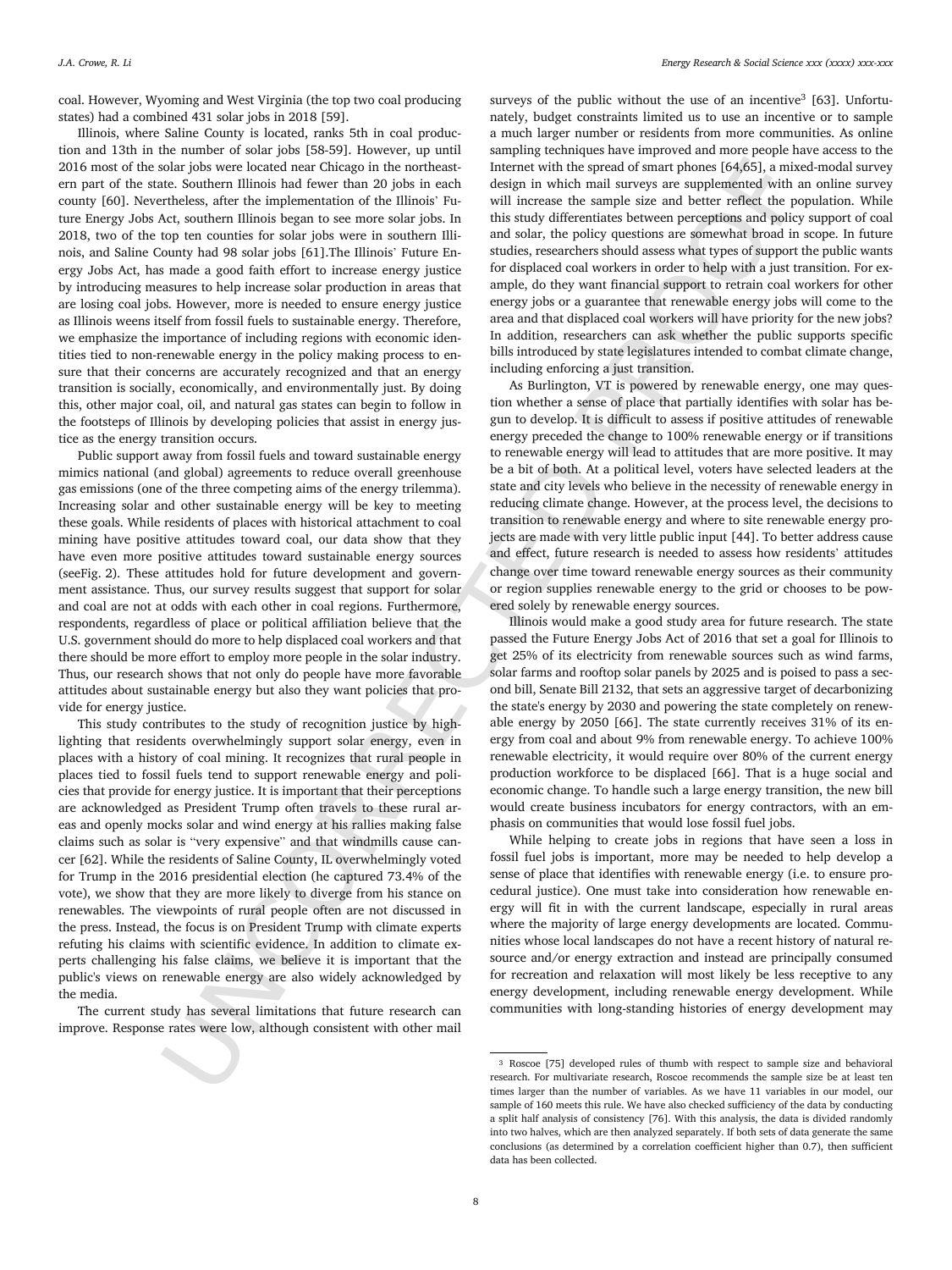coal. However, Wyoming and West Virginia (the top two coal producing states) had a combined 431 solar jobs in 2018 [59].

This wave borseles there is the product of the three twist in the spectral of the product in the spectral of the spectral of the spectral of the spectral of the spectral of the spectral of the spectral of the spectral of Illinois, where Saline County is located, ranks 5th in coal production and 13th in the number of solar jobs [58-59]. However, up until 2016 most of the solar jobs were located near Chicago in the northeastern part of the state. Southern Illinois had fewer than 20 jobs in each county [60]. Nevertheless, after the implementation of the Illinois' Future Energy Jobs Act, southern Illinois began to see more solar jobs. In 2018, two of the top ten counties for solar jobs were in southern Illinois, and Saline County had 98 solar jobs [61].The Illinois' Future Energy Jobs Act, has made a good faith effort to increase energy justice by introducing measures to help increase solar production in areas that are losing coal jobs. However, more is needed to ensure energy justice as Illinois weens itself from fossil fuels to sustainable energy. Therefore, we emphasize the importance of including regions with economic identities tied to non-renewable energy in the policy making process to ensure that their concerns are accurately recognized and that an energy transition is socially, economically, and environmentally just. By doing this, other major coal, oil, and natural gas states can begin to follow in the footsteps of Illinois by developing policies that assist in energy justice as the energy transition occurs.

Public support away from fossil fuels and toward sustainable energy mimics national (and global) agreements to reduce overall greenhouse gas emissions (one of the three competing aims of the energy trilemma). Increasing solar and other sustainable energy will be key to meeting these goals. While residents of places with historical attachment to coal mining have positive attitudes toward coal, our data show that they have even more positive attitudes toward sustainable energy sources (seeFig. 2). These attitudes hold for future development and government assistance. Thus, our survey results suggest that support for solar and coal are not at odds with each other in coal regions. Furthermore, respondents, regardless of place or political affiliation believe that the U.S. government should do more to help displaced coal workers and that there should be more effort to employ more people in the solar industry. Thus, our research shows that not only do people have more favorable attitudes about sustainable energy but also they want policies that provide for energy justice.

This study contributes to the study of recognition justice by highlighting that residents overwhelmingly support solar energy, even in places with a history of coal mining. It recognizes that rural people in places tied to fossil fuels tend to support renewable energy and policies that provide for energy justice. It is important that their perceptions are acknowledged as President Trump often travels to these rural areas and openly mocks solar and wind energy at his rallies making false claims such as solar is "very expensive" and that windmills cause cancer [62]. While the residents of Saline County, IL overwhelmingly voted for Trump in the 2016 presidential election (he captured 73.4% of the vote), we show that they are more likely to diverge from his stance on renewables. The viewpoints of rural people often are not discussed in the press. Instead, the focus is on President Trump with climate experts refuting his claims with scientific evidence. In addition to climate experts challenging his false claims, we believe it is important that the public's views on renewable energy are also widely acknowledged by the media.

The current study has several limitations that future research can improve. Response rates were low, although consistent with other mail

surveys of the public without the use of an incentive<sup>3</sup> [63]. Unfortunately, budget constraints limited us to use an incentive or to sample a much larger number or residents from more communities. As online sampling techniques have improved and more people have access to the Internet with the spread of smart phones [64,65], a mixed-modal survey design in which mail surveys are supplemented with an online survey will increase the sample size and better reflect the population. While this study differentiates between perceptions and policy support of coal and solar, the policy questions are somewhat broad in scope. In future studies, researchers should assess what types of support the public wants for displaced coal workers in order to help with a just transition. For example, do they want financial support to retrain coal workers for other energy jobs or a guarantee that renewable energy jobs will come to the area and that displaced coal workers will have priority for the new jobs? In addition, researchers can ask whether the public supports specific bills introduced by state legislatures intended to combat climate change, including enforcing a just transition.

As Burlington, VT is powered by renewable energy, one may question whether a sense of place that partially identifies with solar has begun to develop. It is difficult to assess if positive attitudes of renewable energy preceded the change to 100% renewable energy or if transitions to renewable energy will lead to attitudes that are more positive. It may be a bit of both. At a political level, voters have selected leaders at the state and city levels who believe in the necessity of renewable energy in reducing climate change. However, at the process level, the decisions to transition to renewable energy and where to site renewable energy projects are made with very little public input [44]. To better address cause and effect, future research is needed to assess how residents' attitudes change over time toward renewable energy sources as their community or region supplies renewable energy to the grid or chooses to be powered solely by renewable energy sources.

Illinois would make a good study area for future research. The state passed the Future Energy Jobs Act of 2016 that set a goal for Illinois to get 25% of its electricity from renewable sources such as wind farms, solar farms and rooftop solar panels by 2025 and is poised to pass a second bill, Senate Bill 2132, that sets an aggressive target of decarbonizing the state's energy by 2030 and powering the state completely on renewable energy by 2050 [66]. The state currently receives 31% of its energy from coal and about 9% from renewable energy. To achieve 100% renewable electricity, it would require over 80% of the current energy production workforce to be displaced [66]. That is a huge social and economic change. To handle such a large energy transition, the new bill would create business incubators for energy contractors, with an emphasis on communities that would lose fossil fuel jobs.

While helping to create jobs in regions that have seen a loss in fossil fuel jobs is important, more may be needed to help develop a sense of place that identifies with renewable energy (i.e. to ensure procedural justice). One must take into consideration how renewable energy will fit in with the current landscape, especially in rural areas where the majority of large energy developments are located. Communities whose local landscapes do not have a recent history of natural resource and/or energy extraction and instead are principally consumed for recreation and relaxation will most likely be less receptive to any energy development, including renewable energy development. While communities with long-standing histories of energy development may

<sup>3</sup> Roscoe [75] developed rules of thumb with respect to sample size and behavioral research. For multivariate research, Roscoe recommends the sample size be at least ten times larger than the number of variables. As we have 11 variables in our model, our sample of 160 meets this rule. We have also checked sufficiency of the data by conducting a split half analysis of consistency [76]. With this analysis, the data is divided randomly into two halves, which are then analyzed separately. If both sets of data generate the same conclusions (as determined by a correlation coefficient higher than 0.7), then sufficient data has been collected.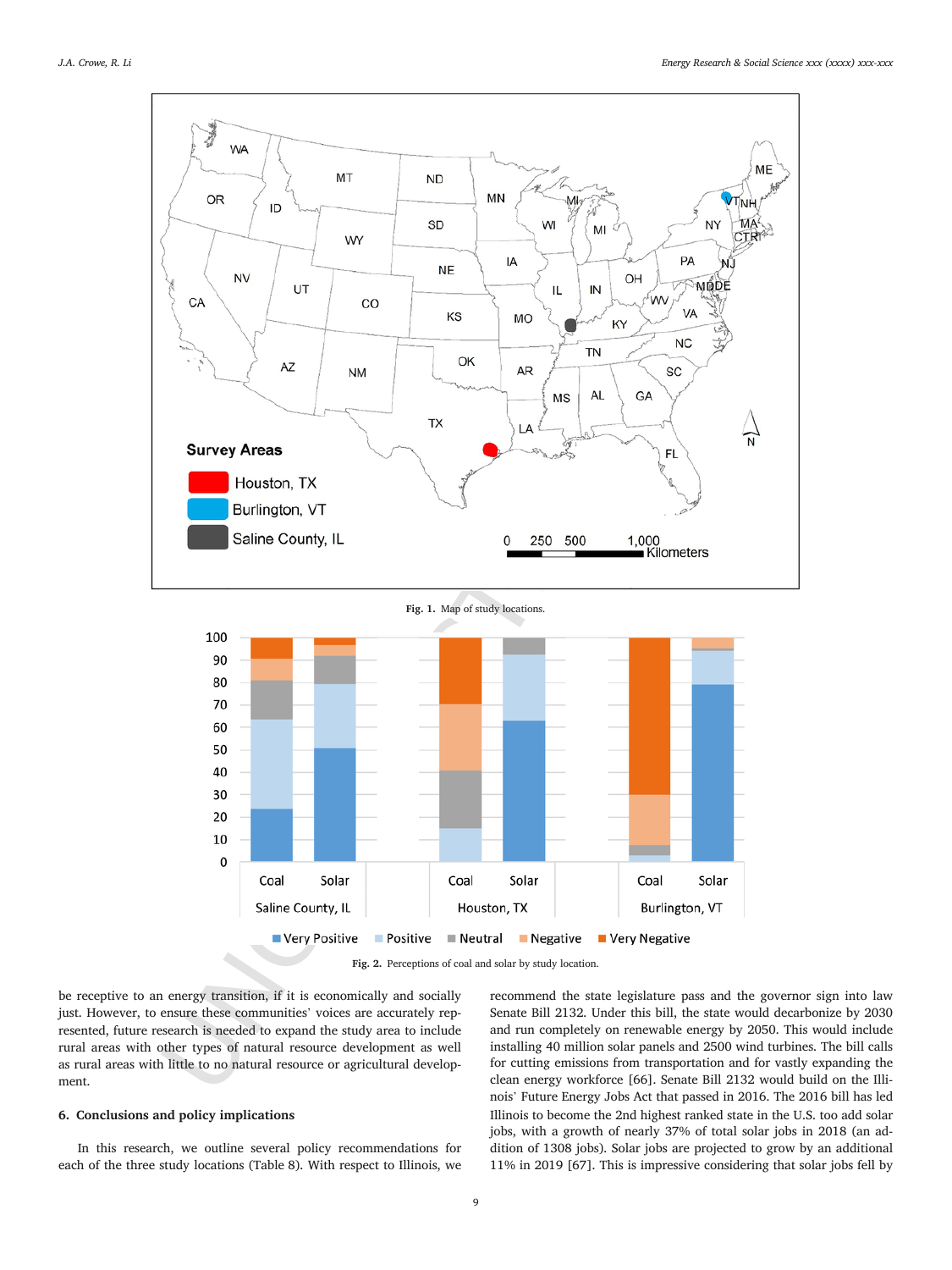



**Fig. 2.** Perceptions of coal and solar by study location.

be receptive to an energy transition, if it is economically and socially just. However, to ensure these communities' voices are accurately represented, future research is needed to expand the study area to include rural areas with other types of natural resource development as well as rural areas with little to no natural resource or agricultural development.

## **6. Conclusions and policy implications**

In this research, we outline several policy recommendations for each of the three study locations (Table 8). With respect to Illinois, we recommend the state legislature pass and the governor sign into law Senate Bill 2132. Under this bill, the state would decarbonize by 2030 and run completely on renewable energy by 2050. This would include installing 40 million solar panels and 2500 wind turbines. The bill calls for cutting emissions from transportation and for vastly expanding the clean energy workforce [66]. Senate Bill 2132 would build on the Illinois' Future Energy Jobs Act that passed in 2016. The 2016 bill has led Illinois to become the 2nd highest ranked state in the U.S. too add solar jobs, with a growth of nearly 37% of total solar jobs in 2018 (an addition of 1308 jobs). Solar jobs are projected to grow by an additional 11% in 2019 [67]. This is impressive considering that solar jobs fell by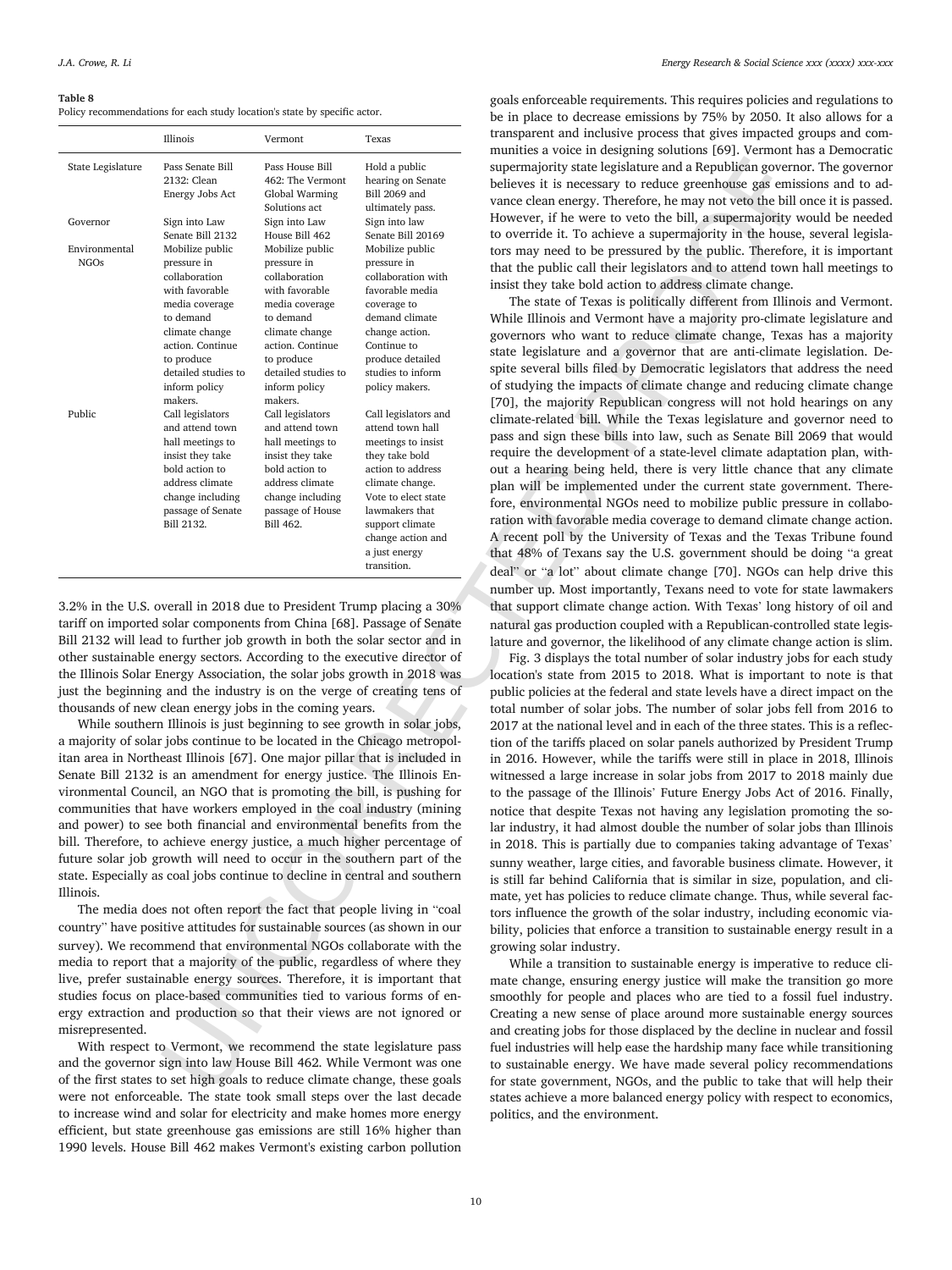#### **Table 8**

Policy recommendations for each study location's state by specific actor.

|                              | Illinois                                                                                                                                                                           | Vermont                                                                                                                                                                          | Texas                                                                                                                                                                                                                                                                                                                                                                                   | transparent and inclusive process that gives impacted group<br>munities a voice in designing solutions [69]. Vermont has a                                                                                                                                                                                                                                                                                                                                                                                                                                                                                                                                                                              |
|------------------------------|------------------------------------------------------------------------------------------------------------------------------------------------------------------------------------|----------------------------------------------------------------------------------------------------------------------------------------------------------------------------------|-----------------------------------------------------------------------------------------------------------------------------------------------------------------------------------------------------------------------------------------------------------------------------------------------------------------------------------------------------------------------------------------|---------------------------------------------------------------------------------------------------------------------------------------------------------------------------------------------------------------------------------------------------------------------------------------------------------------------------------------------------------------------------------------------------------------------------------------------------------------------------------------------------------------------------------------------------------------------------------------------------------------------------------------------------------------------------------------------------------|
| State Legislature            | Pass Senate Bill<br>2132: Clean<br>Energy Jobs Act                                                                                                                                 | Pass House Bill<br>462: The Vermont<br>Global Warming                                                                                                                            | Hold a public<br>hearing on Senate<br>Bill 2069 and                                                                                                                                                                                                                                                                                                                                     | supermajority state legislature and a Republican governor. Th<br>believes it is necessary to reduce greenhouse gas emissions                                                                                                                                                                                                                                                                                                                                                                                                                                                                                                                                                                            |
| Governor                     | Sign into Law<br>Senate Bill 2132                                                                                                                                                  | Solutions act<br>Sign into Law<br>House Bill 462                                                                                                                                 | ultimately pass.<br>Sign into law<br>Senate Bill 20169                                                                                                                                                                                                                                                                                                                                  | vance clean energy. Therefore, he may not veto the bill once<br>However, if he were to veto the bill, a supermajority would<br>to override it. To achieve a supermajority in the house, seve                                                                                                                                                                                                                                                                                                                                                                                                                                                                                                            |
| Environmental<br><b>NGOs</b> | Mobilize public<br>pressure in<br>collaboration<br>with favorable                                                                                                                  | Mobilize public<br>pressure in<br>collaboration<br>with favorable                                                                                                                | Mobilize public<br>pressure in<br>collaboration with<br>favorable media                                                                                                                                                                                                                                                                                                                 | tors may need to be pressured by the public. Therefore, it is<br>that the public call their legislators and to attend town hall<br>insist they take bold action to address climate change.<br>The state of Texas is politically different from Illinois an                                                                                                                                                                                                                                                                                                                                                                                                                                              |
|                              | media coverage<br>to demand<br>climate change<br>action. Continue<br>to produce<br>detailed studies to<br>inform policy                                                            | media coverage<br>to demand<br>climate change<br>action. Continue<br>to produce<br>detailed studies to<br>inform policy                                                          | coverage to<br>demand climate<br>change action.<br>Continue to<br>produce detailed<br>studies to inform<br>policy makers.                                                                                                                                                                                                                                                               | While Illinois and Vermont have a majority pro-climate legi<br>governors who want to reduce climate change, Texas has<br>state legislature and a governor that are anti-climate legis<br>spite several bills filed by Democratic legislators that addre<br>of studying the impacts of climate change and reducing clim                                                                                                                                                                                                                                                                                                                                                                                  |
| Public                       | makers.<br>Call legislators<br>and attend town<br>hall meetings to<br>insist they take<br>bold action to<br>address climate<br>change including<br>passage of Senate<br>Bill 2132. | makers.<br>Call legislators<br>and attend town<br>hall meetings to<br>insist they take<br>bold action to<br>address climate<br>change including<br>passage of House<br>Bill 462. | Call legislators and<br>attend town hall<br>meetings to insist<br>they take bold<br>action to address<br>climate change.<br>Vote to elect state<br>lawmakers that<br>support climate<br>change action and<br>a just energy<br>transition.                                                                                                                                               | [70], the majority Republican congress will not hold heari<br>climate-related bill. While the Texas legislature and govern<br>pass and sign these bills into law, such as Senate Bill 2069<br>require the development of a state-level climate adaptation<br>out a hearing being held, there is very little chance that a<br>plan will be implemented under the current state governm<br>fore, environmental NGOs need to mobilize public pressure<br>ration with favorable media coverage to demand climate cha<br>A recent poll by the University of Texas and the Texas Tri<br>that 48% of Texans say the U.S. government should be doi<br>deal" or "a lot" about climate change [70]. NGOs can help |
|                              |                                                                                                                                                                                    |                                                                                                                                                                                  | 3.2% in the U.S. overall in 2018 due to President Trump placing a 30%<br>tariff on imported solar components from China [68]. Passage of Senate<br>Bill 2132 will lead to further job growth in both the solar sector and in<br>other sustainable energy sectors. According to the executive director of                                                                                | number up. Most importantly, Texans need to vote for state<br>that support climate change action. With Texas' long history<br>natural gas production coupled with a Republican-controlled<br>lature and governor, the likelihood of any climate change ac<br>Fig. 3 displays the total number of solar industry jobs for                                                                                                                                                                                                                                                                                                                                                                                |
|                              | thousands of new clean energy jobs in the coming years.                                                                                                                            |                                                                                                                                                                                  | the Illinois Solar Energy Association, the solar jobs growth in 2018 was<br>just the beginning and the industry is on the verge of creating tens of<br>While southern Illinois is just beginning to see growth in solar jobs,<br>a majority of solar jobs continue to be located in the Chicago metropol-<br>itan area in Northeast Illinois [67]. One major pillar that is included in | location's state from 2015 to 2018. What is important to a<br>public policies at the federal and state levels have a direct im<br>total number of solar jobs. The number of solar jobs fell fro<br>2017 at the national level and in each of the three states. This<br>tion of the tariffs placed on solar panels authorized by Presio<br>in 2016. However, while the tariffs were still in place in 20                                                                                                                                                                                                                                                                                                 |
|                              |                                                                                                                                                                                    |                                                                                                                                                                                  | Senate Bill 2132 is an amendment for energy justice. The Illinois En-<br>vironmental Council, an NGO that is promoting the bill, is pushing for<br>communities that have workers employed in the coal industry (mining<br>and power) to see both financial and environmental benefits from the                                                                                          | witnessed a large increase in solar jobs from 2017 to 2018<br>to the passage of the Illinois' Future Energy Jobs Act of 20<br>notice that despite Texas not having any legislation promot<br>lar industry, it had almost double the number of solar jobs t                                                                                                                                                                                                                                                                                                                                                                                                                                              |
| Illinois.                    |                                                                                                                                                                                    |                                                                                                                                                                                  | bill. Therefore, to achieve energy justice, a much higher percentage of<br>future solar job growth will need to occur in the southern part of the<br>state. Especially as coal jobs continue to decline in central and southern<br>The media does not often report the fact that people living in "coal                                                                                 | in 2018. This is partially due to companies taking advantag<br>sunny weather, large cities, and favorable business climate. I<br>is still far behind California that is similar in size, population<br>mate, yet has policies to reduce climate change. Thus, while<br>tors influence the growth of the solar industry, including eco                                                                                                                                                                                                                                                                                                                                                                   |
|                              |                                                                                                                                                                                    |                                                                                                                                                                                  | country" have positive attitudes for sustainable sources (as shown in our<br>survey). We recommend that environmental NGOs collaborate with the<br>media to report that a majority of the public, regardless of where they<br>live, prefer sustainable energy sources. Therefore, it is important that                                                                                  | bility, policies that enforce a transition to sustainable energy<br>growing solar industry.<br>While a transition to sustainable energy is imperative to<br>mate change, ensuring energy justice will make the transition                                                                                                                                                                                                                                                                                                                                                                                                                                                                               |
| misrepresented.              |                                                                                                                                                                                    |                                                                                                                                                                                  | studies focus on place-based communities tied to various forms of en-<br>ergy extraction and production so that their views are not ignored or<br>With respect to Vermont, we recommend the state legislature pass                                                                                                                                                                      | smoothly for people and places who are tied to a fossil fu-<br>Creating a new sense of place around more sustainable ene<br>and creating jobs for those displaced by the decline in nuclea<br>fuel industries will help ease the hardship many face while tr                                                                                                                                                                                                                                                                                                                                                                                                                                            |
|                              |                                                                                                                                                                                    |                                                                                                                                                                                  | and the governor sign into law House Bill 462. While Vermont was one<br>of the first states to set high goals to reduce climate change, these goals                                                                                                                                                                                                                                     | to sustainable energy. We have made several policy recome<br>for state government, NGOs, and the public to take that wil                                                                                                                                                                                                                                                                                                                                                                                                                                                                                                                                                                                |

With respect to Vermont, we recommend the state legislature pass and the governor sign into law House Bill 462. While Vermont was one of the first states to set high goals to reduce climate change, these goals were not enforceable. The state took small steps over the last decade to increase wind and solar for electricity and make homes more energy efficient, but state greenhouse gas emissions are still 16% higher than 1990 levels. House Bill 462 makes Vermont's existing carbon pollution

goals enforceable requirements. This requires policies and regulations to be in place to decrease emissions by 75% by 2050. It also allows for a transparent and inclusive process that gives impacted groups and communities a voice in designing solutions [69]. Vermont has a Democratic supermajority state legislature and a Republican governor. The governor believes it is necessary to reduce greenhouse gas emissions and to advance clean energy. Therefore, he may not veto the bill once it is passed. However, if he were to veto the bill, a supermajority would be needed to override it. To achieve a supermajority in the house, several legislators may need to be pressured by the public. Therefore, it is important that the public call their legislators and to attend town hall meetings to insist they take bold action to address climate change.

The state of Texas is politically different from Illinois and Vermont. While Illinois and Vermont have a majority pro-climate legislature and governors who want to reduce climate change, Texas has a majority state legislature and a governor that are anti-climate legislation. Despite several bills filed by Democratic legislators that address the need of studying the impacts of climate change and reducing climate change [70], the majority Republican congress will not hold hearings on any climate-related bill. While the Texas legislature and governor need to pass and sign these bills into law, such as Senate Bill 2069 that would require the development of a state-level climate adaptation plan, without a hearing being held, there is very little chance that any climate plan will be implemented under the current state government. Therefore, environmental NGOs need to mobilize public pressure in collaboration with favorable media coverage to demand climate change action. A recent poll by the University of Texas and the Texas Tribune found that 48% of Texans say the U.S. government should be doing "a great deal" or "a lot" about climate change [70]. NGOs can help drive this number up. Most importantly, Texans need to vote for state lawmakers that support climate change action. With Texas' long history of oil and natural gas production coupled with a Republican-controlled state legislature and governor, the likelihood of any climate change action is slim.

Fig. 3 displays the total number of solar industry jobs for each study location's state from 2015 to 2018. What is important to note is that public policies at the federal and state levels have a direct impact on the total number of solar jobs. The number of solar jobs fell from 2016 to 2017 at the national level and in each of the three states. This is a reflection of the tariffs placed on solar panels authorized by President Trump in 2016. However, while the tariffs were still in place in 2018, Illinois witnessed a large increase in solar jobs from 2017 to 2018 mainly due to the passage of the Illinois' Future Energy Jobs Act of 2016. Finally, notice that despite Texas not having any legislation promoting the solar industry, it had almost double the number of solar jobs than Illinois in 2018. This is partially due to companies taking advantage of Texas' sunny weather, large cities, and favorable business climate. However, it is still far behind California that is similar in size, population, and climate, yet has policies to reduce climate change. Thus, while several factors influence the growth of the solar industry, including economic viability, policies that enforce a transition to sustainable energy result in a growing solar industry.

While a transition to sustainable energy is imperative to reduce climate change, ensuring energy justice will make the transition go more smoothly for people and places who are tied to a fossil fuel industry. Creating a new sense of place around more sustainable energy sources and creating jobs for those displaced by the decline in nuclear and fossil fuel industries will help ease the hardship many face while transitioning to sustainable energy. We have made several policy recommendations for state government, NGOs, and the public to take that will help their states achieve a more balanced energy policy with respect to economics, politics, and the environment.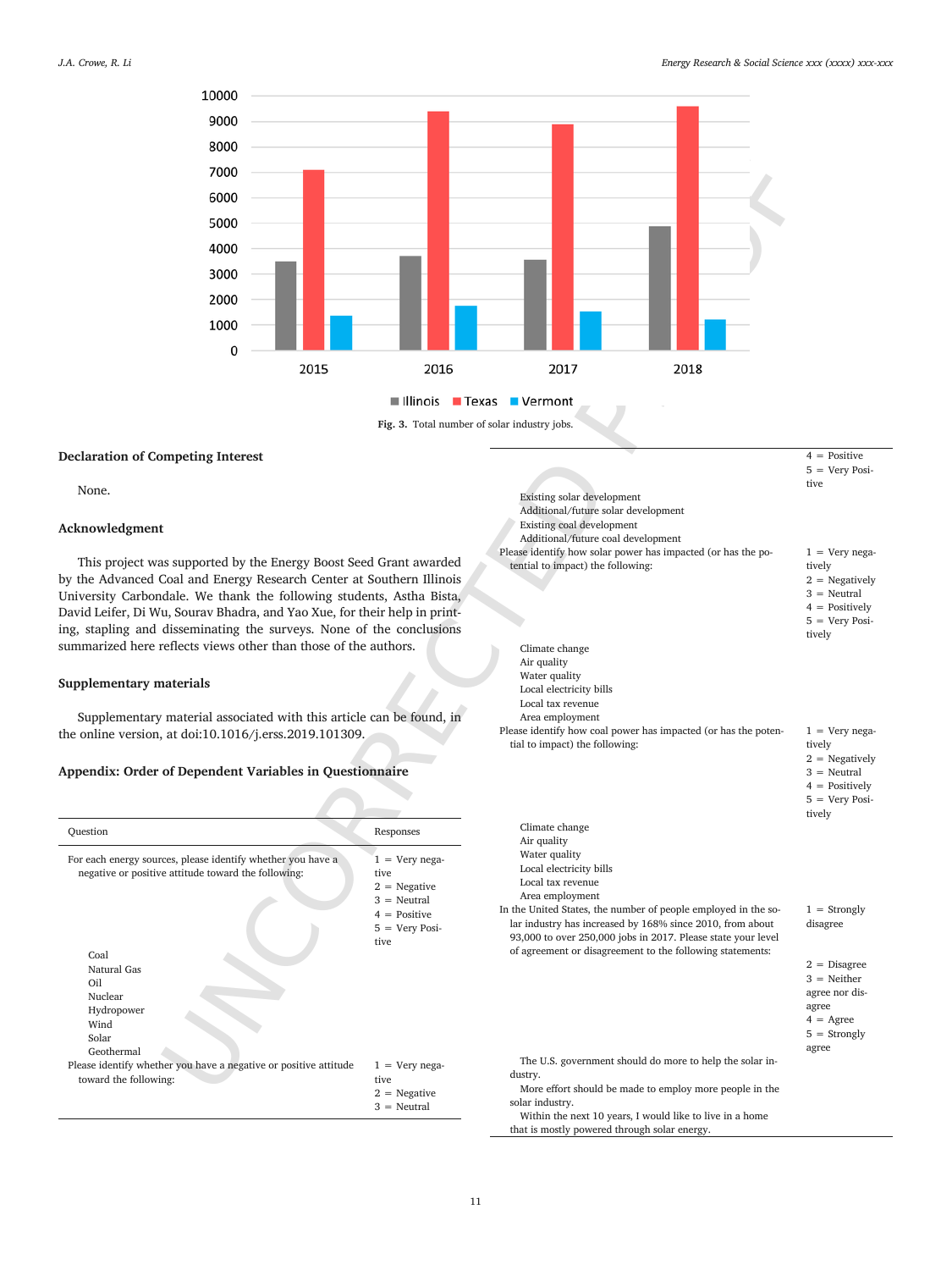

## **Declaration of Competing Interest**

None.

## **Acknowledgment**

This project was supported by the Energy Boost Seed Grant awarded by the Advanced Coal and Energy Research Center at Southern Illinois University Carbondale. We thank the following students, Astha Bista, David Leifer, Di Wu, Sourav Bhadra, and Yao Xue, for their help in printing, stapling and disseminating the surveys. None of the conclusions summarized here reflects views other than those of the authors.

## **Supplementary materials**

Supplementary material associated with this article can be found, in the online version, at doi:10.1016/j.erss.2019.101309.

## **Appendix: Order of Dependent Variables in Questionnaire**

| Question                                                                                                                                                                                                 | Responses                                                                                                          |
|----------------------------------------------------------------------------------------------------------------------------------------------------------------------------------------------------------|--------------------------------------------------------------------------------------------------------------------|
| For each energy sources, please identify whether you have a<br>negative or positive attitude toward the following:<br>Coal<br>Natural Gas<br>Oil<br>Nuclear<br>Hydropower<br>Wind<br>Solar<br>Geothermal | $1 =$ Very nega-<br>tive.<br>$2 = Negative$<br>$3 =$ Neutral<br>$4 = Positive$<br>$5 = \text{Very Posi-}$<br>tive. |
| Please identify whether you have a negative or positive attitude<br>toward the following:                                                                                                                | $1 =$ Very nega-<br>tive.<br>$2 = Negative$<br>$3 =$ Neutral                                                       |

| 7000<br>6000<br>5000<br>4000<br>3000<br>2000<br>1000<br>0<br>2015                                                                                                                                                                                                                                                                      | 2016                                                                                                             | 2017<br>2018                                                                                                                                                                                                                                                                                                                                                |                                                                                                                                 |
|----------------------------------------------------------------------------------------------------------------------------------------------------------------------------------------------------------------------------------------------------------------------------------------------------------------------------------------|------------------------------------------------------------------------------------------------------------------|-------------------------------------------------------------------------------------------------------------------------------------------------------------------------------------------------------------------------------------------------------------------------------------------------------------------------------------------------------------|---------------------------------------------------------------------------------------------------------------------------------|
|                                                                                                                                                                                                                                                                                                                                        |                                                                                                                  |                                                                                                                                                                                                                                                                                                                                                             |                                                                                                                                 |
|                                                                                                                                                                                                                                                                                                                                        |                                                                                                                  | <b>■Illinois ■ Texas ■ Vermont</b>                                                                                                                                                                                                                                                                                                                          |                                                                                                                                 |
|                                                                                                                                                                                                                                                                                                                                        | Fig. 3. Total number of solar industry jobs.                                                                     |                                                                                                                                                                                                                                                                                                                                                             |                                                                                                                                 |
| mpeting Interest                                                                                                                                                                                                                                                                                                                       |                                                                                                                  | Existing solar development<br>Additional/future solar development<br>Existing coal development<br>Additional/future coal development                                                                                                                                                                                                                        | $4 = Positive$<br>$5 = \text{Very Posi-}$<br>tive                                                                               |
| as supported by the Energy Boost Seed Grant awarded<br>Coal and Energy Research Center at Southern Illinois<br>dale. We thank the following students, Astha Bista,<br>u, Sourav Bhadra, and Yao Xue, for their help in print-<br>disseminating the surveys. None of the conclusions<br>reflects views other than those of the authors. |                                                                                                                  | Please identify how solar power has impacted (or has the po-<br>tential to impact) the following:<br>Climate change<br>Air quality                                                                                                                                                                                                                          | $1 = \text{Very nega-}$<br>tively<br>$2 = Negatively$<br>$3 =$ Neutral<br>$4 =$ Positively<br>$5 = \text{Very Posi-}$<br>tively |
| <b>aterials</b><br>material associated with this article can be found, in<br>at doi:10.1016/j.erss.2019.101309.                                                                                                                                                                                                                        |                                                                                                                  | Water quality<br>Local electricity bills<br>Local tax revenue<br>Area employment<br>Please identify how coal power has impacted (or has the poten-<br>tial to impact) the following:                                                                                                                                                                        | $1 = \text{Very nega-}$<br>tively                                                                                               |
| of Dependent Variables in Questionnaire                                                                                                                                                                                                                                                                                                |                                                                                                                  |                                                                                                                                                                                                                                                                                                                                                             | $2 = Negatively$<br>$3 =$ Neutral<br>$4 =$ Positively<br>$5 =$ Very Posi-                                                       |
|                                                                                                                                                                                                                                                                                                                                        | Responses                                                                                                        | Climate change                                                                                                                                                                                                                                                                                                                                              | tively                                                                                                                          |
| ces, please identify whether you have a<br>e attitude toward the following:                                                                                                                                                                                                                                                            | $1 =$ Very nega-<br>tive<br>$2 = Negative$<br>$3 =$ Neutral<br>$4 = Positive$<br>$5 = \text{Very Posi-}$<br>tive | Air quality<br>Water quality<br>Local electricity bills<br>Local tax revenue<br>Area employment<br>In the United States, the number of people employed in the so-<br>lar industry has increased by 168% since 2010, from about<br>93,000 to over 250,000 jobs in 2017. Please state your level<br>of agreement or disagreement to the following statements: | $1 =$ Strongly<br>disagree                                                                                                      |
| er you have a negative or positive attitude<br>ng:                                                                                                                                                                                                                                                                                     | $1 = \text{Very nega-}$<br>tive                                                                                  | The U.S. government should do more to help the solar in-<br>dustry.                                                                                                                                                                                                                                                                                         | $2 = Disagree$<br>$3 = Neither$<br>agree nor dis-<br>agree<br>$4 = \text{Agree}$<br>$5 =$ Strongly<br>agree                     |
|                                                                                                                                                                                                                                                                                                                                        | $2 = Negative$<br>$3 =$ Neutral                                                                                  | More effort should be made to employ more people in the<br>solar industry.<br>Within the next 10 years, I would like to live in a home<br>that is mostly powered through solar energy.                                                                                                                                                                      |                                                                                                                                 |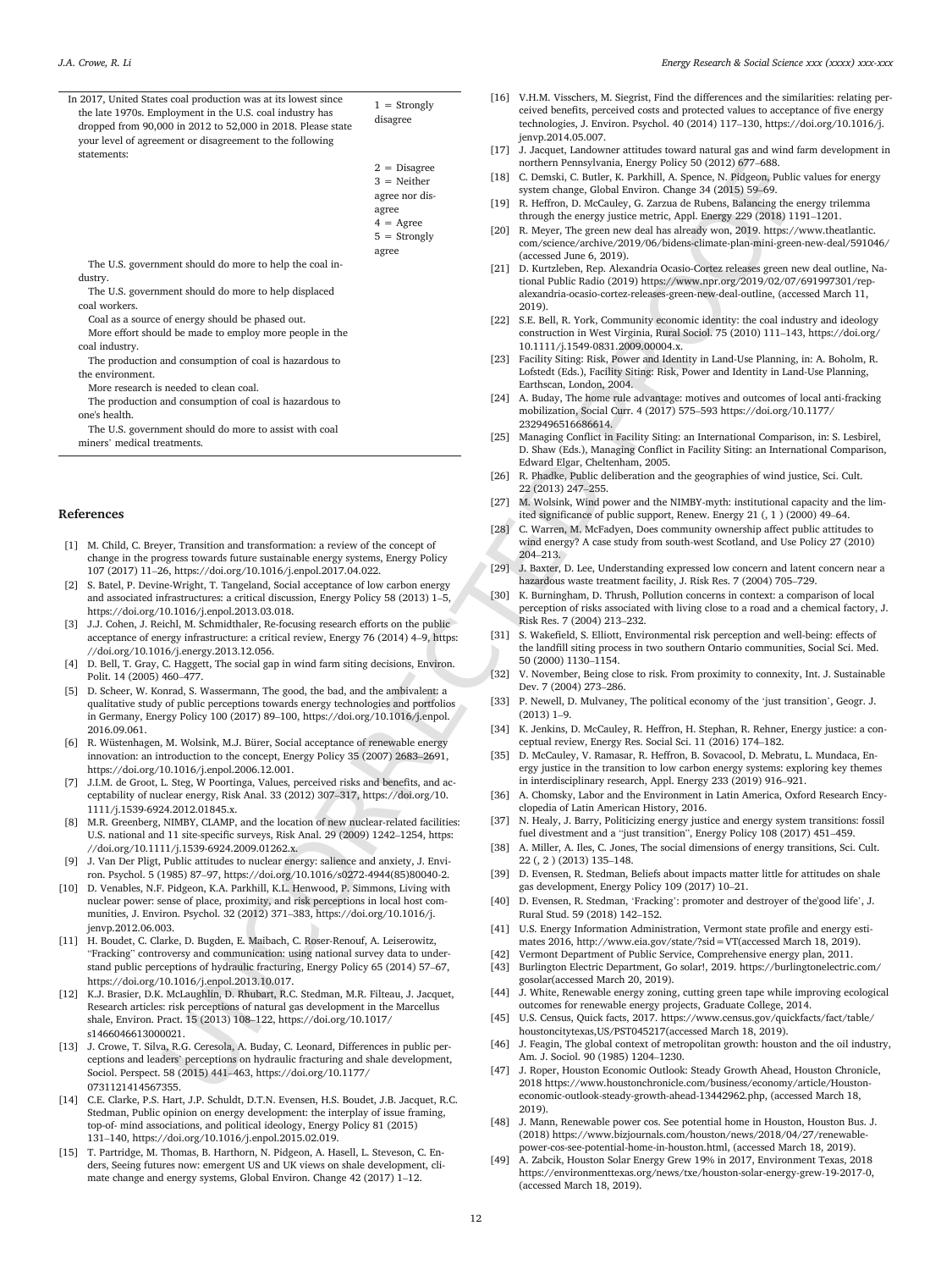|    | In 2017, United States coal production was at its lowest since                                                                                                     |                    |      | [16] V.H.M. Visschers, M. Siegrist, Find the differences and the similarities                                                                          |
|----|--------------------------------------------------------------------------------------------------------------------------------------------------------------------|--------------------|------|--------------------------------------------------------------------------------------------------------------------------------------------------------|
|    | the late 1970s. Employment in the U.S. coal industry has                                                                                                           | $1 =$ Strongly     |      | ceived benefits, perceived costs and protected values to acceptance of                                                                                 |
|    | dropped from 90,000 in 2012 to 52,000 in 2018. Please state                                                                                                        | disagree           |      | technologies, J. Environ. Psychol. 40 (2014) 117-130, https://doi.org                                                                                  |
|    | your level of agreement or disagreement to the following                                                                                                           |                    |      | jenvp.2014.05.007.                                                                                                                                     |
|    | statements:                                                                                                                                                        |                    |      | [17] J. Jacquet, Landowner attitudes toward natural gas and wind farm de                                                                               |
|    |                                                                                                                                                                    | $2 = Disagree$     |      | northern Pennsylvania, Energy Policy 50 (2012) 677-688.                                                                                                |
|    |                                                                                                                                                                    | $3 =$ Neither      |      | [18] C. Demski, C. Butler, K. Parkhill, A. Spence, N. Pidgeon, Public values                                                                           |
|    |                                                                                                                                                                    | agree nor dis-     |      | system change, Global Environ. Change 34 (2015) 59–69.                                                                                                 |
|    |                                                                                                                                                                    | agree              |      | [19] R. Heffron, D. McCauley, G. Zarzua de Rubens, Balancing the energy                                                                                |
|    |                                                                                                                                                                    | $4 = \text{Agree}$ |      | through the energy justice metric, Appl. Energy 229 (2018) 1191–12                                                                                     |
|    |                                                                                                                                                                    | $5 =$ Strongly     |      | [20] R. Meyer, The green new deal has already won, 2019. https://www.t                                                                                 |
|    |                                                                                                                                                                    | agree              |      | com/science/archive/2019/06/bidens-climate-plan-mini-green-new-o<br>(accessed June $6, 2019$ ).                                                        |
|    | The U.S. government should do more to help the coal in-                                                                                                            |                    |      | [21] D. Kurtzleben, Rep. Alexandria Ocasio-Cortez releases green new dea                                                                               |
|    | dustry.                                                                                                                                                            |                    |      | tional Public Radio (2019) https://www.npr.org/2019/02/07/69199                                                                                        |
|    | The U.S. government should do more to help displaced                                                                                                               |                    |      | alexandria-ocasio-cortez-releases-green-new-deal-outline, (accessed M                                                                                  |
|    | coal workers.                                                                                                                                                      |                    |      | 2019).                                                                                                                                                 |
|    | Coal as a source of energy should be phased out.                                                                                                                   |                    |      | [22] S.E. Bell, R. York, Community economic identity: the coal industry are                                                                            |
|    | More effort should be made to employ more people in the                                                                                                            |                    |      | construction in West Virginia, Rural Sociol. 75 (2010) 111-143, https                                                                                  |
|    | coal industry.                                                                                                                                                     |                    |      | 10.1111/j.1549-0831.2009.00004.x.                                                                                                                      |
|    | The production and consumption of coal is hazardous to                                                                                                             |                    |      | [23] Facility Siting: Risk, Power and Identity in Land-Use Planning, in: A.                                                                            |
|    | the environment.                                                                                                                                                   |                    |      | Lofstedt (Eds.), Facility Siting: Risk, Power and Identity in Land-Use I                                                                               |
|    | More research is needed to clean coal.                                                                                                                             |                    |      | Earthscan, London, 2004.                                                                                                                               |
|    | The production and consumption of coal is hazardous to                                                                                                             |                    |      | [24] A. Buday, The home rule advantage: motives and outcomes of local a<br>mobilization, Social Curr. 4 (2017) 575-593 https://doi.org/10.1177         |
|    | one's health.                                                                                                                                                      |                    |      | 2329496516686614.                                                                                                                                      |
|    | The U.S. government should do more to assist with coal                                                                                                             |                    |      | [25] Managing Conflict in Facility Siting: an International Comparison, in:                                                                            |
|    | miners' medical treatments.                                                                                                                                        |                    |      | D. Shaw (Eds.), Managing Conflict in Facility Siting: an International                                                                                 |
|    |                                                                                                                                                                    |                    |      | Edward Elgar, Cheltenham, 2005.                                                                                                                        |
|    |                                                                                                                                                                    |                    |      | [26] R. Phadke, Public deliberation and the geographies of wind justice, S                                                                             |
|    |                                                                                                                                                                    |                    |      | 22 (2013) 247-255.                                                                                                                                     |
|    |                                                                                                                                                                    |                    |      | [27] M. Wolsink, Wind power and the NIMBY-myth: institutional capacity                                                                                 |
|    | eferences                                                                                                                                                          |                    |      | ited significance of public support, Renew. Energy 21 (, 1) (2000) 49                                                                                  |
|    |                                                                                                                                                                    |                    |      | [28] C. Warren, M. McFadyen, Does community ownership affect public at                                                                                 |
|    | 1] M. Child, C. Breyer, Transition and transformation: a review of the concept of                                                                                  |                    |      | wind energy? A case study from south-west Scotland, and Use Policy                                                                                     |
|    | change in the progress towards future sustainable energy systems, Energy Policy                                                                                    |                    |      | 204-213.                                                                                                                                               |
|    | 107 (2017) 11-26, https://doi.org/10.1016/j.enpol.2017.04.022.                                                                                                     |                    |      | [29] J. Baxter, D. Lee, Understanding expressed low concern and latent co                                                                              |
|    | 2] S. Batel, P. Devine-Wright, T. Tangeland, Social acceptance of low carbon energy                                                                                |                    |      | hazardous waste treatment facility, J. Risk Res. 7 (2004) 705-729.                                                                                     |
|    | and associated infrastructures: a critical discussion, Energy Policy 58 (2013) 1–5,                                                                                |                    | [30] | K. Burningham, D. Thrush, Pollution concerns in context: a comparise<br>perception of risks associated with living close to a road and a chemi-        |
|    | https://doi.org/10.1016/j.enpol.2013.03.018.                                                                                                                       |                    |      | Risk Res. 7 (2004) 213-232.                                                                                                                            |
| 3] | J.J. Cohen, J. Reichl, M. Schmidthaler, Re-focusing research efforts on the public                                                                                 |                    |      | [31] S. Wakefield, S. Elliott, Environmental risk perception and well-being                                                                            |
|    | acceptance of energy infrastructure: a critical review, Energy 76 (2014) 4–9, https:<br>//doi.org/10.1016/j.energy.2013.12.056.                                    |                    |      | the landfill siting process in two southern Ontario communities, Social                                                                                |
|    | 4] D. Bell, T. Gray, C. Haggett, The social gap in wind farm siting decisions, Environ.                                                                            |                    |      | 50 (2000) 1130-1154.                                                                                                                                   |
|    | Polit. 14 (2005) 460-477.                                                                                                                                          |                    |      | [32] V. November, Being close to risk. From proximity to connexity, Int. J                                                                             |
|    | 5] D. Scheer, W. Konrad, S. Wassermann, The good, the bad, and the ambivalent: a                                                                                   |                    |      | Dev. 7 (2004) 273-286.                                                                                                                                 |
|    | qualitative study of public perceptions towards energy technologies and portfolios                                                                                 |                    |      | [33] P. Newell, D. Mulvaney, The political economy of the 'just transition'                                                                            |
|    | in Germany, Energy Policy 100 (2017) 89-100, https://doi.org/10.1016/j.enpol.                                                                                      |                    |      | $(2013)$ 1-9.                                                                                                                                          |
|    | 2016.09.061.                                                                                                                                                       |                    |      | [34] K. Jenkins, D. McCauley, R. Heffron, H. Stephan, R. Rehner, Energy j                                                                              |
|    | 6] R. Wüstenhagen, M. Wolsink, M.J. Bürer, Social acceptance of renewable energy                                                                                   |                    |      | ceptual review, Energy Res. Social Sci. 11 (2016) 174–182.                                                                                             |
|    | innovation: an introduction to the concept, Energy Policy 35 (2007) 2683-2691,                                                                                     |                    |      | [35] D. McCauley, V. Ramasar, R. Heffron, B. Sovacool, D. Mebratu, L. Mu                                                                               |
|    | https://doi.org/10.1016/j.enpol.2006.12.001.                                                                                                                       |                    |      | ergy justice in the transition to low carbon energy systems: exploring                                                                                 |
| 7] | J.I.M. de Groot, L. Steg, W Poortinga, Values, perceived risks and benefits, and ac-                                                                               |                    |      | in interdisciplinary research, Appl. Energy 233 (2019) 916–921.                                                                                        |
|    | ceptability of nuclear energy, Risk Anal. 33 (2012) 307-317, https://doi.org/10.                                                                                   |                    |      | [36] A. Chomsky, Labor and the Environment in Latin America, Oxford Re                                                                                 |
|    | 1111/j.1539-6924.2012.01845.x.                                                                                                                                     |                    |      | clopedia of Latin American History, 2016.                                                                                                              |
|    | 8] M.R. Greenberg, NIMBY, CLAMP, and the location of new nuclear-related facilities:                                                                               |                    |      | [37] N. Healy, J. Barry, Politicizing energy justice and energy system trans                                                                           |
|    | U.S. national and 11 site-specific surveys, Risk Anal. 29 (2009) 1242-1254, https:                                                                                 |                    |      | fuel divestment and a "just transition", Energy Policy 108 (2017) 451<br>[38] A. Miller, A. Iles, C. Jones, The social dimensions of energy transition |
|    | //doi.org/10.1111/j.1539-6924.2009.01262.x.                                                                                                                        |                    |      | 22 (, 2) (2013) 135-148.                                                                                                                               |
| 9] | J. Van Der Pligt, Public attitudes to nuclear energy: salience and anxiety, J. Envi-                                                                               |                    |      | [39] D. Evensen, R. Stedman, Beliefs about impacts matter little for attitud                                                                           |
|    | ron. Psychol. 5 (1985) 87-97, https://doi.org/10.1016/s0272-4944(85)80040-2.<br>0] D. Venables, N.F. Pidgeon, K.A. Parkhill, K.L. Henwood, P. Simmons, Living with |                    |      | gas development, Energy Policy 109 (2017) 10-21.                                                                                                       |
|    | nuclear power: sense of place, proximity, and risk perceptions in local host com-                                                                                  |                    | [40] | D. Evensen, R. Stedman, 'Fracking': promoter and destroyer of the go                                                                                   |
|    | munities, J. Environ. Psychol. 32 (2012) 371–383, https://doi.org/10.1016/j.                                                                                       |                    |      | Rural Stud. 59 (2018) 142-152.                                                                                                                         |
|    | jenvp.2012.06.003.                                                                                                                                                 |                    |      | [41] U.S. Energy Information Administration, Vermont state profile and en                                                                              |
| 1] | H. Boudet, C. Clarke, D. Bugden, E. Maibach, C. Roser-Renouf, A. Leiserowitz,                                                                                      |                    |      | mates 2016, http://www.eia.gov/state/?sid=VT(accessed March 18,                                                                                        |
|    | "Fracking" controversy and communication: using national survey data to under-                                                                                     |                    | [42] | Vermont Department of Public Service, Comprehensive energy plan, 1                                                                                     |
|    | stand public perceptions of hydraulic fracturing, Energy Policy 65 (2014) 57-67,                                                                                   |                    | [43] | Burlington Electric Department, Go solar!, 2019. https://burlingtonel                                                                                  |
|    | https://doi.org/10.1016/j.enpol.2013.10.017.                                                                                                                       |                    |      | gosolar (accessed March 20, 2019).                                                                                                                     |
| 2] | K.J. Brasier, D.K. McLaughlin, D. Rhubart, R.C. Stedman, M.R. Filteau, J. Jacquet,                                                                                 |                    |      | [44] J. White, Renewable energy zoning, cutting green tape while improvi                                                                               |
|    | Research articles: risk perceptions of natural gas development in the Marcellus                                                                                    |                    |      | outcomes for renewable energy projects, Graduate College, 2014.                                                                                        |
|    | shale, Environ. Pract. 15 (2013) 108-122, https://doi.org/10.1017/                                                                                                 |                    | [45] | U.S. Census, Quick facts, 2017. https://www.census.gov/quickfacts/f                                                                                    |
|    | s1466046613000021.                                                                                                                                                 |                    |      | houstoncitytexas, US/PST045217 (accessed March 18, 2019).                                                                                              |
| 3] | J. Crowe, T. Silva, R.G. Ceresola, A. Buday, C. Leonard, Differences in public per-                                                                                |                    | [46] | J. Feagin, The global context of metropolitan growth: houston and the                                                                                  |
|    | ceptions and leaders' perceptions on hydraulic fracturing and shale development,                                                                                   |                    |      | Am. J. Sociol. 90 (1985) 1204–1230.<br>[47] J. Roper, Houston Economic Outlook: Steady Growth Ahead, Houston                                           |
|    | Sociol. Perspect. 58 (2015) 441-463, https://doi.org/10.1177/                                                                                                      |                    |      | 2018 https://www.houstonchronicle.com/business/economy/article/                                                                                        |
|    | 0731121414567355.                                                                                                                                                  |                    |      |                                                                                                                                                        |

#### **References**

- [1] M. Child, C. Breyer, Transition and transformation: a review of the concept of change in the progress towards future sustainable energy systems, Energy Policy 107 (2017) 11–26, https://doi.org/10.1016/j.enpol.2017.04.022.
- [2] S. Batel, P. Devine-Wright, T. Tangeland, Social acceptance of low carbon energy and associated infrastructures: a critical discussion, Energy Policy 58 (2013) 1–5, https://doi.org/10.1016/j.enpol.2013.03.018.
- [3] J.J. Cohen, J. Reichl, M. Schmidthaler, Re-focusing research efforts on the public acceptance of energy infrastructure: a critical review, Energy 76 (2014) 4–9, https: //doi.org/10.1016/j.energy.2013.12.056.
- [4] D. Bell, T. Gray, C. Haggett, The social gap in wind farm siting decisions, Environ. Polit. 14 (2005) 460–477.
- [5] D. Scheer, W. Konrad, S. Wassermann, The good, the bad, and the ambivalent: a qualitative study of public perceptions towards energy technologies and portfolios in Germany, Energy Policy 100 (2017) 89–100, https://doi.org/10.1016/j.enpol. 2016.09.061.
- [6] R. Wüstenhagen, M. Wolsink, M.J. Bürer, Social acceptance of renewable energ innovation: an introduction to the concept, Energy Policy 35 (2007) 2683–2691, https://doi.org/10.1016/j.enpol.2006.12.001.
- [7] J.I.M. de Groot, L. Steg, W Poortinga, Values, perceived risks and benefits, and acceptability of nuclear energy, Risk Anal. 33 (2012) 307–317, https://doi.org/10. 1111/j.1539-6924.2012.01845.x.
- [8] M.R. Greenberg, NIMBY, CLAMP, and the location of new nuclear-related facilities: U.S. national and 11 site-specific surveys, Risk Anal. 29 (2009) 1242–1254, https: //doi.org/10.1111/j.1539-6924.2009.01262.x.
- [9] J. Van Der Pligt, Public attitudes to nuclear energy: salience and anxiety, J. Environ. Psychol. 5 (1985) 87–97, https://doi.org/10.1016/s0272-4944(85)80040-2.
- [10] D. Venables, N.F. Pidgeon, K.A. Parkhill, K.L. Henwood, P. Simmons, Living with nuclear power: sense of place, proximity, and risk perceptions in local host communities, J. Environ. Psychol. 32 (2012) 371–383, https://doi.org/10.1016/j. jenvp.2012.06.003.
- [11] H. Boudet, C. Clarke, D. Bugden, E. Maibach, C. Roser-Renouf, A. Leiserowitz, "Fracking" controversy and communication: using national survey data to understand public perceptions of hydraulic fracturing, Energy Policy 65 (2014) 57–67, https://doi.org/10.1016/j.enpol.2013.10.017.
- [12] K.J. Brasier, D.K. McLaughlin, D. Rhubart, R.C. Stedman, M.R. Filteau, J. Jacquet, Research articles: risk perceptions of natural gas development in the Marcellus shale, Environ. Pract. 15 (2013) 108–122, https://doi.org/10.1017/ s1466046613000021.
- [13] J. Crowe, T. Silva, R.G. Ceresola, A. Buday, C. Leonard, Differences in public perceptions and leaders' perceptions on hydraulic fracturing and shale development, Sociol. Perspect. 58 (2015) 441–463, https://doi.org/10.1177/ 0731121414567355.
- [14] C.E. Clarke, P.S. Hart, J.P. Schuldt, D.T.N. Evensen, H.S. Boudet, J.B. Jacquet, R.C. Stedman, Public opinion on energy development: the interplay of issue framing, top-of- mind associations, and political ideology, Energy Policy 81 (2015) 131–140, https://doi.org/10.1016/j.enpol.2015.02.019.
- [15] T. Partridge, M. Thomas, B. Harthorn, N. Pidgeon, A. Hasell, L. Steveson, C. Enders, Seeing futures now: emergent US and UK views on shale development, climate change and energy systems, Global Environ. Change 42 (2017) 1–12.
- [16] V.H.M. Visschers, M. Siegrist, Find the differences and the similarities: relating perceived benefits, perceived costs and protected values to acceptance of five energy technologies, J. Environ. Psychol. 40 (2014) 117–130, https://doi.org/10.1016/j. jenvp.2014.05.007.
- [17] J. Jacquet, Landowner attitudes toward natural gas and wind farm development in northern Pennsylvania, Energy Policy 50 (2012) 677–688.
- [18] C. Demski, C. Butler, K. Parkhill, A. Spence, N. Pidgeon, Public values for energy system change, Global Environ. Change 34 (2015) 59–69.
- [19] R. Heffron, D. McCauley, G. Zarzua de Rubens, Balancing the energy trilemma through the energy justice metric, Appl. Energy 229 (2018) 1191–1201.
- [20] R. Meyer, The green new deal has already won, 2019. https://www.theatlantic. com/science/archive/2019/06/bidens-climate-plan-mini-green-new-deal/591046/ (accessed June 6, 2019).
- [21] D. Kurtzleben, Rep. Alexandria Ocasio-Cortez releases green new deal outline, National Public Radio (2019) https://www.npr.org/2019/02/07/691997301/repalexandria-ocasio-cortez-releases-green-new-deal-outline, (accessed March 11, 2019).
- [22] S.E. Bell, R. York, Community economic identity: the coal industry and ideology construction in West Virginia, Rural Sociol. 75 (2010) 111–143, https://doi.org/ 10.1111/j.1549-0831.2009.00004.x.
- [23] Facility Siting: Risk, Power and Identity in Land-Use Planning, in: A. Boholm, R. Lofstedt (Eds.), Facility Siting: Risk, Power and Identity in Land-Use Planning, Earthscan, London, 2004.
- [24] A. Buday, The home rule advantage: motives and outcomes of local anti-fracking mobilization, Social Curr. 4 (2017) 575–593 https://doi.org/10.1177/ 2329496516686614.
- [25] Managing Conflict in Facility Siting: an International Comparison, in: S. Lesbirel, D. Shaw (Eds.), Managing Conflict in Facility Siting: an International Comparison, Edward Elgar, Cheltenham, 2005.
- [26] R. Phadke, Public deliberation and the geographies of wind justice, Sci. Cult. 22 (2013) 247–255.
- [27] M. Wolsink, Wind power and the NIMBY-myth: institutional capacity and the limited significance of public support, Renew. Energy 21 (, 1 ) (2000) 49–64.
- [28] C. Warren, M. McFadyen, Does community ownership affect public attitudes to wind energy? A case study from south-west Scotland, and Use Policy 27 (2010) 204–213.
- [29] J. Baxter, D. Lee, Understanding expressed low concern and latent concern near a hazardous waste treatment facility, J. Risk Res. 7 (2004) 705–729.
- [30] K. Burningham, D. Thrush, Pollution concerns in context: a comparison of local perception of risks associated with living close to a road and a chemical factory, J. Risk Res. 7 (2004) 213–232.
- [31] S. Wakefield, S. Elliott, Environmental risk perception and well-being: effects of the landfill siting process in two southern Ontario communities, Social Sci. Med. 50 (2000) 1130–1154.
- [32] V. November, Being close to risk. From proximity to connexity, Int. J. Sustainable Dev. 7 (2004) 273–286.
- [33] P. Newell, D. Mulvaney, The political economy of the 'just transition', Geogr. J. (2013) 1–9.
- [34] K. Jenkins, D. McCauley, R. Heffron, H. Stephan, R. Rehner, Energy justice: a conceptual review, Energy Res. Social Sci. 11 (2016) 174–182.
- [35] D. McCauley, V. Ramasar, R. Heffron, B. Sovacool, D. Mebratu, L. Mundaca, Energy justice in the transition to low carbon energy systems: exploring key themes in interdisciplinary research, Appl. Energy 233 (2019) 916–921.
- [36] A. Chomsky, Labor and the Environment in Latin America, Oxford Research Encyclopedia of Latin American History, 2016.
- N. Healy, J. Barry, Politicizing energy justice and energy system transitions: fossil fuel divestment and a "just transition", Energy Policy 108 (2017) 451–459.
- [38] A. Miller, A. Iles, C. Jones, The social dimensions of energy transitions, Sci. Cult. 22 (, 2 ) (2013) 135–148.
- [39] D. Evensen, R. Stedman, Beliefs about impacts matter little for attitudes on shale gas development, Energy Policy 109 (2017) 10–21.
- [40] D. Evensen, R. Stedman, 'Fracking': promoter and destroyer of the'good life', J. Rural Stud. 59 (2018) 142–152.
- [41] U.S. Energy Information Administration, Vermont state profile and energy estimates 2016, http://www.eia.gov/state/?sid=VT(accessed March 18, 2019).
- [42] Vermont Department of Public Service, Comprehensive energy plan, 2011.
- [43] Burlington Electric Department, Go solar!, 2019. https://burlingtonelectric.com/ gosolar(accessed March 20, 2019).
- [44] J. White, Renewable energy zoning, cutting green tape while improving ecological outcomes for renewable energy projects, Graduate College, 2014.
- [45] U.S. Census, Quick facts, 2017. https://www.census.gov/quickfacts/fact/table/ houstoncitytexas,US/PST045217(accessed March 18, 2019).
- [46] J. Feagin, The global context of metropolitan growth: houston and the oil industry, Am. J. Sociol. 90 (1985) 1204–1230.
- [47] J. Roper, Houston Economic Outlook: Steady Growth Ahead, Houston Chronicle, 2018 https://www.houstonchronicle.com/business/economy/article/Houstoneconomic-outlook-steady-growth-ahead-13442962.php, (accessed March 18, 2019).
- [48] J. Mann, Renewable power cos. See potential home in Houston, Houston Bus. J. (2018) https://www.bizjournals.com/houston/news/2018/04/27/renewablepower-cos-see-potential-home-in-houston.html, (accessed March 18, 2019).
- A. Zabcik, Houston Solar Energy Grew 19% in 2017, Environment Texas, 2018 https://environmenttexas.org/news/txe/houston-solar-energy-grew-19-2017-0, (accessed March 18, 2019).